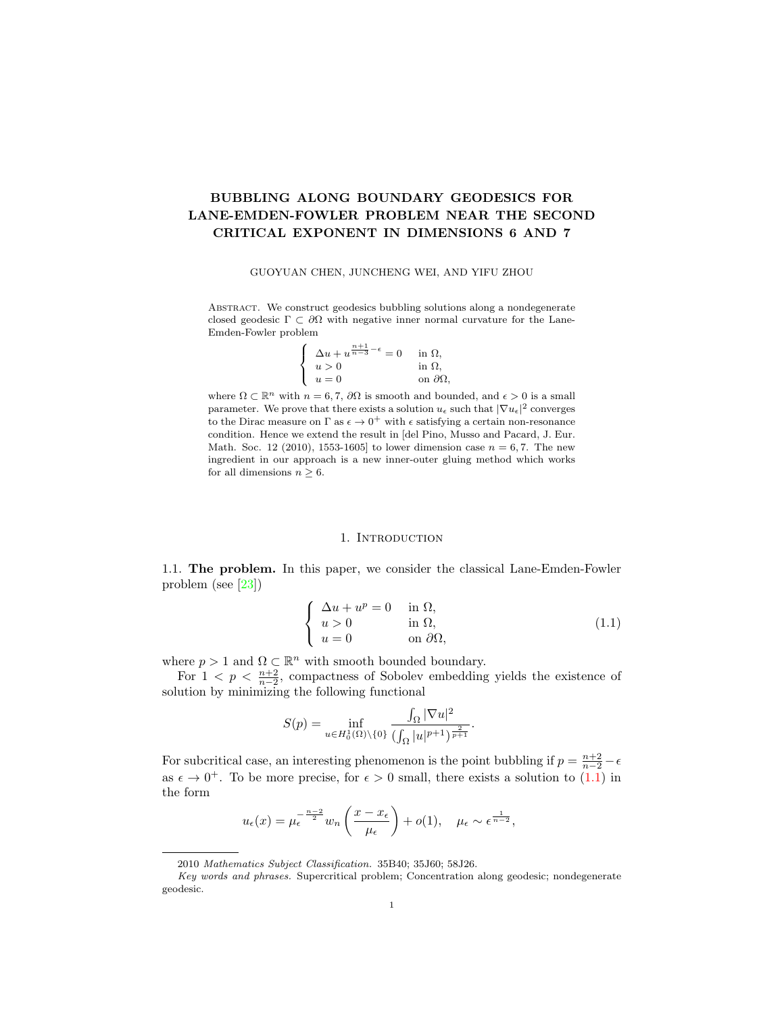# BUBBLING ALONG BOUNDARY GEODESICS FOR LANE-EMDEN-FOWLER PROBLEM NEAR THE SECOND CRITICAL EXPONENT IN DIMENSIONS 6 AND 7

#### GUOYUAN CHEN, JUNCHENG WEI, AND YIFU ZHOU

ABSTRACT. We construct geodesics bubbling solutions along a nondegenerate closed geodesic  $\Gamma \subset \partial\Omega$  with negative inner normal curvature for the Lane-Emden-Fowler problem

| $\Delta u + u^{\frac{n+1}{n-3} - \epsilon} = 0$ | in $\Omega$ ,         |
|-------------------------------------------------|-----------------------|
| u>0                                             | in $\Omega$ ,         |
| $u=0$                                           | on $\partial\Omega$ , |

where  $\Omega \subset \mathbb{R}^n$  with  $n = 6, 7, \partial\Omega$  is smooth and bounded, and  $\epsilon > 0$  is a small parameter. We prove that there exists a solution  $u_{\epsilon}$  such that  $|\nabla u_{\epsilon}|^2$  converges to the Dirac measure on  $\Gamma$  as  $\epsilon \to 0^+$  with  $\epsilon$  satisfying a certain non-resonance condition. Hence we extend the result in [del Pino, Musso and Pacard, J. Eur. Math. Soc. 12 (2010), 1553-1605] to lower dimension case  $n = 6, 7$ . The new ingredient in our approach is a new inner-outer gluing method which works for all dimensions  $n \geq 6$ .

#### 1. INTRODUCTION

1.1. The problem. In this paper, we consider the classical Lane-Emden-Fowler problem (see [\[23\]](#page-31-0))

<span id="page-0-0"></span>
$$
\begin{cases}\n\Delta u + u^p = 0 & \text{in } \Omega, \\
u > 0 & \text{in } \Omega, \\
u = 0 & \text{on } \partial\Omega,\n\end{cases}
$$
\n(1.1)

where  $p > 1$  and  $\Omega \subset \mathbb{R}^n$  with smooth bounded boundary.

For  $1 < p < \frac{n+2}{n-2}$ , compactness of Sobolev embedding yields the existence of solution by minimizing the following functional

$$
S(p) = \inf_{u \in H_0^1(\Omega) \backslash \{0\}} \frac{\int_{\Omega} |\nabla u|^2}{(\int_{\Omega} |u|^{p+1})^{\frac{2}{p+1}}}.
$$

For subcritical case, an interesting phenomenon is the point bubbling if  $p = \frac{n+2}{n-2} - \epsilon$ as  $\epsilon \to 0^+$ . To be more precise, for  $\epsilon > 0$  small, there exists a solution to [\(1.1\)](#page-0-0) in the form

$$
u_{\epsilon}(x) = \mu_{\epsilon}^{-\frac{n-2}{2}} w_n \left( \frac{x - x_{\epsilon}}{\mu_{\epsilon}} \right) + o(1), \quad \mu_{\epsilon} \sim \epsilon^{\frac{1}{n-2}},
$$

<sup>2010</sup> Mathematics Subject Classification. 35B40; 35J60; 58J26.

Key words and phrases. Supercritical problem; Concentration along geodesic; nondegenerate geodesic.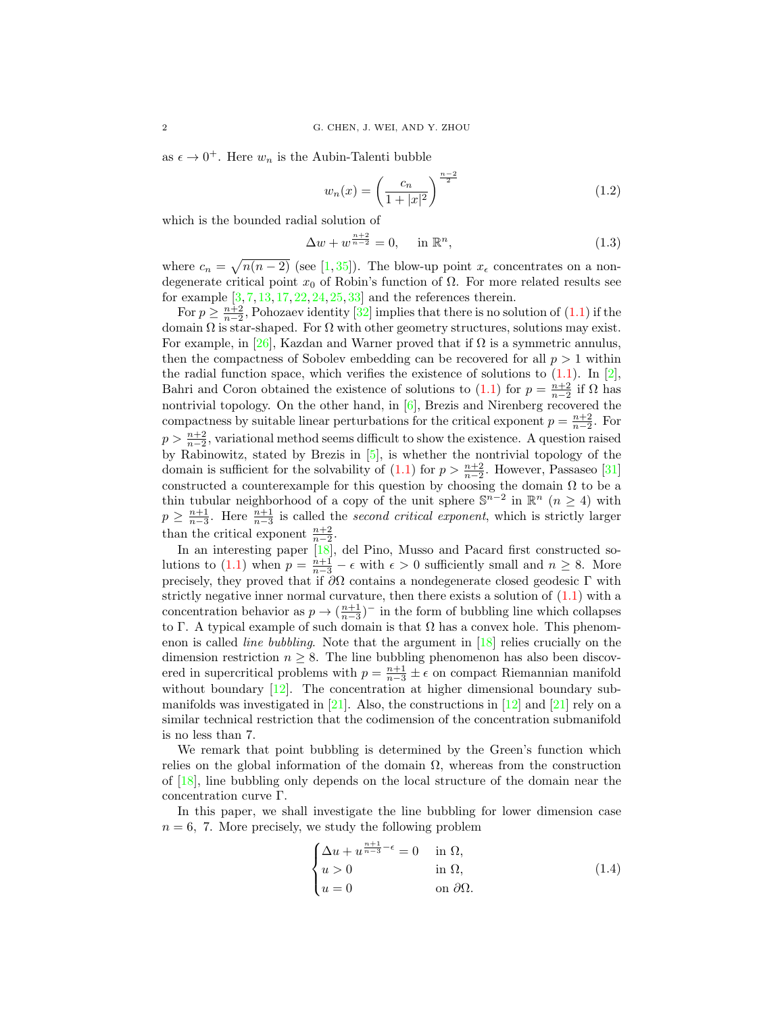as  $\epsilon \to 0^+$ . Here  $w_n$  is the Aubin-Talenti bubble

<span id="page-1-1"></span>
$$
w_n(x) = \left(\frac{c_n}{1+|x|^2}\right)^{\frac{n-2}{2}}\tag{1.2}
$$

which is the bounded radial solution of

<span id="page-1-2"></span>
$$
\Delta w + w^{\frac{n+2}{n-2}} = 0, \quad \text{in } \mathbb{R}^n,
$$
\n(1.3)

where  $c_n = \sqrt{n(n-2)}$  (see [\[1,](#page-30-0)[35\]](#page-31-1)). The blow-up point  $x_{\epsilon}$  concentrates on a nondegenerate critical point  $x_0$  of Robin's function of  $\Omega$ . For more related results see for example  $\left[3, 7, 13, 17, 22, 24, 25, 33\right]$  $\left[3, 7, 13, 17, 22, 24, 25, 33\right]$  $\left[3, 7, 13, 17, 22, 24, 25, 33\right]$  $\left[3, 7, 13, 17, 22, 24, 25, 33\right]$  $\left[3, 7, 13, 17, 22, 24, 25, 33\right]$  $\left[3, 7, 13, 17, 22, 24, 25, 33\right]$  $\left[3, 7, 13, 17, 22, 24, 25, 33\right]$  $\left[3, 7, 13, 17, 22, 24, 25, 33\right]$  $\left[3, 7, 13, 17, 22, 24, 25, 33\right]$  $\left[3, 7, 13, 17, 22, 24, 25, 33\right]$  $\left[3, 7, 13, 17, 22, 24, 25, 33\right]$  $\left[3, 7, 13, 17, 22, 24, 25, 33\right]$  $\left[3, 7, 13, 17, 22, 24, 25, 33\right]$  and the references therein.

For  $p \geq \frac{n+2}{n-2}$ , Pohozaev identity [\[32\]](#page-31-6) implies that there is no solution of [\(1.1\)](#page-0-0) if the domain  $\Omega$  is star-shaped. For  $\Omega$  with other geometry structures, solutions may exist. For example, in [\[26\]](#page-31-7), Kazdan and Warner proved that if  $\Omega$  is a symmetric annulus, then the compactness of Sobolev embedding can be recovered for all  $p > 1$  within the radial function space, which verifies the existence of solutions to  $(1.1)$ . In [\[2\]](#page-30-5), Bahri and Coron obtained the existence of solutions to [\(1.1\)](#page-0-0) for  $p = \frac{n+2}{n-2}$  if  $\Omega$  has nontrivial topology. On the other hand, in [\[6\]](#page-30-6), Brezis and Nirenberg recovered the compactness by suitable linear perturbations for the critical exponent  $p = \frac{n+2}{n-2}$ . For  $p > \frac{n+2}{n-2}$ , variational method seems difficult to show the existence. A question raised by Rabinowitz, stated by Brezis in [\[5\]](#page-30-7), is whether the nontrivial topology of the domain is sufficient for the solvability of  $(1.1)$  for  $p > \frac{n+2}{n-2}$ . However, Passaseo [\[31\]](#page-31-8) constructed a counterexample for this question by choosing the domain  $\Omega$  to be a thin tubular neighborhood of a copy of the unit sphere  $\mathbb{S}^{n-2}$  in  $\mathbb{R}^n$   $(n \geq 4)$  with  $p \geq \frac{n+1}{n-3}$ . Here  $\frac{n+1}{n-3}$  is called the second critical exponent, which is strictly larger than the critical exponent  $\frac{n+2}{n-2}$ .

In an interesting paper [\[18\]](#page-30-8), del Pino, Musso and Pacard first constructed so-lutions to [\(1.1\)](#page-0-0) when  $p = \frac{n+1}{n-3} - \epsilon$  with  $\epsilon > 0$  sufficiently small and  $n \ge 8$ . More precisely, they proved that if  $\partial\Omega$  contains a nondegenerate closed geodesic  $\Gamma$  with strictly negative inner normal curvature, then there exists a solution of  $(1.1)$  with a concentration behavior as  $p \to (\frac{n+1}{n-3})^-$  in the form of bubbling line which collapses to Γ. A typical example of such domain is that  $\Omega$  has a convex hole. This phenomenon is called line bubbling. Note that the argument in [\[18\]](#page-30-8) relies crucially on the dimension restriction  $n \geq 8$ . The line bubbling phenomenon has also been discovered in supercritical problems with  $p = \frac{n+1}{n-3} \pm \epsilon$  on compact Riemannian manifold without boundary  $[12]$ . The concentration at higher dimensional boundary submanifolds was investigated in  $[21]$ . Also, the constructions in  $[12]$  and  $[21]$  rely on a similar technical restriction that the codimension of the concentration submanifold is no less than 7.

We remark that point bubbling is determined by the Green's function which relies on the global information of the domain  $\Omega$ , whereas from the construction of [\[18\]](#page-30-8), line bubbling only depends on the local structure of the domain near the concentration curve Γ.

In this paper, we shall investigate the line bubbling for lower dimension case  $n = 6$ , 7. More precisely, we study the following problem

<span id="page-1-0"></span>
$$
\begin{cases} \Delta u + u^{\frac{n+1}{n-3} - \epsilon} = 0 & \text{in } \Omega, \\ u > 0 & \text{in } \Omega, \\ u = 0 & \text{on } \partial\Omega. \end{cases}
$$
 (1.4)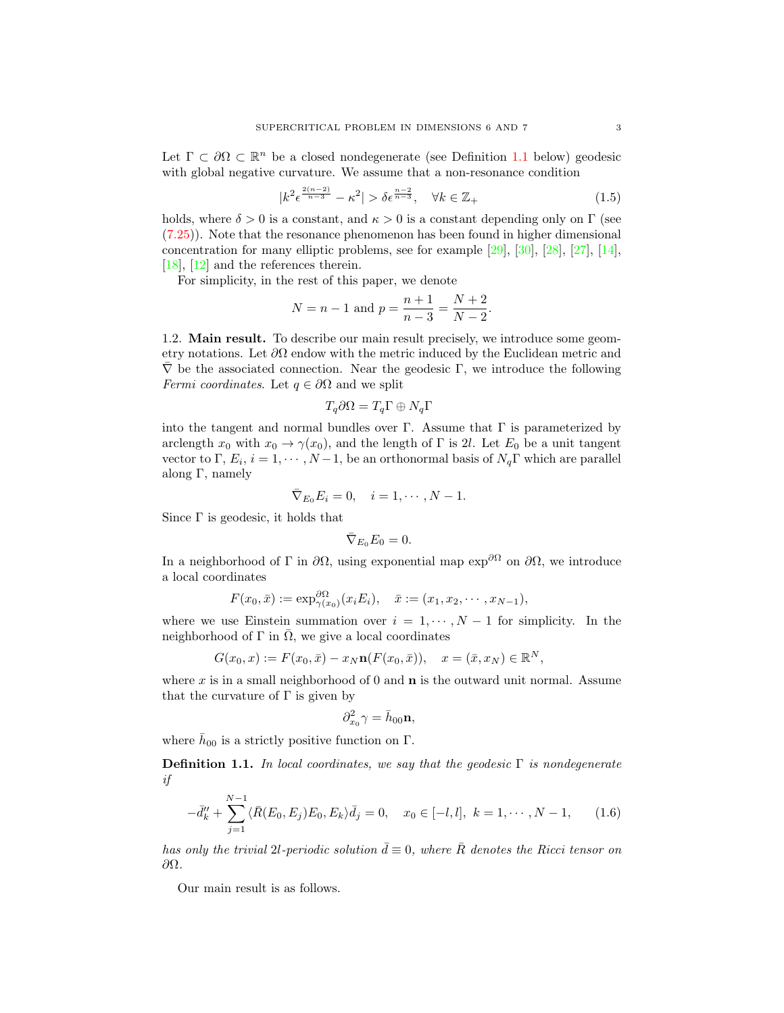Let  $\Gamma \subset \partial \Omega \subset \mathbb{R}^n$  be a closed nondegenerate (see Definition [1.1](#page-2-0) below) geodesic with global negative curvature. We assume that a non-resonance condition

<span id="page-2-1"></span>
$$
|k^2 \epsilon^{\frac{2(n-2)}{n-3}} - \kappa^2| > \delta \epsilon^{\frac{n-2}{n-3}}, \quad \forall k \in \mathbb{Z}_+ \tag{1.5}
$$

holds, where  $\delta > 0$  is a constant, and  $\kappa > 0$  is a constant depending only on  $\Gamma$  (see [\(7.25\)](#page-28-0)). Note that the resonance phenomenon has been found in higher dimensional concentration for many elliptic problems, see for example [\[29\]](#page-31-10), [\[30\]](#page-31-11), [\[28\]](#page-31-12), [\[27\]](#page-31-13), [\[14\]](#page-30-10), [\[18\]](#page-30-8), [\[12\]](#page-30-9) and the references therein.

For simplicity, in the rest of this paper, we denote

$$
N = n - 1 \text{ and } p = \frac{n+1}{n-3} = \frac{N+2}{N-2}.
$$

1.2. Main result. To describe our main result precisely, we introduce some geometry notations. Let  $\partial\Omega$  endow with the metric induced by the Euclidean metric and  $\nabla$  be the associated connection. Near the geodesic Γ, we introduce the following *Fermi coordinates.* Let  $q \in \partial\Omega$  and we split

$$
T_q\partial\Omega = T_q\Gamma \oplus N_q\Gamma
$$

into the tangent and normal bundles over Γ. Assume that  $\Gamma$  is parameterized by arclength  $x_0$  with  $x_0 \to \gamma(x_0)$ , and the length of  $\Gamma$  is 2l. Let  $E_0$  be a unit tangent vector to  $\Gamma$ ,  $E_i$ ,  $i = 1, \dots, N-1$ , be an orthonormal basis of  $N_q\Gamma$  which are parallel along Γ, namely

$$
\overline{\nabla}_{E_0} E_i = 0, \quad i = 1, \cdots, N-1.
$$

Since  $\Gamma$  is geodesic, it holds that

$$
\bar{\nabla}_{E_0} E_0 = 0.
$$

In a neighborhood of Γ in  $\partial\Omega$ , using exponential map  $\exp^{\partial\Omega}$  on  $\partial\Omega$ , we introduce a local coordinates

$$
F(x_0, \bar{x}) := \exp_{\gamma(x_0)}^{\partial \Omega} (x_i E_i), \quad \bar{x} := (x_1, x_2, \cdots, x_{N-1}),
$$

where we use Einstein summation over  $i = 1, \dots, N-1$  for simplicity. In the neighborhood of  $\Gamma$  in  $\overline{\Omega}$ , we give a local coordinates

$$
G(x_0, x) := F(x_0, \bar{x}) - x_N \mathbf{n}(F(x_0, \bar{x})), \quad x = (\bar{x}, x_N) \in \mathbb{R}^N,
$$

where x is in a small neighborhood of 0 and  $\bf{n}$  is the outward unit normal. Assume that the curvature of  $\Gamma$  is given by

$$
\partial_{x_0}^2 \gamma = \bar{h}_{00} \mathbf{n},
$$

where  $\bar{h}_{00}$  is a strictly positive function on  $\Gamma$ .

<span id="page-2-0"></span>**Definition 1.1.** In local coordinates, we say that the geodesic  $\Gamma$  is nondegenerate if

<span id="page-2-2"></span>
$$
-\bar{d}_k'' + \sum_{j=1}^{N-1} \langle \bar{R}(E_0, E_j) E_0, E_k \rangle \bar{d}_j = 0, \quad x_0 \in [-l, l], \ k = 1, \cdots, N-1,
$$
 (1.6)

has only the trivial 2l-periodic solution  $\bar{d} \equiv 0$ , where  $\bar{R}$  denotes the Ricci tensor on ∂Ω.

Our main result is as follows.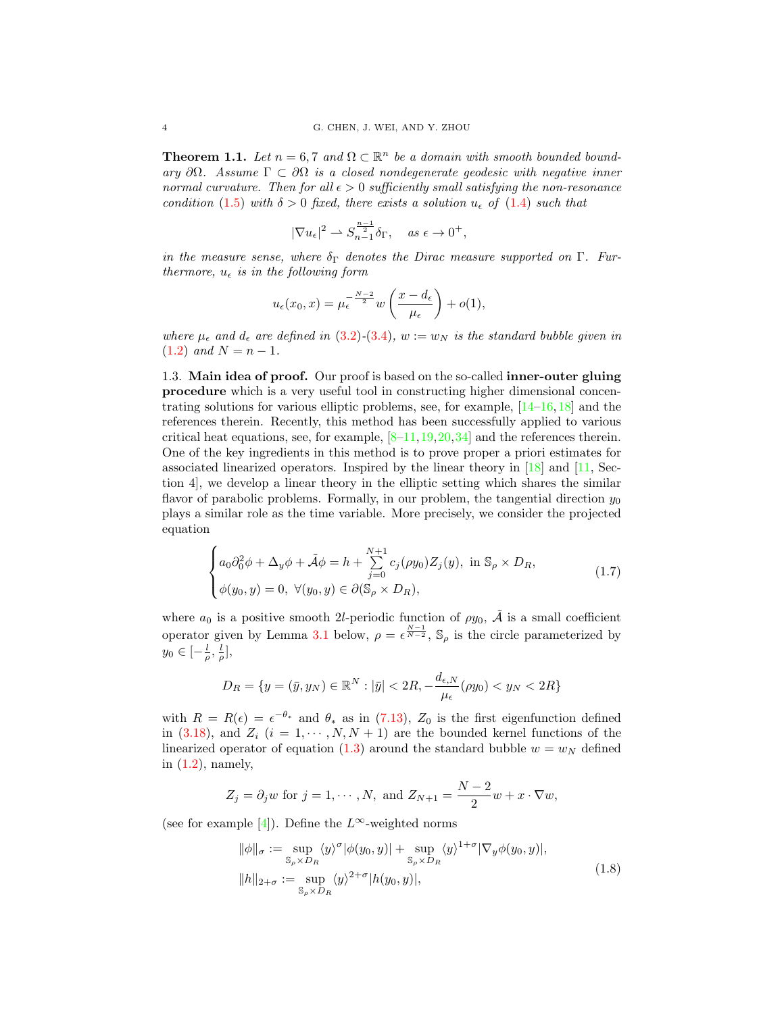<span id="page-3-1"></span>**Theorem 1.1.** Let  $n = 6, 7$  and  $\Omega \subset \mathbb{R}^n$  be a domain with smooth bounded boundary  $\partial\Omega$ . Assume  $\Gamma \subset \partial\Omega$  is a closed nondegenerate geodesic with negative inner normal curvature. Then for all  $\epsilon > 0$  sufficiently small satisfying the non-resonance condition [\(1.5\)](#page-2-1) with  $\delta > 0$  fixed, there exists a solution  $u_{\epsilon}$  of [\(1.4\)](#page-1-0) such that

$$
|\nabla u_{\epsilon}|^2 \rightharpoonup S_{n-1}^{\frac{n-1}{2}} \delta_{\Gamma}, \quad \text{as } \epsilon \to 0^+,
$$

in the measure sense, where  $\delta_{\Gamma}$  denotes the Dirac measure supported on  $\Gamma$ . Furthermore,  $u_{\epsilon}$  is in the following form

$$
u_{\epsilon}(x_0, x) = \mu_{\epsilon}^{-\frac{N-2}{2}} w\left(\frac{x - d_{\epsilon}}{\mu_{\epsilon}}\right) + o(1),
$$

where  $\mu_{\epsilon}$  and  $d_{\epsilon}$  are defined in [\(3.2\)](#page-7-0)-[\(3.4\)](#page-7-1),  $w := w_N$  is the standard bubble given in [\(1.2\)](#page-1-1) and  $N = n - 1$ .

1.3. Main idea of proof. Our proof is based on the so-called inner-outer gluing procedure which is a very useful tool in constructing higher dimensional concentrating solutions for various elliptic problems, see, for example,  $[14-16, 18]$  $[14-16, 18]$  $[14-16, 18]$  $[14-16, 18]$  and the references therein. Recently, this method has been successfully applied to various critical heat equations, see, for example,  $[8-11,19,20,34]$  $[8-11,19,20,34]$  $[8-11,19,20,34]$  $[8-11,19,20,34]$  $[8-11,19,20,34]$  and the references therein. One of the key ingredients in this method is to prove proper a priori estimates for associated linearized operators. Inspired by the linear theory in [\[18\]](#page-30-8) and [\[11,](#page-30-13) Section 4], we develop a linear theory in the elliptic setting which shares the similar flavor of parabolic problems. Formally, in our problem, the tangential direction  $y_0$ plays a similar role as the time variable. More precisely, we consider the projected equation

<span id="page-3-0"></span>
$$
\begin{cases}\na_0 \partial_0^2 \phi + \Delta_y \phi + \tilde{\mathcal{A}} \phi = h + \sum_{j=0}^{N+1} c_j(\rho y_0) Z_j(y), \text{ in } \mathbb{S}_\rho \times D_R, \\
\phi(y_0, y) = 0, \ \forall (y_0, y) \in \partial(\mathbb{S}_\rho \times D_R),\n\end{cases}
$$
\n(1.7)

where  $a_0$  is a positive smooth 2l-periodic function of  $\rho y_0$ ,  $\tilde{A}$  is a small coefficient operator given by Lemma [3.1](#page-8-0) below,  $\rho = \epsilon^{\frac{N-1}{N-2}}$ ,  $\mathbb{S}_{\rho}$  is the circle parameterized by  $y_0 \in \left[-\frac{l}{\rho},\frac{l}{\rho}\right],$ 

$$
D_R = \{ y = (\bar{y}, y_N) \in \mathbb{R}^N : |\bar{y}| < 2R, -\frac{d_{\epsilon, N}}{\mu_{\epsilon}}(\rho y_0) < y_N < 2R \}
$$

with  $R = R(\epsilon) = \epsilon^{-\theta_*}$  and  $\theta_*$  as in [\(7.13\)](#page-26-0),  $Z_0$  is the first eigenfunction defined in [\(3.18\)](#page-9-0), and  $Z_i$   $(i = 1, \dots, N, N + 1)$  are the bounded kernel functions of the linearized operator of equation [\(1.3\)](#page-1-2) around the standard bubble  $w = w_N$  defined in [\(1.2\)](#page-1-1), namely,

$$
Z_j = \partial_j w \text{ for } j = 1, \cdots, N, \text{ and } Z_{N+1} = \frac{N-2}{2}w + x \cdot \nabla w,
$$

(see for example [\[4\]](#page-30-15)). Define the  $L^{\infty}$ -weighted norms

<span id="page-3-2"></span>
$$
\|\phi\|_{\sigma} := \sup_{\mathbb{S}_{\rho} \times D_R} \langle y \rangle^{\sigma} |\phi(y_0, y)| + \sup_{\mathbb{S}_{\rho} \times D_R} \langle y \rangle^{1+\sigma} |\nabla_y \phi(y_0, y)|,
$$
  
\n
$$
\|h\|_{2+\sigma} := \sup_{\mathbb{S}_{\rho} \times D_R} \langle y \rangle^{2+\sigma} |h(y_0, y)|,
$$
\n(1.8)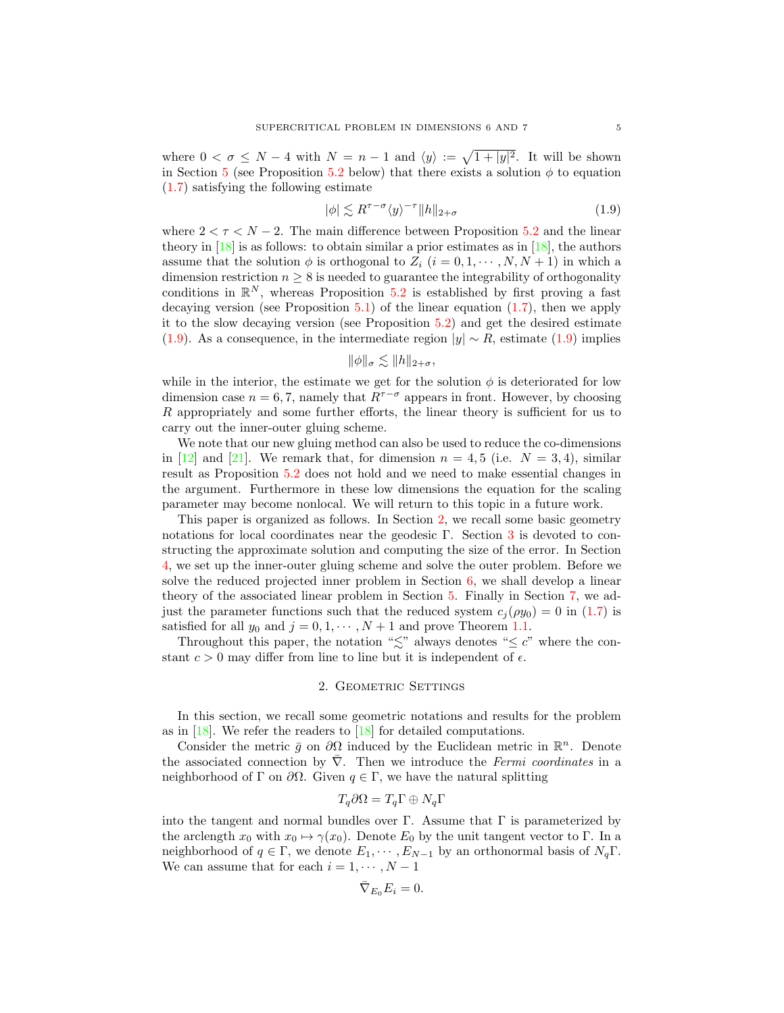where  $0 < \sigma \leq N-4$  with  $N = n-1$  and  $\langle y \rangle := \sqrt{1+|y|^2}$ . It will be shown in Section [5](#page-19-0) (see Proposition [5.2](#page-20-0) below) that there exists a solution  $\phi$  to equation [\(1.7\)](#page-3-0) satisfying the following estimate

<span id="page-4-0"></span>
$$
|\phi| \lesssim R^{\tau-\sigma} \langle y \rangle^{-\tau} \|h\|_{2+\sigma} \tag{1.9}
$$

where  $2 < \tau < N - 2$ . The main difference between Proposition [5.2](#page-20-0) and the linear theory in  $[18]$  is as follows: to obtain similar a prior estimates as in  $[18]$ , the authors assume that the solution  $\phi$  is orthogonal to  $Z_i$   $(i = 0, 1, \dots, N, N + 1)$  in which a dimension restriction  $n \geq 8$  is needed to guarantee the integrability of orthogonality conditions in  $\mathbb{R}^N$ , whereas Proposition [5.2](#page-20-0) is established by first proving a fast decaying version (see Proposition  $5.1$ ) of the linear equation  $(1.7)$ , then we apply it to the slow decaying version (see Proposition [5.2\)](#page-20-0) and get the desired estimate [\(1.9\)](#page-4-0). As a consequence, in the intermediate region  $|y| \sim R$ , estimate [\(1.9\)](#page-4-0) implies

$$
\|\phi\|_{\sigma} \lesssim \|h\|_{2+\sigma},
$$

while in the interior, the estimate we get for the solution  $\phi$  is deteriorated for low dimension case  $n = 6, 7$ , namely that  $R^{\tau-\sigma}$  appears in front. However, by choosing R appropriately and some further efforts, the linear theory is sufficient for us to carry out the inner-outer gluing scheme.

We note that our new gluing method can also be used to reduce the co-dimensions in [\[12\]](#page-30-9) and [\[21\]](#page-31-9). We remark that, for dimension  $n = 4, 5$  (i.e.  $N = 3, 4$ ), similar result as Proposition [5.2](#page-20-0) does not hold and we need to make essential changes in the argument. Furthermore in these low dimensions the equation for the scaling parameter may become nonlocal. We will return to this topic in a future work.

This paper is organized as follows. In Section [2,](#page-4-1) we recall some basic geometry notations for local coordinates near the geodesic Γ. Section [3](#page-6-0) is devoted to constructing the approximate solution and computing the size of the error. In Section [4,](#page-14-0) we set up the inner-outer gluing scheme and solve the outer problem. Before we solve the reduced projected inner problem in Section [6,](#page-21-0) we shall develop a linear theory of the associated linear problem in Section [5.](#page-19-0) Finally in Section [7,](#page-24-0) we adjust the parameter functions such that the reduced system  $c_i (\rho y_0) = 0$  in [\(1.7\)](#page-3-0) is satisfied for all  $y_0$  and  $j = 0, 1, \dots, N + 1$  and prove Theorem [1.1.](#page-3-1)

Throughout this paper, the notation " $\lesssim$ " always denotes " $\leq$  c" where the constant  $c > 0$  may differ from line to line but it is independent of  $\epsilon$ .

### 2. GEOMETRIC SETTINGS

<span id="page-4-1"></span>In this section, we recall some geometric notations and results for the problem as in  $[18]$ . We refer the readers to  $[18]$  for detailed computations.

Consider the metric  $\bar{g}$  on  $\partial\Omega$  induced by the Euclidean metric in  $\mathbb{R}^n$ . Denote the associated connection by  $\nabla$ . Then we introduce the Fermi coordinates in a neighborhood of Γ on  $\partial\Omega$ . Given  $q \in \Gamma$ , we have the natural splitting

$$
T_q\partial\Omega = T_q\Gamma \oplus N_q\Gamma
$$

into the tangent and normal bundles over Γ. Assume that  $\Gamma$  is parameterized by the arclength  $x_0$  with  $x_0 \mapsto \gamma(x_0)$ . Denote  $E_0$  by the unit tangent vector to Γ. In a neighborhood of  $q \in \Gamma$ , we denote  $E_1, \dots, E_{N-1}$  by an orthonormal basis of  $N_q\Gamma$ . We can assume that for each  $i = 1, \dots, N - 1$ 

$$
\bar{\nabla}_{E_0} E_i = 0.
$$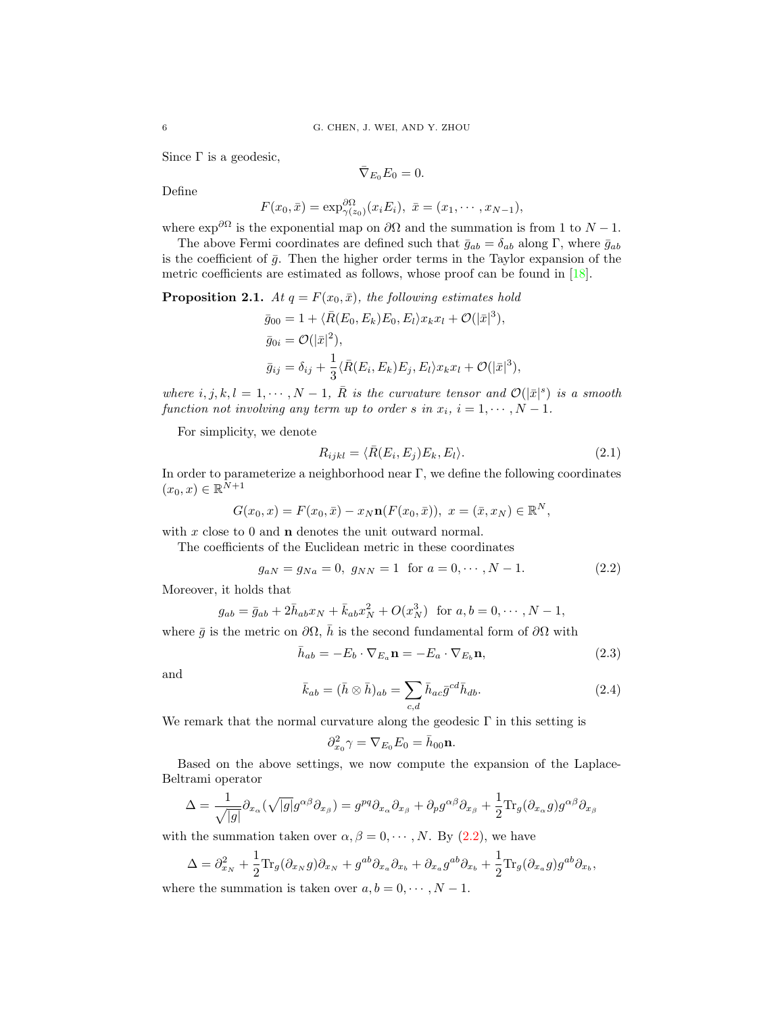Since  $\Gamma$  is a geodesic,

$$
\bar{\nabla}_{E_0} E_0 = 0.
$$

Define

$$
F(x_0, \bar{x}) = \exp_{\gamma(z_0)}^{\partial \Omega} (x_i E_i), \ \bar{x} = (x_1, \cdots, x_{N-1}),
$$

where  $\exp^{i\theta}$  is the exponential map on  $\partial\Omega$  and the summation is from 1 to  $N-1$ .

The above Fermi coordinates are defined such that  $\bar{g}_{ab} = \delta_{ab}$  along Γ, where  $\bar{g}_{ab}$ is the coefficient of  $\bar{g}$ . Then the higher order terms in the Taylor expansion of the metric coefficients are estimated as follows, whose proof can be found in [\[18\]](#page-30-8).

**Proposition 2.1.** At  $q = F(x_0, \bar{x})$ , the following estimates hold

$$
\bar{g}_{00} = 1 + \langle \bar{R}(E_0, E_k) E_0, E_l \rangle x_k x_l + \mathcal{O}(|\bar{x}|^3),
$$
  
\n
$$
\bar{g}_{0i} = \mathcal{O}(|\bar{x}|^2),
$$
  
\n
$$
\bar{g}_{ij} = \delta_{ij} + \frac{1}{3} \langle \bar{R}(E_i, E_k) E_j, E_l \rangle x_k x_l + \mathcal{O}(|\bar{x}|^3),
$$

where  $i, j, k, l = 1, \cdots, N - 1$ ,  $\overline{R}$  is the curvature tensor and  $\mathcal{O}(|\overline{x}|^s)$  is a smooth function not involving any term up to order s in  $x_i$ ,  $i = 1, \dots, N - 1$ .

For simplicity, we denote

<span id="page-5-1"></span>
$$
R_{ijkl} = \langle \bar{R}(E_i, E_j) E_k, E_l \rangle.
$$
\n(2.1)

In order to parameterize a neighborhood near Γ, we define the following coordinates  $(x_0, x) \in \mathbb{R}^{N+1}$ 

$$
G(x_0, x) = F(x_0, \bar{x}) - x_N \mathbf{n}(F(x_0, \bar{x})), \ x = (\bar{x}, x_N) \in \mathbb{R}^N,
$$

with x close to 0 and **n** denotes the unit outward normal.

The coefficients of the Euclidean metric in these coordinates

<span id="page-5-0"></span>
$$
g_{aN} = g_{Na} = 0, \ g_{NN} = 1 \text{ for } a = 0, \cdots, N - 1.
$$
 (2.2)

Moreover, it holds that

$$
g_{ab} = \bar{g}_{ab} + 2\bar{h}_{ab}x_N + \bar{k}_{ab}x_N^2 + O(x_N^3) \text{ for } a, b = 0, \cdots, N - 1,
$$

where  $\bar{g}$  is the metric on  $\partial\Omega$ ,  $\bar{h}$  is the second fundamental form of  $\partial\Omega$  with

<span id="page-5-2"></span>
$$
\bar{h}_{ab} = -E_b \cdot \nabla_{E_a} \mathbf{n} = -E_a \cdot \nabla_{E_b} \mathbf{n},\tag{2.3}
$$

and

<span id="page-5-3"></span>
$$
\bar{k}_{ab} = (\bar{h} \otimes \bar{h})_{ab} = \sum_{c,d} \bar{h}_{ac} \bar{g}^{cd} \bar{h}_{db}.
$$
\n(2.4)

We remark that the normal curvature along the geodesic  $\Gamma$  in this setting is

$$
\partial_{x_0}^2 \gamma = \nabla_{E_0} E_0 = \bar{h}_{00} \mathbf{n}.
$$

Based on the above settings, we now compute the expansion of the Laplace-Beltrami operator

$$
\Delta = \frac{1}{\sqrt{|g|}} \partial_{x_{\alpha}} (\sqrt{|g|} g^{\alpha \beta} \partial_{x_{\beta}}) = g^{pq} \partial_{x_{\alpha}} \partial_{x_{\beta}} + \partial_{p} g^{\alpha \beta} \partial_{x_{\beta}} + \frac{1}{2} \text{Tr}_{g} (\partial_{x_{\alpha}} g) g^{\alpha \beta} \partial_{x_{\beta}}
$$

with the summation taken over  $\alpha, \beta = 0, \dots, N$ . By [\(2.2\)](#page-5-0), we have

$$
\Delta = \partial_{x_N}^2 + \frac{1}{2} \text{Tr}_g(\partial_{x_N} g) \partial_{x_N} + g^{ab} \partial_{x_a} \partial_{x_b} + \partial_{x_a} g^{ab} \partial_{x_b} + \frac{1}{2} \text{Tr}_g(\partial_{x_a} g) g^{ab} \partial_{x_b},
$$

where the summation is taken over  $a, b = 0, \dots, N - 1$ .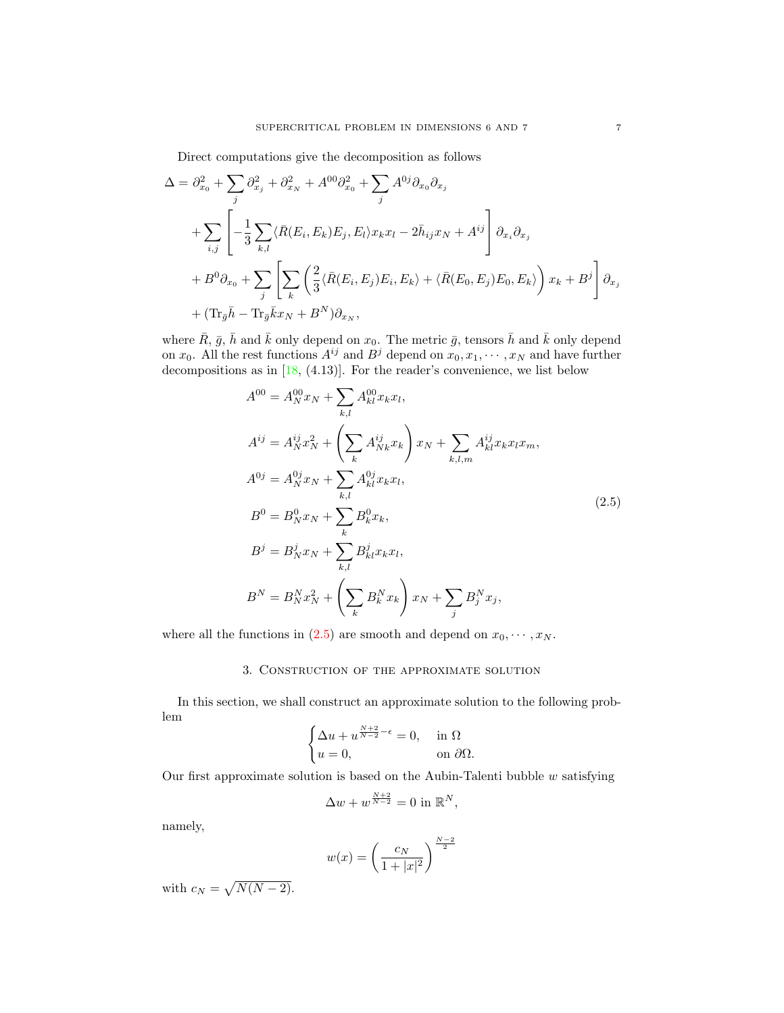Direct computations give the decomposition as follows

$$
\Delta = \partial_{x_0}^2 + \sum_j \partial_{x_j}^2 + \partial_{x_N}^2 + A^{00} \partial_{x_0}^2 + \sum_j A^{0j} \partial_{x_0} \partial_{x_j}
$$
  
+ 
$$
\sum_{i,j} \left[ -\frac{1}{3} \sum_{k,l} \langle \bar{R}(E_i, E_k) E_j, E_l \rangle x_k x_l - 2\bar{h}_{ij} x_N + A^{ij} \right] \partial_{x_i} \partial_{x_j}
$$
  
+ 
$$
B^0 \partial_{x_0} + \sum_j \left[ \sum_k \left( \frac{2}{3} \langle \bar{R}(E_i, E_j) E_i, E_k \rangle + \langle \bar{R}(E_0, E_j) E_0, E_k \rangle \right) x_k + B^j \right] \partial_{x_j}
$$
  
+ 
$$
(\text{Tr}_{\bar{g}} \bar{h} - \text{Tr}_{\bar{g}} \bar{k} x_N + B^N) \partial_{x_N},
$$

where  $\bar{R}$ ,  $\bar{g}$ ,  $\bar{h}$  and  $\bar{k}$  only depend on  $x_0$ . The metric  $\bar{g}$ , tensors  $\bar{h}$  and  $\bar{k}$  only depend on  $x_0$ . All the rest functions  $A^{ij}$  and  $B^j$  depend on  $x_0, x_1, \dots, x_N$  and have further decompositions as in [\[18,](#page-30-8) (4.13)]. For the reader's convenience, we list below

<span id="page-6-1"></span>
$$
A^{00} = A_N^{00} x_N + \sum_{k,l} A_{kl}^{00} x_k x_l,
$$
  
\n
$$
A^{ij} = A_N^{ij} x_N^2 + \left(\sum_k A_{Nk}^{ij} x_k\right) x_N + \sum_{k,l,m} A_{kl}^{ij} x_k x_l x_m,
$$
  
\n
$$
A^{0j} = A_N^{0j} x_N + \sum_{k,l} A_{kl}^{0j} x_k x_l,
$$
  
\n
$$
B^0 = B_N^0 x_N + \sum_k B_k^0 x_k,
$$
  
\n
$$
B^j = B_N^j x_N + \sum_{k,l} B_{kl}^j x_k x_l,
$$
  
\n
$$
B^N = B_N^N x_N^2 + \left(\sum_k B_k^N x_k\right) x_N + \sum_j B_j^N x_j,
$$
  
\n(2.5)

<span id="page-6-0"></span>where all the functions in [\(2.5\)](#page-6-1) are smooth and depend on  $x_0, \dots, x_N$ .

## 3. Construction of the approximate solution

In this section, we shall construct an approximate solution to the following problem

$$
\begin{cases} \Delta u + u^{\frac{N+2}{N-2} - \epsilon} = 0, & \text{in } \Omega\\ u = 0, & \text{on } \partial\Omega. \end{cases}
$$

Our first approximate solution is based on the Aubin-Talenti bubble  $w$  satisfying

$$
\Delta w + w^{\frac{N+2}{N-2}} = 0
$$
 in  $\mathbb{R}^N$ ,

namely,

$$
w(x) = \left(\frac{c_N}{1 + |x|^2}\right)^{\frac{N-2}{2}}
$$

with  $c_N = \sqrt{N(N-2)}$ .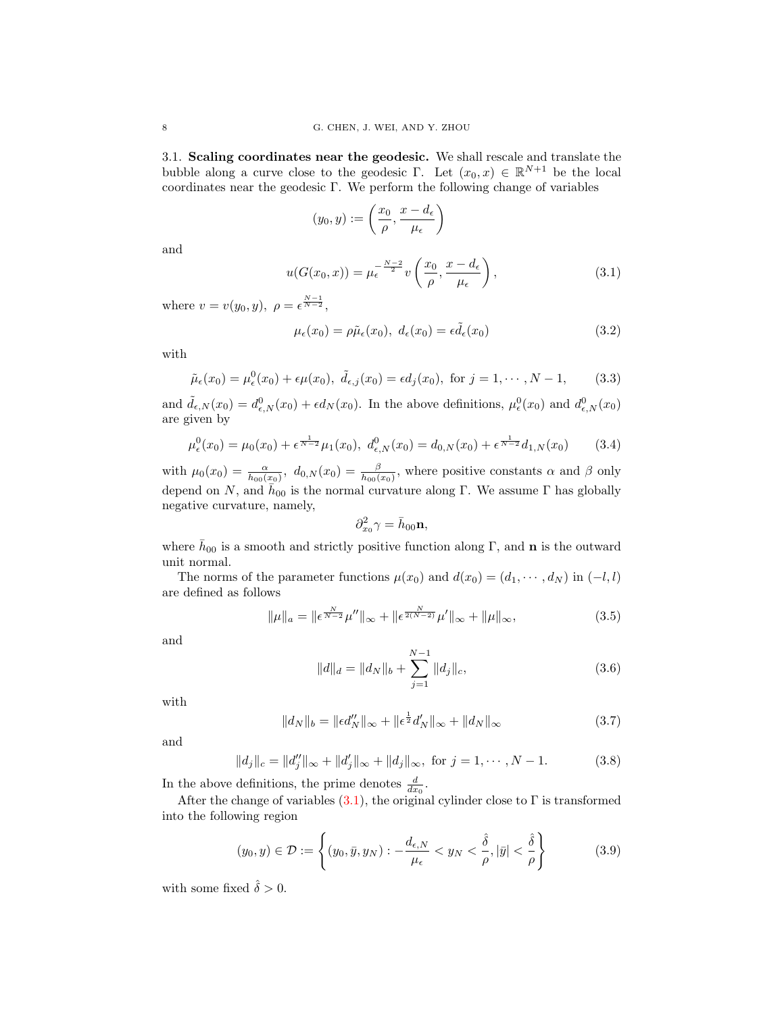3.1. Scaling coordinates near the geodesic. We shall rescale and translate the bubble along a curve close to the geodesic Γ. Let  $(x_0, x) \in \mathbb{R}^{N+1}$  be the local coordinates near the geodesic Γ. We perform the following change of variables

$$
(y_0, y) := \left(\frac{x_0}{\rho}, \frac{x - d_{\epsilon}}{\mu_{\epsilon}}\right)
$$

and

<span id="page-7-2"></span>
$$
u(G(x_0, x)) = \mu_{\epsilon}^{-\frac{N-2}{2}} v\left(\frac{x_0}{\rho}, \frac{x - d_{\epsilon}}{\mu_{\epsilon}}\right),
$$
\n(3.1)

where  $v = v(y_0, y)$ ,  $\rho = \epsilon^{\frac{N-1}{N-2}}$ ,

<span id="page-7-0"></span>
$$
\mu_{\epsilon}(x_0) = \rho \tilde{\mu}_{\epsilon}(x_0), \ d_{\epsilon}(x_0) = \epsilon \tilde{d}_{\epsilon}(x_0)
$$
\n(3.2)

with

<span id="page-7-6"></span>
$$
\tilde{\mu}_{\epsilon}(x_0) = \mu_{\epsilon}^0(x_0) + \epsilon \mu(x_0), \ \tilde{d}_{\epsilon,j}(x_0) = \epsilon d_j(x_0), \text{ for } j = 1, \cdots, N-1,
$$
\n(3.3)

and  $\tilde{d}_{\epsilon,N}(x_0) = d_{\epsilon,N}^0(x_0) + \epsilon d_N(x_0)$ . In the above definitions,  $\mu_{\epsilon}^0(x_0)$  and  $d_{\epsilon,N}^0(x_0)$ are given by

<span id="page-7-1"></span>
$$
\mu_{\epsilon}^{0}(x_{0}) = \mu_{0}(x_{0}) + \epsilon^{\frac{1}{N-2}}\mu_{1}(x_{0}), d_{\epsilon,N}^{0}(x_{0}) = d_{0,N}(x_{0}) + \epsilon^{\frac{1}{N-2}}d_{1,N}(x_{0})
$$
(3.4)

with  $\mu_0(x_0) = \frac{\alpha}{\bar{h}_{00}(x_0)}$ ,  $d_{0,N}(x_0) = \frac{\beta}{\bar{h}_{00}(x_0)}$ , where positive constants  $\alpha$  and  $\beta$  only depend on N, and  $\bar{h}_{00}$  is the normal curvature along Γ. We assume Γ has globally negative curvature, namely,

$$
\partial_{x_0}^2 \gamma = \bar{h}_{00} \mathbf{n},
$$

where  $\bar{h}_{00}$  is a smooth and strictly positive function along Γ, and **n** is the outward unit normal.

The norms of the parameter functions  $\mu(x_0)$  and  $d(x_0) = (d_1, \dots, d_N)$  in  $(-l, l)$ are defined as follows

<span id="page-7-4"></span>
$$
\|\mu\|_{a} = \|\epsilon^{\frac{N}{N-2}}\mu''\|_{\infty} + \|\epsilon^{\frac{N}{2(N-2)}}\mu'\|_{\infty} + \|\mu\|_{\infty},
$$
\n(3.5)

and

<span id="page-7-5"></span>
$$
||d||_d = ||d_N||_b + \sum_{j=1}^{N-1} ||d_j||_c,
$$
\n(3.6)

with

<span id="page-7-7"></span>
$$
||d_N||_b = ||\epsilon d_N''||_{\infty} + ||\epsilon^{\frac{1}{2}} d_N'||_{\infty} + ||d_N||_{\infty}
$$
\n(3.7)

and

<span id="page-7-8"></span>
$$
||d_j||_c = ||d''_j||_{\infty} + ||d'_j||_{\infty} + ||d_j||_{\infty}, \text{ for } j = 1, \cdots, N - 1.
$$
 (3.8)

In the above definitions, the prime denotes  $\frac{d}{dx_0}$ .

After the change of variables  $(3.1)$ , the original cylinder close to  $\Gamma$  is transformed into the following region

<span id="page-7-3"></span>
$$
(y_0, y) \in \mathcal{D} := \left\{ (y_0, \bar{y}, y_N) : -\frac{d_{\epsilon, N}}{\mu_{\epsilon}} < y_N < \frac{\hat{\delta}}{\rho}, |\bar{y}| < \frac{\hat{\delta}}{\rho} \right\} \tag{3.9}
$$

with some fixed  $\hat{\delta} > 0$ .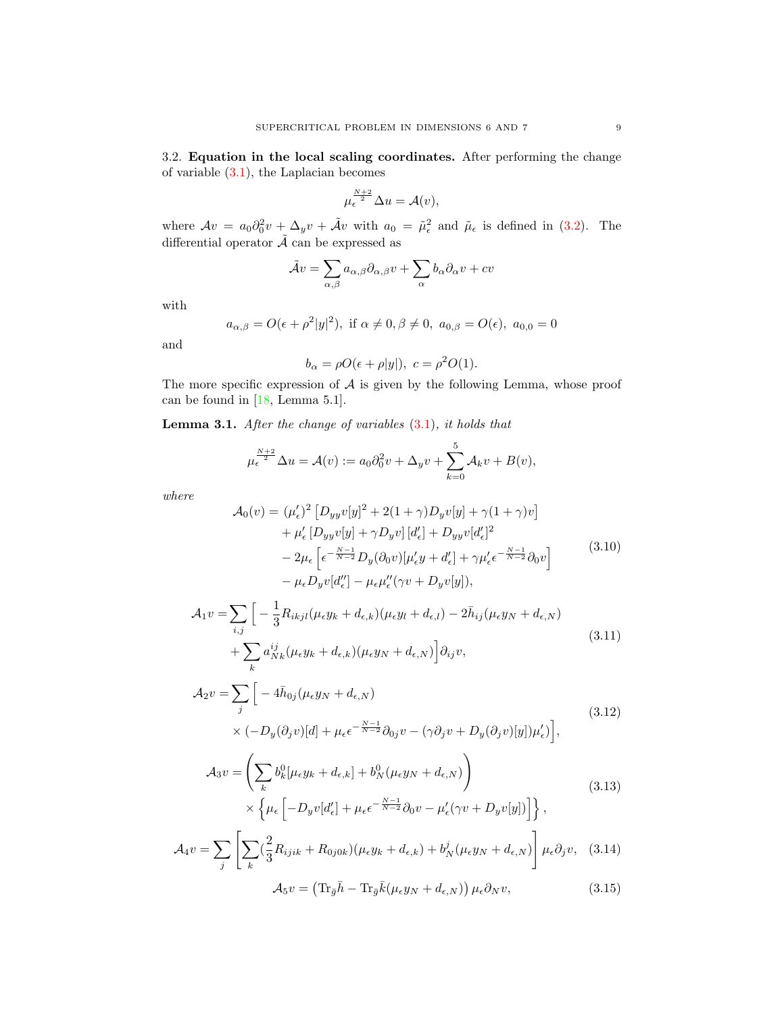<span id="page-8-2"></span>3.2. Equation in the local scaling coordinates. After performing the change of variable  $(3.1)$ , the Laplacian becomes

$$
\mu_{\epsilon}^{\frac{N+2}{2}} \Delta u = \mathcal{A}(v),
$$

where  $Av = a_0 \partial_0^2 v + \Delta_y v + \tilde{A}v$  with  $a_0 = \tilde{\mu}_{\epsilon}^2$  and  $\tilde{\mu}_{\epsilon}$  is defined in [\(3.2\)](#page-7-0). The differential operator  $\tilde{\mathcal{A}}$  can be expressed as

$$
\tilde{A}v = \sum_{\alpha,\beta} a_{\alpha,\beta} \partial_{\alpha,\beta} v + \sum_{\alpha} b_{\alpha} \partial_{\alpha} v + cv
$$

with

$$
a_{\alpha,\beta} = O(\epsilon + \rho^2 |y|^2)
$$
, if  $\alpha \neq 0, \beta \neq 0$ ,  $a_{0,\beta} = O(\epsilon)$ ,  $a_{0,0} = 0$ 

and

$$
b_{\alpha} = \rho O(\epsilon + \rho |y|), \ c = \rho^2 O(1).
$$

The more specific expression of  $A$  is given by the following Lemma, whose proof can be found in [\[18,](#page-30-8) Lemma 5.1].

<span id="page-8-0"></span>**Lemma 3.1.** After the change of variables  $(3.1)$ , it holds that

$$
\mu_{\epsilon}^{\frac{N+2}{2}} \Delta u = \mathcal{A}(v) := a_0 \partial_0^2 v + \Delta_y v + \sum_{k=0}^5 \mathcal{A}_k v + B(v),
$$

where

<span id="page-8-1"></span>
$$
\mathcal{A}_0(v) = (\mu'_{\epsilon})^2 \left[ D_{yy} v[y]^2 + 2(1+\gamma)D_y v[y] + \gamma(1+\gamma)v \right] \n+ \mu'_{\epsilon} \left[ D_{yy} v[y] + \gamma D_y v \right] [d'_{\epsilon}] + D_{yy} v [d'_{\epsilon}]^2 \n- 2\mu_{\epsilon} \left[ \epsilon^{-\frac{N-1}{N-2}} D_y (\partial_0 v) [\mu'_{\epsilon} y + d'_{\epsilon}] + \gamma \mu'_{\epsilon} \epsilon^{-\frac{N-1}{N-2}} \partial_0 v \right] \n- \mu_{\epsilon} D_y v [d''_{\epsilon}] - \mu_{\epsilon} \mu''_{\epsilon} (\gamma v + D_y v[y]),
$$
\n(3.10)

$$
\mathcal{A}_1 v = \sum_{i,j} \left[ -\frac{1}{3} R_{ikjl} (\mu_{\epsilon} y_k + d_{\epsilon,k}) (\mu_{\epsilon} y_l + d_{\epsilon,l}) - 2 \bar{h}_{ij} (\mu_{\epsilon} y_N + d_{\epsilon,N}) + \sum_k a_{Nk}^{ij} (\mu_{\epsilon} y_k + d_{\epsilon,k}) (\mu_{\epsilon} y_N + d_{\epsilon,N}) \right] \partial_{ij} v,
$$
\n(3.11)

$$
\mathcal{A}_2 v = \sum_j \left[ -4\bar{h}_{0j} (\mu_{\epsilon} y_N + d_{\epsilon,N}) \right] \times (-D_y(\partial_j v)[d] + \mu_{\epsilon} \epsilon^{-\frac{N-1}{N-2}} \partial_{0j} v - (\gamma \partial_j v + D_y(\partial_j v)[y]) \mu'_{\epsilon}) \right],
$$
\n(3.12)

$$
\mathcal{A}_3 v = \left( \sum_k b_k^0 [\mu_\epsilon y_k + d_{\epsilon,k}] + b_N^0 (\mu_\epsilon y_N + d_{\epsilon,N}) \right) \times \left\{ \mu_\epsilon \left[ -D_y v [d'_\epsilon] + \mu_\epsilon \epsilon^{-\frac{N-1}{N-2}} \partial_0 v - \mu'_\epsilon (\gamma v + D_y v [y]) \right] \right\},
$$
\n(3.13)

$$
\mathcal{A}_4 v = \sum_j \left[ \sum_k (\frac{2}{3} R_{ijik} + R_{0j0k}) (\mu_{\epsilon} y_k + d_{\epsilon,k}) + b_N^j (\mu_{\epsilon} y_N + d_{\epsilon,N}) \right] \mu_{\epsilon} \partial_j v, \quad (3.14)
$$

$$
\mathcal{A}_5 v = \left( \text{Tr}_{\bar{g}} \bar{h} - \text{Tr}_{\bar{g}} \bar{k} (\mu_{\epsilon} y_N + d_{\epsilon,N}) \right) \mu_{\epsilon} \partial_N v, \tag{3.15}
$$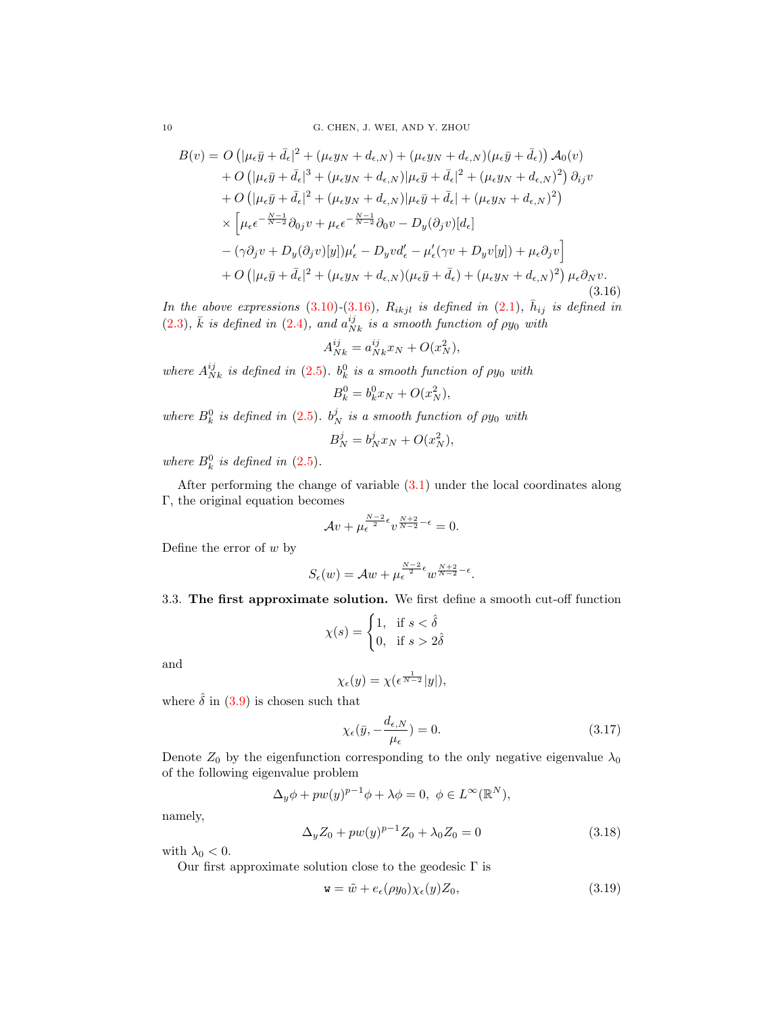<span id="page-9-1"></span>
$$
B(v) = O\left(|\mu_{\epsilon}\bar{y} + \bar{d}_{\epsilon}|^{2} + (\mu_{\epsilon}y_{N} + d_{\epsilon,N}) + (\mu_{\epsilon}y_{N} + d_{\epsilon,N})(\mu_{\epsilon}\bar{y} + \bar{d}_{\epsilon})\right)A_{0}(v) + O\left(|\mu_{\epsilon}\bar{y} + \bar{d}_{\epsilon}|^{3} + (\mu_{\epsilon}y_{N} + d_{\epsilon,N})|\mu_{\epsilon}\bar{y} + \bar{d}_{\epsilon}|^{2} + (\mu_{\epsilon}y_{N} + d_{\epsilon,N})^{2}\right)\partial_{ij}v + O\left(|\mu_{\epsilon}\bar{y} + \bar{d}_{\epsilon}|^{2} + (\mu_{\epsilon}y_{N} + d_{\epsilon,N})|\mu_{\epsilon}\bar{y} + \bar{d}_{\epsilon}| + (\mu_{\epsilon}y_{N} + d_{\epsilon,N})^{2}\right) \times \left[\mu_{\epsilon}\epsilon^{-\frac{N-1}{N-2}}\partial_{0j}v + \mu_{\epsilon}\epsilon^{-\frac{N-1}{N-2}}\partial_{0}v - D_{y}(\partial_{j}v)[d_{\epsilon}] \right. - (\gamma\partial_{j}v + D_{y}(\partial_{j}v)[y])\mu'_{\epsilon} - D_{y}vd'_{\epsilon} - \mu'_{\epsilon}(\gamma v + D_{y}v[y]) + \mu_{\epsilon}\partial_{j}v \right] + O\left(|\mu_{\epsilon}\bar{y} + \bar{d}_{\epsilon}|^{2} + (\mu_{\epsilon}y_{N} + d_{\epsilon,N})(\mu_{\epsilon}\bar{y} + \bar{d}_{\epsilon}) + (\mu_{\epsilon}y_{N} + d_{\epsilon,N})^{2}\right)\mu_{\epsilon}\partial_{N}v.
$$
\n(3.16)

In the above expressions [\(3.10\)](#page-8-1)-[\(3.16\)](#page-9-1),  $R_{ikjl}$  is defined in [\(2.1\)](#page-5-1),  $\bar{h}_{ij}$  is defined in [\(2.3\)](#page-5-2),  $\bar{k}$  is defined in [\(2.4\)](#page-5-3), and  $a_{Nk}^{ij}$  is a smooth function of  $\rho y_0$  with

$$
A_{Nk}^{ij} = a_{Nk}^{ij} x_N + O(x_N^2),
$$

where  $A_{Nk}^{ij}$  is defined in [\(2.5\)](#page-6-1).  $b_k^0$  is a smooth function of  $\rho y_0$  with

$$
B_k^0 = b_k^0 x_N + O(x_N^2),
$$

where  $B_k^0$  is defined in [\(2.5\)](#page-6-1).  $b_N^j$  is a smooth function of  $\rho y_0$  with

$$
B_N^j = b_N^j x_N + O(x_N^2),
$$

where  $B_k^0$  is defined in [\(2.5\)](#page-6-1).

After performing the change of variable [\(3.1\)](#page-7-2) under the local coordinates along Γ, the original equation becomes

$$
\mathcal{A}v + \mu_{\epsilon}^{\frac{N-2}{2}\epsilon}v^{\frac{N+2}{N-2}-\epsilon} = 0.
$$

Define the error of  $w$  by

$$
S_\epsilon(w)=\mathcal{A} w + \mu_\epsilon^{\frac{N-2}{2}\epsilon} w^{\frac{N+2}{N-2}-\epsilon}.
$$

3.3. The first approximate solution. We first define a smooth cut-off function

$$
\chi(s) = \begin{cases} 1, & \text{if } s < \hat{\delta} \\ 0, & \text{if } s > 2\hat{\delta} \end{cases}
$$

and

$$
\chi_{\epsilon}(y) = \chi(\epsilon^{\frac{1}{N-2}}|y|),
$$

where  $\hat{\delta}$  in [\(3.9\)](#page-7-3) is chosen such that

<span id="page-9-3"></span>
$$
\chi_{\epsilon}(\bar{y}, -\frac{d_{\epsilon,N}}{\mu_{\epsilon}}) = 0.
$$
\n(3.17)

Denote  $Z_0$  by the eigenfunction corresponding to the only negative eigenvalue  $\lambda_0$ of the following eigenvalue problem

$$
\Delta_y \phi + pw(y)^{p-1} \phi + \lambda \phi = 0, \ \phi \in L^{\infty}(\mathbb{R}^N),
$$

namely,

<span id="page-9-0"></span>
$$
\Delta_y Z_0 + p w(y)^{p-1} Z_0 + \lambda_0 Z_0 = 0 \tag{3.18}
$$

with  $\lambda_0 < 0$ .

Our first approximate solution close to the geodesic  $\Gamma$  is

<span id="page-9-2"></span>
$$
\mathbf{w} = \tilde{w} + e_{\epsilon}(\rho y_0) \chi_{\epsilon}(y) Z_0, \tag{3.19}
$$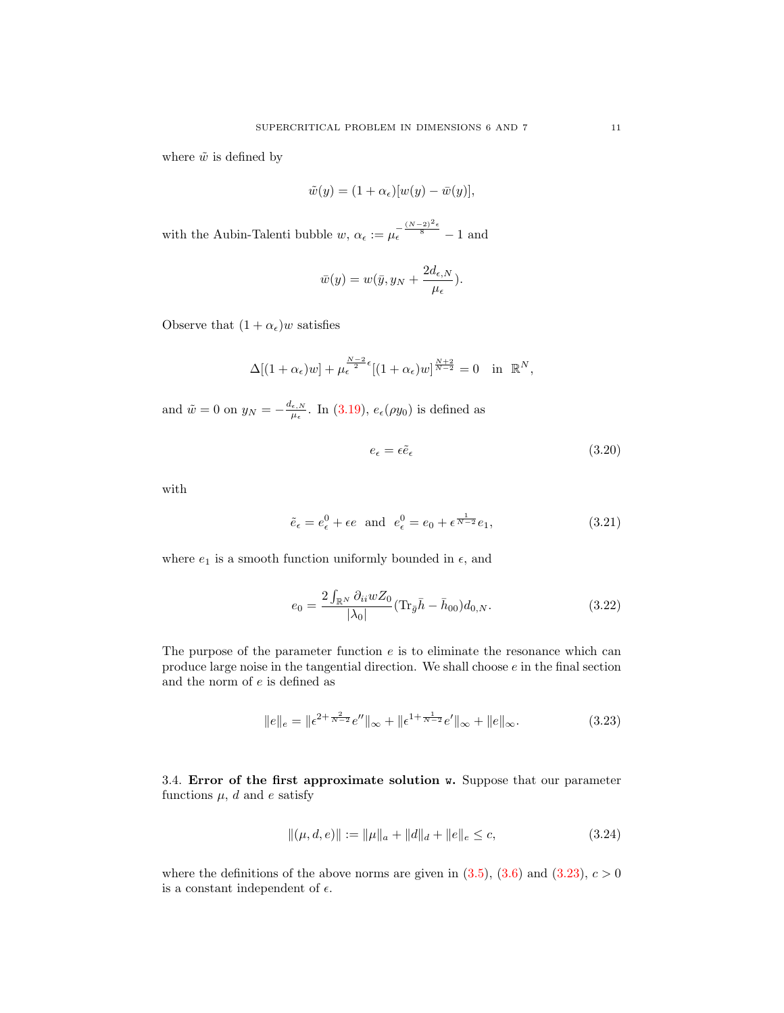where  $\tilde{w}$  is defined by

$$
\tilde{w}(y) = (1 + \alpha_{\epsilon})[w(y) - \bar{w}(y)],
$$

with the Aubin-Talenti bubble  $w, \alpha_{\epsilon} := \mu_{\epsilon}^{-\frac{(N-2)^2\epsilon}{8}} - 1$  and

$$
\bar{w}(y) = w(\bar{y}, y_N + \frac{2d_{\epsilon, N}}{\mu_{\epsilon}}).
$$

Observe that  $(1 + \alpha_{\epsilon})w$  satisfies

$$
\Delta[(1+\alpha_{\epsilon})w] + \mu_{\epsilon}^{\frac{N-2}{2}\epsilon}[(1+\alpha_{\epsilon})w]^{\frac{N+2}{N-2}} = 0 \text{ in } \mathbb{R}^N,
$$

and  $\tilde{w} = 0$  on  $y_N = -\frac{d_{\epsilon,N}}{d_{\epsilon,N}}$  $\frac{\epsilon, N}{\mu_{\epsilon}}$ . In [\(3.19\)](#page-9-2),  $e_{\epsilon}(\rho y_0)$  is defined as

<span id="page-10-4"></span>
$$
e_{\epsilon} = \epsilon \tilde{e}_{\epsilon} \tag{3.20}
$$

with

<span id="page-10-1"></span>
$$
\tilde{e}_{\epsilon} = e_{\epsilon}^{0} + \epsilon e \quad \text{and} \quad e_{\epsilon}^{0} = e_{0} + \epsilon^{\frac{1}{N-2}} e_{1},\tag{3.21}
$$

where  $e_1$  is a smooth function uniformly bounded in  $\epsilon$ , and

<span id="page-10-2"></span>
$$
e_0 = \frac{2\int_{\mathbb{R}^N} \partial_{ii} w Z_0}{|\lambda_0|} (\text{Tr}_{\bar{g}} \bar{h} - \bar{h}_{00}) d_{0,N}.
$$
 (3.22)

The purpose of the parameter function  $e$  is to eliminate the resonance which can produce large noise in the tangential direction. We shall choose  $e$  in the final section and the norm of  $e$  is defined as

<span id="page-10-0"></span>
$$
||e||_e = ||\epsilon^{2+\frac{2}{N-2}}e''||_{\infty} + ||\epsilon^{1+\frac{1}{N-2}}e'||_{\infty} + ||e||_{\infty}.
$$
\n(3.23)

3.4. Error of the first approximate solution w. Suppose that our parameter functions  $\mu$ , d and e satisfy

<span id="page-10-3"></span>
$$
\|(\mu, d, e)\| := \|\mu\|_a + \|d\|_d + \|e\|_e \le c,\tag{3.24}
$$

where the definitions of the above norms are given in  $(3.5)$ ,  $(3.6)$  and  $(3.23)$ ,  $c > 0$ is a constant independent of  $\epsilon$ .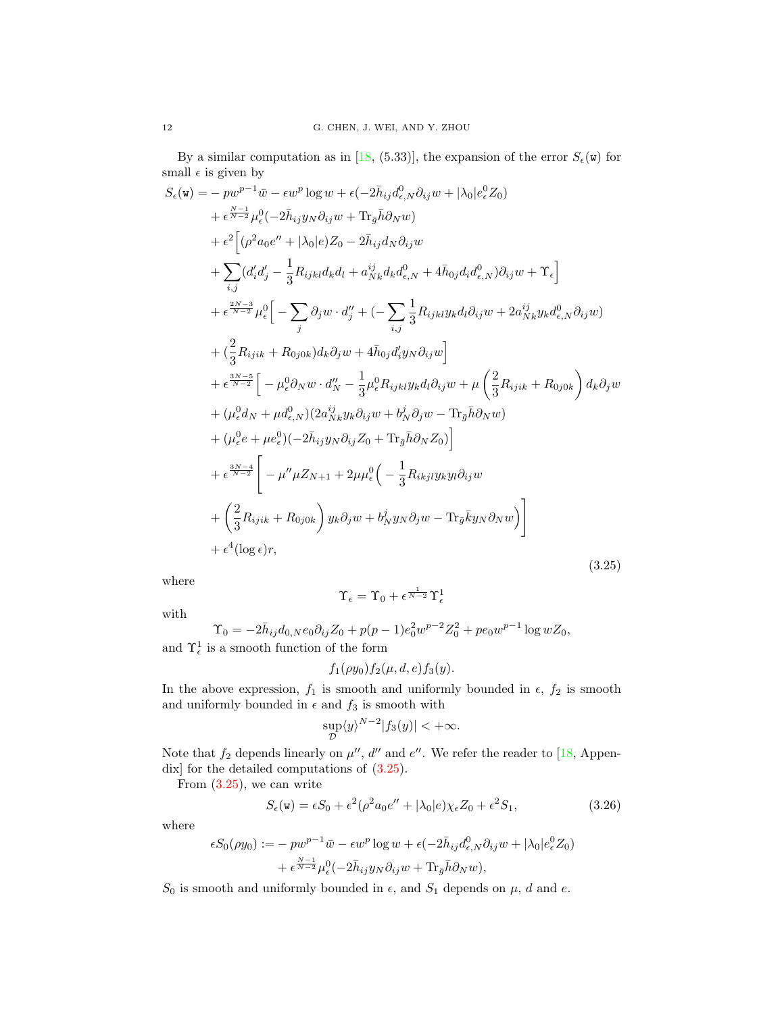By a similar computation as in [\[18,](#page-30-8) (5.33)], the expansion of the error  $S_{\epsilon}(\mathbf{w})$  for small  $\epsilon$  is given by

<span id="page-11-0"></span>
$$
S_{\epsilon}(\mathbf{w}) = -pw^{p-1}\bar{w} - \epsilon w^{p} \log w + \epsilon(-2\bar{h}_{ij}d_{\epsilon,N}^{0}\partial_{ij}w + |\lambda_{0}|e_{\epsilon}^{0}Z_{0})
$$
  
+  $\epsilon^{\frac{N-1}{N-2}}\mu_{\epsilon}^{0}(-2\bar{h}_{ij}y_{N}\partial_{ij}w + \text{Tr}_{\bar{g}}\bar{h}\partial_{N}w)$   
+  $\epsilon^{2}\left[(\rho^{2}a_{0}e^{\prime\prime} + |\lambda_{0}|e)Z_{0} - 2\bar{h}_{ij}d_{N}\partial_{ij}w$   
+  $\sum_{i,j}(d'_{i}d'_{j} - \frac{1}{3}R_{ijkl}d_{k}d_{l} + a_{Nk}^{ij}d_{k}d_{\epsilon,N}^{0} + 4\bar{h}_{0j}d_{i}d_{\epsilon,N}^{0})\partial_{ij}w + \Upsilon_{\epsilon}\right]$   
+  $\epsilon^{\frac{2N-3}{N-2}}\mu_{\epsilon}^{0}\left[-\sum_{j}\partial_{j}w \cdot d''_{j} + (-\sum_{i,j}\frac{1}{3}R_{ijkl}y_{k}d_{l}\partial_{ij}w + 2a_{Nk}^{ij}y_{k}d_{\epsilon,N}^{0}\partial_{ij}w)\right]$   
+  $(\frac{2}{3}R_{ijik} + R_{0j0k})d_{k}\partial_{j}w + 4\bar{h}_{0j}d'_{ij}y_{N}\partial_{ij}w\right]$   
+  $\epsilon^{\frac{3N-5}{N-2}}\left[-\mu_{\epsilon}^{0}\partial_{N}w \cdot d''_{N} - \frac{1}{3}\mu_{\epsilon}^{0}R_{ijkl}y_{k}d_{l}\partial_{ij}w + \mu\left(\frac{2}{3}R_{ijik} + R_{0j0k}\right)d_{k}\partial_{j}w\right]$   
+  $(\mu_{\epsilon}^{0}d_{N} + \mu d_{\epsilon,N}^{0})(2a_{Nk}^{ij}y_{k}\partial_{ij}w + b_{N}^{j}\partial_{j}w - \text{Tr}_{\bar{g}}\bar{h}\partial_{N}w)$   
+  $(\mu_{\epsilon}^{0}e + \mu e_{\epsilon}^{0})(-2\bar{h}_{ij}y_{N}\partial_{ij}z_{0} + \text{Tr}_{\bar{g}}\bar{h}\partial_{N}z$ 

where

$$
\Upsilon_\epsilon=\Upsilon_0+\epsilon^{\frac{1}{N-2}}\Upsilon^1_\epsilon
$$

with

$$
\Upsilon_0 = -2\bar{h}_{ij}d_{0,N}e_0\partial_{ij}Z_0 + p(p-1)e_0^2w^{p-2}Z_0^2 + pe_0w^{p-1}\log wZ_0,
$$
  
and  $\Upsilon_{\epsilon}^1$  is a smooth function of the form

$$
f_1(\rho y_0) f_2(\mu, d, e) f_3(y).
$$

In the above expression,  $f_1$  is smooth and uniformly bounded in  $\epsilon$ ,  $f_2$  is smooth and uniformly bounded in  $\epsilon$  and  $f_3$  is smooth with

$$
\sup_{\mathcal{D}} \langle y \rangle^{N-2} |f_3(y)| < +\infty.
$$

Note that  $f_2$  depends linearly on  $\mu''$ , d'' and e''. We refer the reader to [\[18,](#page-30-8) Appendix] for the detailed computations of [\(3.25\)](#page-11-0).

From  $(3.25)$ , we can write

<span id="page-11-1"></span>
$$
S_{\epsilon}(\mathbf{w}) = \epsilon S_0 + \epsilon^2 (\rho^2 a_0 e'' + |\lambda_0| e) \chi_{\epsilon} Z_0 + \epsilon^2 S_1,
$$
\n(3.26)

where

$$
\epsilon S_0(\rho y_0) := -p w^{p-1} \bar{w} - \epsilon w^p \log w + \epsilon (-2 \bar{h}_{ij} d_{\epsilon,N}^0 \partial_{ij} w + |\lambda_0| e_{\epsilon}^0 Z_0)
$$
  
+ 
$$
\epsilon^{\frac{N-1}{N-2}} \mu_{\epsilon}^0 (-2 \bar{h}_{ij} y_N \partial_{ij} w + \text{Tr}_{\bar{g}} \bar{h} \partial_N w),
$$

 $S_0$  is smooth and uniformly bounded in  $\epsilon$ , and  $S_1$  depends on  $\mu$ , d and e.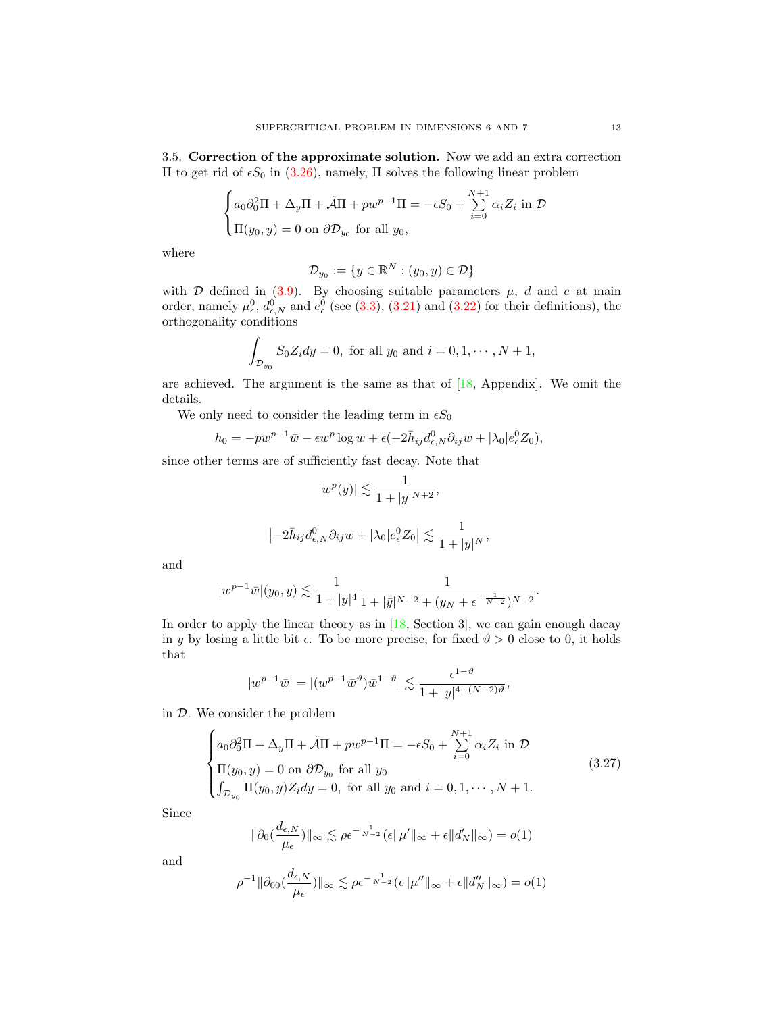<span id="page-12-1"></span>3.5. Correction of the approximate solution. Now we add an extra correction II to get rid of  $\epsilon S_0$  in [\(3.26\)](#page-11-1), namely, Π solves the following linear problem

$$
\begin{cases} a_0 \partial_0^2 \Pi + \Delta_y \Pi + \tilde{\mathcal{A}} \Pi + p w^{p-1} \Pi = -\epsilon S_0 + \sum_{i=0}^{N+1} \alpha_i Z_i \text{ in } \mathcal{D} \\ \Pi(y_0, y) = 0 \text{ on } \partial \mathcal{D}_{y_0} \text{ for all } y_0, \end{cases}
$$

where

$$
\mathcal{D}_{y_0} := \{ y \in \mathbb{R}^N : (y_0, y) \in \mathcal{D} \}
$$

with  $D$  defined in [\(3.9\)](#page-7-3). By choosing suitable parameters  $\mu$ , d and e at main order, namely  $\mu_{\epsilon}^0$ ,  $d_{\epsilon,N}^0$  and  $e_{\epsilon}^0$  (see [\(3.3\)](#page-7-6), [\(3.21\)](#page-10-1) and [\(3.22\)](#page-10-2) for their definitions), the orthogonality conditions

$$
\int_{\mathcal{D}_{y_0}} S_0 Z_i dy = 0, \text{ for all } y_0 \text{ and } i = 0, 1, \cdots, N+1,
$$

are achieved. The argument is the same as that of  $[18,$  Appendix]. We omit the details.

We only need to consider the leading term in  $\epsilon S_0$ 

$$
h_0 = -pw^{p-1}\bar{w} - \epsilon w^p \log w + \epsilon(-2\bar{h}_{ij}d^0_{\epsilon,N}\partial_{ij}w + |\lambda_0|e^0_{\epsilon}Z_0),
$$

since other terms are of sufficiently fast decay. Note that

$$
|w^p(y)| \lesssim \frac{1}{1+|y|^{N+2}},
$$
  

$$
|-2\bar{h}_{ij}d^0_{\epsilon,N}\partial_{ij}w+|\lambda_0|e^0_{\epsilon}Z_0| \lesssim \frac{1}{1+|y|^N},
$$

and

<span id="page-12-0"></span>
$$
|w^{p-1}\overline{w}|(y_0,y) \lesssim \frac{1}{1+|y|^4} \frac{1}{1+|\overline{y}|^{N-2} + (y_N + \epsilon^{-\frac{1}{N-2}})^{N-2}}.
$$

In order to apply the linear theory as in [\[18,](#page-30-8) Section 3], we can gain enough dacay in y by losing a little bit  $\epsilon$ . To be more precise, for fixed  $\vartheta > 0$  close to 0, it holds that

$$
|w^{p-1}\bar{w}| = |(w^{p-1}\bar{w}^{\vartheta})\bar{w}^{1-\vartheta}| \lesssim \frac{\epsilon^{1-\vartheta}}{1+|y|^{4+(N-2)\vartheta}},
$$

in D. We consider the problem

$$
\begin{cases}\na_0 \partial_0^2 \Pi + \Delta_y \Pi + \tilde{\mathcal{A}} \Pi + p w^{p-1} \Pi = -\epsilon S_0 + \sum_{i=0}^{N+1} \alpha_i Z_i \text{ in } \mathcal{D} \\
\Pi(y_0, y) = 0 \text{ on } \partial \mathcal{D}_{y_0} \text{ for all } y_0 \\
\int_{\mathcal{D}_{y_0}} \Pi(y_0, y) Z_i dy = 0, \text{ for all } y_0 \text{ and } i = 0, 1, \cdots, N+1.\n\end{cases}
$$
\n(3.27)

Since

$$
\|\partial_0(\frac{d_{\epsilon,N}}{\mu_{\epsilon}})\|_{\infty} \lesssim \rho \epsilon^{-\frac{1}{N-2}}(\epsilon \|\mu'\|_{\infty} + \epsilon \|d_N'\|_{\infty}) = o(1)
$$

and

$$
\rho^{-1} \|\partial_{00}(\frac{d_{\epsilon,N}}{\mu_{\epsilon}})\|_{\infty} \lesssim \rho \epsilon^{-\frac{1}{N-2}} (\epsilon \|\mu''\|_{\infty} + \epsilon \|d''_N\|_{\infty}) = o(1)
$$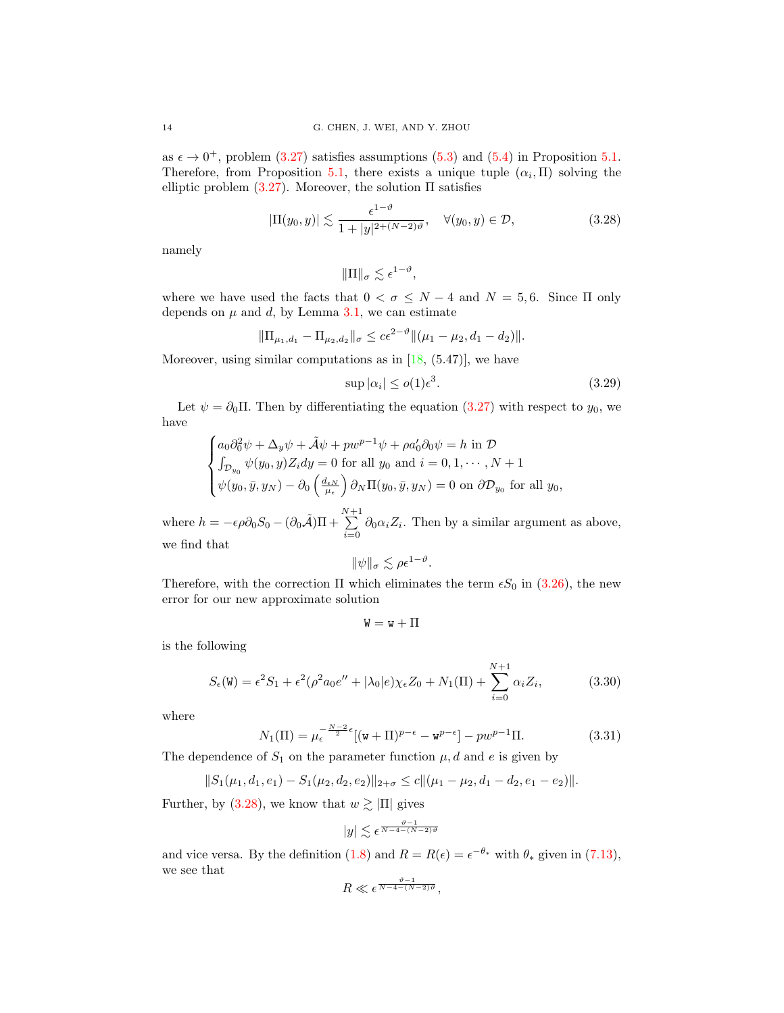as  $\epsilon \to 0^+$ , problem [\(3.27\)](#page-12-0) satisfies assumptions [\(5.3\)](#page-20-2) and [\(5.4\)](#page-20-3) in Proposition [5.1.](#page-20-1) Therefore, from Proposition [5.1,](#page-20-1) there exists a unique tuple  $(\alpha_i, \Pi)$  solving the elliptic problem  $(3.27)$ . Moreover, the solution  $\Pi$  satisfies

<span id="page-13-0"></span>
$$
|\Pi(y_0, y)| \lesssim \frac{\epsilon^{1-\vartheta}}{1+|y|^{2+(N-2)\vartheta}}, \quad \forall (y_0, y) \in \mathcal{D}, \tag{3.28}
$$

namely

$$
\|\Pi\|_{\sigma} \lesssim \epsilon^{1-\vartheta},
$$

where we have used the facts that  $0 < \sigma \leq N-4$  and  $N = 5, 6$ . Since  $\Pi$  only depends on  $\mu$  and  $d$ , by Lemma [3.1,](#page-8-0) we can estimate

$$
\|\Pi_{\mu_1,d_1} - \Pi_{\mu_2,d_2}\|_{\sigma} \leq c\epsilon^{2-\vartheta} \|(\mu_1 - \mu_2, d_1 - d_2)\|.
$$

Moreover, using similar computations as in  $[18, (5.47)]$ , we have

<span id="page-13-3"></span>
$$
\sup |\alpha_i| \le o(1)\epsilon^3. \tag{3.29}
$$

Let  $\psi = \partial_0 \Pi$ . Then by differentiating the equation [\(3.27\)](#page-12-0) with respect to  $y_0$ , we have

$$
\begin{cases} a_0 \partial_0^2 \psi + \Delta_y \psi + \tilde{\mathcal{A}} \psi + p w^{p-1} \psi + \rho a_0' \partial_0 \psi = h \text{ in } \mathcal{D} \\ \int_{\mathcal{D}_{y_0}} \psi(y_0, y) Z_i dy = 0 \text{ for all } y_0 \text{ and } i = 0, 1, \cdots, N+1 \\ \psi(y_0, \bar{y}, y_N) - \partial_0 \left( \frac{d_{\epsilon N}}{\mu_{\epsilon}} \right) \partial_N \Pi(y_0, \bar{y}, y_N) = 0 \text{ on } \partial \mathcal{D}_{y_0} \text{ for all } y_0, \end{cases}
$$

where  $h = -\epsilon \rho \partial_0 S_0 - (\partial_0 \tilde{\mathcal{A}}) \Pi + \sum_{k=1}^{N+1}$  $\sum_{i=0} \partial_0 \alpha_i Z_i$ . Then by a similar argument as above, we find that

$$
\|\psi\|_{\sigma} \lesssim \rho \epsilon^{1-\vartheta}.
$$

Therefore, with the correction  $\Pi$  which eliminates the term  $\epsilon S_0$  in [\(3.26\)](#page-11-1), the new error for our new approximate solution

$$
\mathtt{W}=\mathtt{w}+\Pi
$$

is the following

<span id="page-13-1"></span>
$$
S_{\epsilon}(\mathbf{W}) = \epsilon^2 S_1 + \epsilon^2 (\rho^2 a_0 e'' + |\lambda_0| e) \chi_{\epsilon} Z_0 + N_1(\Pi) + \sum_{i=0}^{N+1} \alpha_i Z_i,
$$
 (3.30)

where

$$
I_{1}(\Pi) = \mu_{\epsilon}^{-\frac{N-2}{2}\epsilon}[(\mathbf{w} + \Pi)^{p-\epsilon} - \mathbf{w}^{p-\epsilon}] - pw^{p-1}\Pi.
$$
 (3.31)

The dependence of  $S_1$  on the parameter function  $\mu$ , d and e is given by

$$
||S_1(\mu_1, d_1, e_1) - S_1(\mu_2, d_2, e_2)||_{2+\sigma} \leq c||(\mu_1 - \mu_2, d_1 - d_2, e_1 - e_2)||.
$$

Further, by [\(3.28\)](#page-13-0), we know that  $w \gtrsim |\Pi|$  gives

<span id="page-13-2"></span> $N$ 

$$
|y| \lesssim \epsilon^{\frac{\vartheta - 1}{N - 4 - (N - 2)\vartheta}}
$$

and vice versa. By the definition [\(1.8\)](#page-3-2) and  $R = R(\epsilon) = \epsilon^{-\theta_*}$  with  $\theta_*$  given in [\(7.13\)](#page-26-0), we see that

$$
R \ll \epsilon^{\frac{\vartheta - 1}{N - 4 - (N - 2)\vartheta}},
$$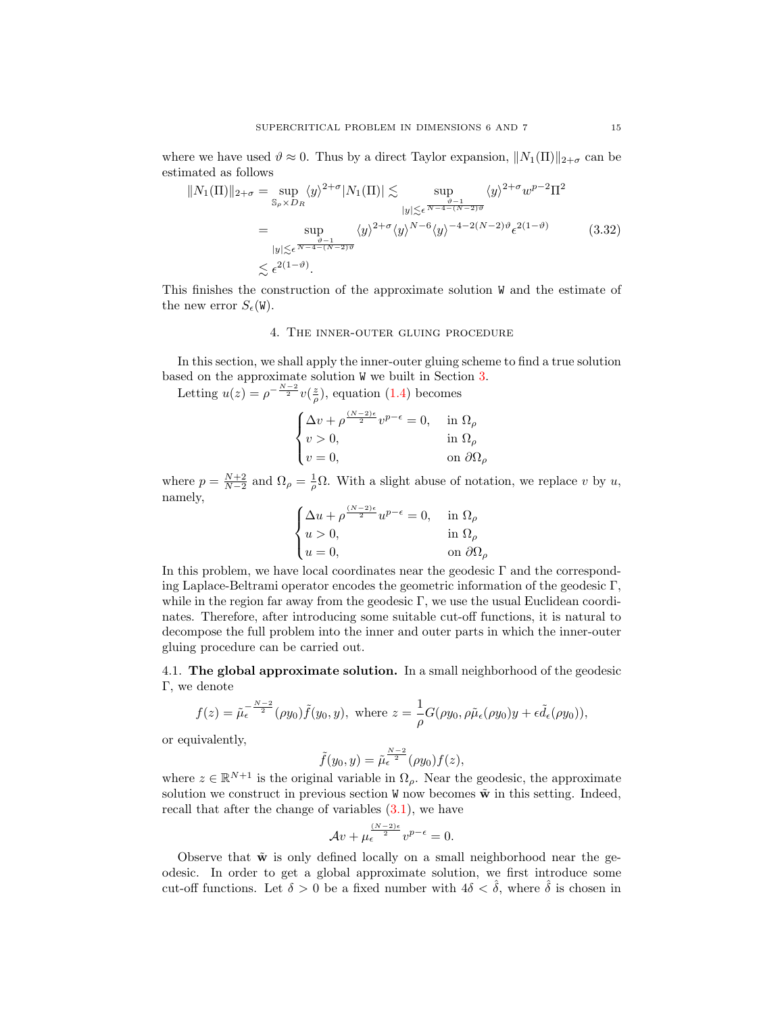where we have used  $\vartheta \approx 0$ . Thus by a direct Taylor expansion,  $||N_1(\Pi)||_{2+\sigma}$  can be estimated as follows

<span id="page-14-1"></span>
$$
||N_1(\Pi)||_{2+\sigma} = \sup_{\mathbb{S}_\rho \times D_R} \langle y \rangle^{2+\sigma} |N_1(\Pi)| \lesssim \sup_{\substack{y \mid \leq \epsilon \ \overline{N-4-(N-2)\vartheta}}} \langle y \rangle^{2+\sigma} w^{p-2} \Pi^2
$$
  

$$
= \sup_{\substack{y \mid \leq \epsilon \ \overline{N-4-(N-2)\vartheta}}} \langle y \rangle^{2+\sigma} \langle y \rangle^{N-6} \langle y \rangle^{-4-2(N-2)\vartheta} \epsilon^{2(1-\vartheta)} \qquad (3.32)
$$
  

$$
\lesssim \epsilon^{2(1-\vartheta)}.
$$

This finishes the construction of the approximate solution W and the estimate of the new error  $S_{\epsilon}(\mathbf{W})$ .

## 4. The inner-outer gluing procedure

<span id="page-14-0"></span>In this section, we shall apply the inner-outer gluing scheme to find a true solution based on the approximate solution W we built in Section [3.](#page-6-0)

Letting  $u(z) = \rho^{-\frac{N-2}{2}}v(\frac{z}{\rho})$ , equation [\(1.4\)](#page-1-0) becomes

$$
\begin{cases} \Delta v + \rho^{\frac{(N-2)\epsilon}{2}} v^{p-\epsilon} = 0, & \text{in } \Omega_{\rho} \\ v > 0, & \text{in } \Omega_{\rho} \\ v = 0, & \text{on } \partial\Omega_{\rho} \end{cases}
$$

where  $p = \frac{N+2}{N-2}$  and  $\Omega_{\rho} = \frac{1}{\rho} \Omega$ . With a slight abuse of notation, we replace v by u, namely,

$$
\begin{cases} \Delta u+\rho^{\frac{(N-2)\epsilon}{2}}u^{p-\epsilon}=0, &\text{ in } \Omega_\rho\\ u>0, &\text{ in } \Omega_\rho\\ u=0, &\text{ on } \partial \Omega_\rho \end{cases}
$$

In this problem, we have local coordinates near the geodesic  $\Gamma$  and the corresponding Laplace-Beltrami operator encodes the geometric information of the geodesic Γ, while in the region far away from the geodesic Γ, we use the usual Euclidean coordinates. Therefore, after introducing some suitable cut-off functions, it is natural to decompose the full problem into the inner and outer parts in which the inner-outer gluing procedure can be carried out.

4.1. The global approximate solution. In a small neighborhood of the geodesic Γ, we denote

$$
f(z) = \tilde{\mu}_{\epsilon}^{-\frac{N-2}{2}}(\rho y_0) \tilde{f}(y_0, y), \text{ where } z = \frac{1}{\rho} G(\rho y_0, \rho \tilde{\mu}_{\epsilon}(\rho y_0) y + \epsilon \tilde{d}_{\epsilon}(\rho y_0)),
$$

or equivalently,

$$
\tilde{f}(y_0, y) = \tilde{\mu}_{\epsilon}^{\frac{N-2}{2}}(\rho y_0) f(z),
$$

where  $z \in \mathbb{R}^{N+1}$  is the original variable in  $\Omega_{\rho}$ . Near the geodesic, the approximate solution we construct in previous section W now becomes  $\tilde{\mathbf{w}}$  in this setting. Indeed, recall that after the change of variables  $(3.1)$ , we have

$$
\mathcal{A}v + \mu_{\epsilon}^{\frac{(N-2)\epsilon}{2}}v^{p-\epsilon} = 0.
$$

Observe that  $\tilde{\mathbf{w}}$  is only defined locally on a small neighborhood near the geodesic. In order to get a global approximate solution, we first introduce some cut-off functions. Let  $\delta > 0$  be a fixed number with  $4\delta < \hat{\delta}$ , where  $\hat{\delta}$  is chosen in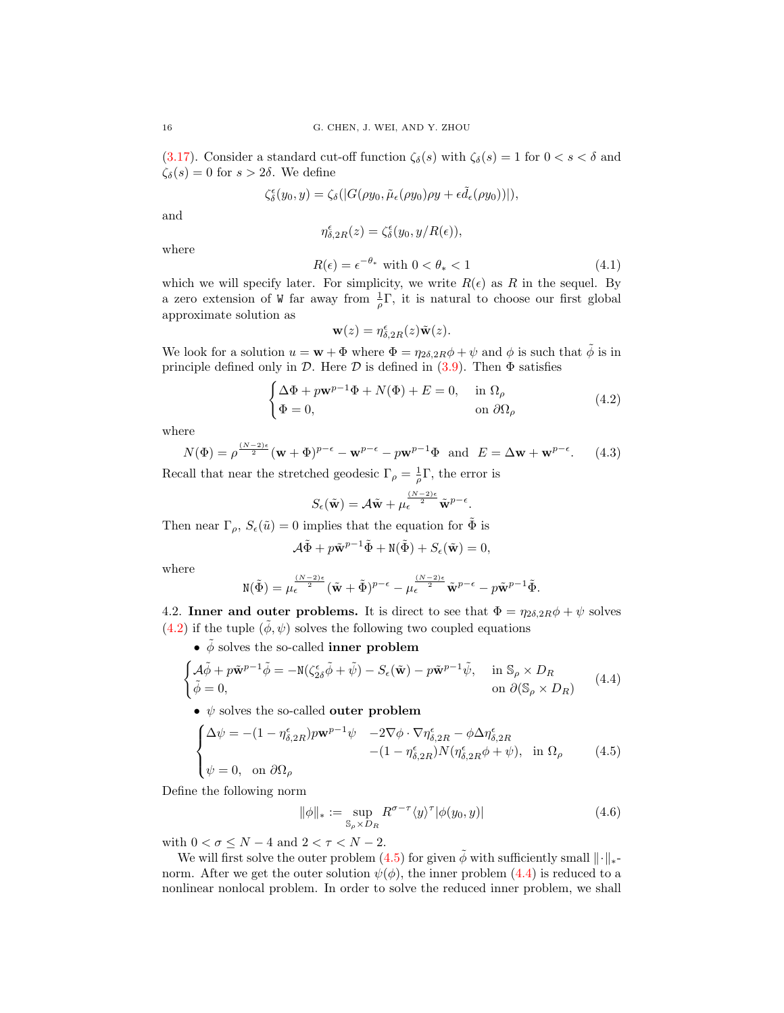[\(3.17\)](#page-9-3). Consider a standard cut-off function  $\zeta_\delta(s)$  with  $\zeta_\delta(s) = 1$  for  $0 < s < \delta$  and  $\zeta_{\delta}(s) = 0$  for  $s > 2\delta$ . We define

$$
\zeta_{\delta}^{\epsilon}(y_0, y) = \zeta_{\delta}(|G(\rho y_0, \tilde{\mu}_{\epsilon}(\rho y_0)\rho y + \epsilon \tilde{d}_{\epsilon}(\rho y_0))|),
$$

and

$$
\eta_{\delta,2R}^{\epsilon}(z) = \zeta_{\delta}^{\epsilon}(y_0, y/R(\epsilon)),
$$

where

<span id="page-15-5"></span>
$$
R(\epsilon) = \epsilon^{-\theta_*} \text{ with } 0 < \theta_* < 1 \tag{4.1}
$$

which we will specify later. For simplicity, we write  $R(\epsilon)$  as R in the sequel. By a zero extension of W far away from  $\frac{1}{\rho}\Gamma$ , it is natural to choose our first global approximate solution as

$$
\mathbf{w}(z) = \eta_{\delta,2R}^{\epsilon}(z)\tilde{\mathbf{w}}(z).
$$

We look for a solution  $u = \mathbf{w} + \Phi$  where  $\Phi = \eta_{2\delta, 2R}\phi + \psi$  and  $\phi$  is such that  $\tilde{\phi}$  is in principle defined only in  $D$ . Here  $D$  is defined in [\(3.9\)](#page-7-3). Then  $\Phi$  satisfies

<span id="page-15-0"></span>
$$
\begin{cases} \Delta \Phi + p \mathbf{w}^{p-1} \Phi + N(\Phi) + E = 0, & \text{in } \Omega_{\rho} \\ \Phi = 0, & \text{on } \partial \Omega_{\rho} \end{cases}
$$
 (4.2)

where

<span id="page-15-4"></span>
$$
N(\Phi) = \rho^{\frac{(N-2)\epsilon}{2}} (\mathbf{w} + \Phi)^{p-\epsilon} - \mathbf{w}^{p-\epsilon} - p\mathbf{w}^{p-1} \Phi \text{ and } E = \Delta \mathbf{w} + \mathbf{w}^{p-\epsilon}.
$$
 (4.3)

Recall that near the stretched geodesic  $\Gamma_{\rho} = \frac{1}{\rho} \Gamma$ , the error is

$$
S_{\epsilon}(\tilde{\mathbf{w}}) = A\tilde{\mathbf{w}} + \mu_{\epsilon}^{\frac{(N-2)\epsilon}{2}} \tilde{\mathbf{w}}^{p-\epsilon}.
$$

Then near  $\Gamma_{\rho}$ ,  $S_{\epsilon}(\tilde{u}) = 0$  implies that the equation for  $\tilde{\Phi}$  is

$$
\mathcal{A}\tilde{\Phi} + p\tilde{\mathbf{w}}^{p-1}\tilde{\Phi} + \mathbf{N}(\tilde{\Phi}) + S_{\epsilon}(\tilde{\mathbf{w}}) = 0,
$$

where

$$
\mathbf{N}(\tilde{\Phi}) = \mu_{\epsilon}^{\frac{(N-2)\epsilon}{2}} (\tilde{\mathbf{w}} + \tilde{\Phi})^{p-\epsilon} - \mu_{\epsilon}^{\frac{(N-2)\epsilon}{2}} \tilde{\mathbf{w}}^{p-\epsilon} - p\tilde{\mathbf{w}}^{p-1} \tilde{\Phi}.
$$

4.2. Inner and outer problems. It is direct to see that  $\Phi = \eta_{2\delta, 2R}\phi + \psi$  solves [\(4.2\)](#page-15-0) if the tuple  $(\tilde{\phi}, \psi)$  solves the following two coupled equations

 $\bullet$   ${\tilde{\phi}}$  solves the so-called inner problem

<span id="page-15-2"></span>
$$
\begin{cases} \mathcal{A}\tilde{\phi} + p\tilde{\mathbf{w}}^{p-1}\tilde{\phi} = -\mathbb{N}(\zeta_{2\delta}^{\epsilon}\tilde{\phi} + \tilde{\psi}) - S_{\epsilon}(\tilde{\mathbf{w}}) - p\tilde{\mathbf{w}}^{p-1}\tilde{\psi}, & \text{in } \mathbb{S}_{\rho} \times D_R \\ \tilde{\phi} = 0, & \text{on } \partial(\mathbb{S}_{\rho} \times D_R) \end{cases} (4.4)
$$

 $\bullet \hspace{0.1cm} \psi$  solves the so-called  $\textbf{outer}$  problem

<span id="page-15-1"></span>
$$
\begin{cases} \Delta \psi = -(1 - \eta_{\delta, 2R}^{\epsilon}) p \mathbf{w}^{p-1} \psi & -2 \nabla \phi \cdot \nabla \eta_{\delta, 2R}^{\epsilon} - \phi \Delta \eta_{\delta, 2R}^{\epsilon} \\ \psi = 0, & \text{on } \partial \Omega_{\rho} \end{cases} \tag{4.5}
$$
  
(4.5)

Define the following norm

<span id="page-15-3"></span>
$$
\|\phi\|_{*} := \sup_{\mathbb{S}_{\rho} \times D_{R}} R^{\sigma - \tau} \langle y \rangle^{\tau} |\phi(y_{0}, y)| \tag{4.6}
$$

with  $0 < \sigma \le N - 4$  and  $2 < \tau < N - 2$ .

We will first solve the outer problem [\(4.5\)](#page-15-1) for given  $\phi$  with sufficiently small  $\|\cdot\|_{*}$ norm. After we get the outer solution  $\psi(\phi)$ , the inner problem [\(4.4\)](#page-15-2) is reduced to a nonlinear nonlocal problem. In order to solve the reduced inner problem, we shall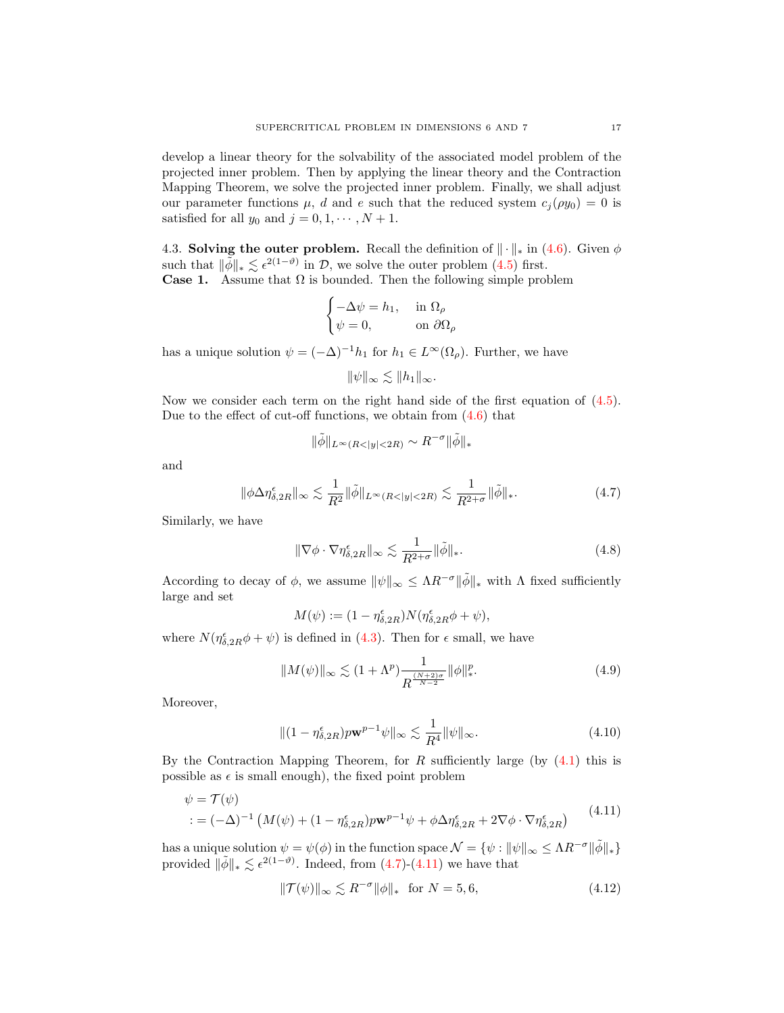develop a linear theory for the solvability of the associated model problem of the projected inner problem. Then by applying the linear theory and the Contraction Mapping Theorem, we solve the projected inner problem. Finally, we shall adjust our parameter functions  $\mu$ , d and e such that the reduced system  $c_j(\rho y_0) = 0$  is satisfied for all  $y_0$  and  $j = 0, 1, \dots, N + 1$ .

4.3. Solving the outer problem. Recall the definition of  $\|\cdot\|_*$  in [\(4.6\)](#page-15-3). Given  $\phi$ such that  $\|\tilde{\phi}\|_{*} \lesssim \epsilon^{2(1-\vartheta)}$  in D, we solve the outer problem [\(4.5\)](#page-15-1) first. **Case 1.** Assume that  $\Omega$  is bounded. Then the following simple problem

$$
\begin{cases}\n-\Delta \psi = h_1, & \text{in } \Omega_\rho \\
\psi = 0, & \text{on } \partial \Omega_\rho\n\end{cases}
$$

has a unique solution  $\psi = (-\Delta)^{-1} h_1$  for  $h_1 \in L^{\infty}(\Omega_{\rho})$ . Further, we have

$$
\|\psi\|_{\infty} \lesssim \|h_1\|_{\infty}.
$$

Now we consider each term on the right hand side of the first equation of  $(4.5)$ . Due to the effect of cut-off functions, we obtain from [\(4.6\)](#page-15-3) that

$$
\|\tilde\phi\|_{L^\infty(R<|y|<2R)}\sim R^{-\sigma}\|\tilde\phi\|_*
$$

and

<span id="page-16-0"></span>
$$
\|\phi\Delta\eta_{\delta,2R}^{\epsilon}\|_{\infty} \lesssim \frac{1}{R^2} \|\tilde{\phi}\|_{L^{\infty}(R<|y|<2R)} \lesssim \frac{1}{R^{2+\sigma}} \|\tilde{\phi}\|_{*}.
$$
 (4.7)

Similarly, we have

$$
\|\nabla \phi \cdot \nabla \eta_{\delta,2R}^{\epsilon}\|_{\infty} \lesssim \frac{1}{R^{2+\sigma}} \|\tilde{\phi}\|_{*}.
$$
 (4.8)

According to decay of  $\phi$ , we assume  $\|\psi\|_{\infty} \leq \Lambda R^{-\sigma} \|\tilde{\phi}\|_{*}$  with  $\Lambda$  fixed sufficiently large and set

 $M(\psi) := (1 - \eta_{\delta, 2R}^{\epsilon}) N(\eta_{\delta, 2R}^{\epsilon} \phi + \psi),$ 

where  $N(\eta_{\delta,2R}^{\epsilon}\phi+\psi)$  is defined in [\(4.3\)](#page-15-4). Then for  $\epsilon$  small, we have

<span id="page-16-2"></span>
$$
||M(\psi)||_{\infty} \lesssim (1 + \Lambda^p) \frac{1}{R^{\frac{(N+2)\sigma}{N-2}}} ||\phi||_*^p. \tag{4.9}
$$

Moreover,

<span id="page-16-3"></span>
$$
\|(1 - \eta_{\delta, 2R}^{\epsilon}) p \mathbf{w}^{p-1} \psi\|_{\infty} \lesssim \frac{1}{R^4} \|\psi\|_{\infty}.
$$
\n(4.10)

By the Contraction Mapping Theorem, for R sufficiently large (by  $(4.1)$ ) this is possible as  $\epsilon$  is small enough), the fixed point problem

<span id="page-16-1"></span>
$$
\psi = \mathcal{T}(\psi)
$$
  
 :=  $(-\Delta)^{-1} \left( M(\psi) + (1 - \eta_{\delta, 2R}^{\epsilon}) p \mathbf{w}^{p-1} \psi + \phi \Delta \eta_{\delta, 2R}^{\epsilon} + 2 \nabla \phi \cdot \nabla \eta_{\delta, 2R}^{\epsilon} \right)$  (4.11)

has a unique solution  $\psi = \psi(\phi)$  in the function space  $\mathcal{N} = \{\psi : ||\psi||_{\infty} \leq \Lambda R^{-\sigma} ||\tilde{\phi}||_*\}$ provided  $\|\tilde{\phi}\|_{*} \lesssim \epsilon^{2(1-\vartheta)}$ . Indeed, from [\(4.7\)](#page-16-0)-[\(4.11\)](#page-16-1) we have that

<span id="page-16-4"></span>
$$
\|\mathcal{T}(\psi)\|_{\infty} \lesssim R^{-\sigma} \|\phi\|_{*} \quad \text{for } N = 5, 6,
$$
\n(4.12)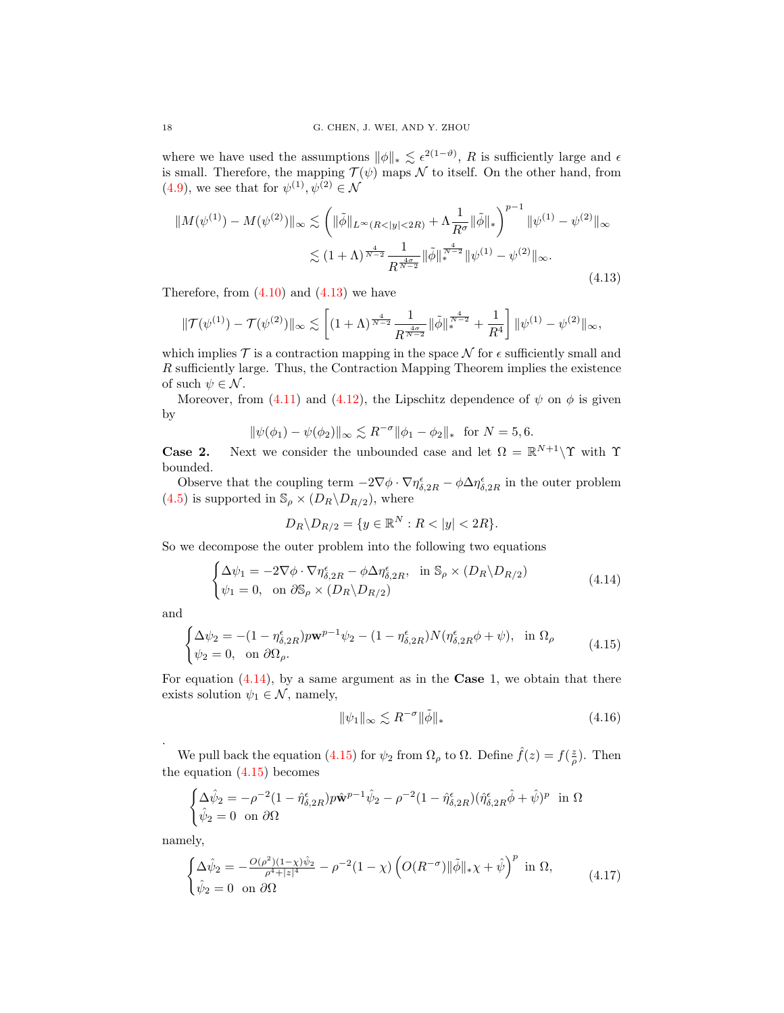where we have used the assumptions  $\|\phi\|_{*} \lesssim \epsilon^{2(1-\vartheta)}$ , R is sufficiently large and  $\epsilon$ is small. Therefore, the mapping  $\mathcal{T}(\psi)$  maps  $\mathcal N$  to itself. On the other hand, from [\(4.9\)](#page-16-2), we see that for  $\psi^{(1)}, \psi^{(2)} \in \mathcal{N}$ 

<span id="page-17-0"></span>
$$
||M(\psi^{(1)}) - M(\psi^{(2)})||_{\infty} \lesssim \left( ||\tilde{\phi}||_{L^{\infty}(R<|y|<2R)} + \Lambda \frac{1}{R^{\sigma}} ||\tilde{\phi}||_{*} \right)^{p-1} ||\psi^{(1)} - \psi^{(2)}||_{\infty}
$$
  

$$
\lesssim (1+\Lambda)^{\frac{4}{N-2}} \frac{1}{R^{\frac{4\sigma}{N-2}}} ||\tilde{\phi}||_{*}^{\frac{4}{N-2}} ||\psi^{(1)} - \psi^{(2)}||_{\infty}.
$$
 (4.13)

Therefore, from  $(4.10)$  and  $(4.13)$  we have

$$
\|\mathcal{T}(\psi^{(1)})-\mathcal{T}(\psi^{(2)})\|_\infty\lesssim \left[(1+\Lambda)^{\frac{4}{N-2}}\frac{1}{R^{\frac{4\sigma}{N-2}}}\|\tilde{\phi}\|_*^{\frac{4}{N-2}}+\frac{1}{R^4}\right]\|\psi^{(1)}-\psi^{(2)}\|_\infty,
$$

which implies  $\mathcal T$  is a contraction mapping in the space  $\mathcal N$  for  $\epsilon$  sufficiently small and R sufficiently large. Thus, the Contraction Mapping Theorem implies the existence of such  $\psi \in \mathcal{N}$ .

Moreover, from [\(4.11\)](#page-16-1) and [\(4.12\)](#page-16-4), the Lipschitz dependence of  $\psi$  on  $\phi$  is given by

$$
\|\psi(\phi_1) - \psi(\phi_2)\|_{\infty} \lesssim R^{-\sigma} \|\phi_1 - \phi_2\|_{*} \text{ for } N = 5, 6.
$$

**Case 2.** Next we consider the unbounded case and let  $\Omega = \mathbb{R}^{N+1} \setminus \Upsilon$  with  $\Upsilon$ bounded.

Observe that the coupling term  $-2\nabla\phi \cdot \nabla\eta_{\delta,2R}^{\epsilon} - \phi \Delta\eta_{\delta,2R}^{\epsilon}$  in the outer problem [\(4.5\)](#page-15-1) is supported in  $\mathbb{S}_{\rho} \times (D_R \backslash D_{R/2})$ , where

$$
D_R \backslash D_{R/2} = \{ y \in \mathbb{R}^N : R < |y| < 2R \}.
$$

So we decompose the outer problem into the following two equations

<span id="page-17-1"></span>
$$
\begin{cases} \Delta \psi_1 = -2 \nabla \phi \cdot \nabla \eta_{\delta, 2R}^{\epsilon} - \phi \Delta \eta_{\delta, 2R}^{\epsilon}, & \text{in } \mathbb{S}_{\rho} \times (D_R \backslash D_{R/2}) \\ \psi_1 = 0, & \text{on } \partial \mathbb{S}_{\rho} \times (D_R \backslash D_{R/2}) \end{cases}
$$
(4.14)

and

.

<span id="page-17-2"></span>
$$
\begin{cases} \Delta \psi_2 = -(1 - \eta_{\delta, 2R}^{\epsilon}) p \mathbf{w}^{p-1} \psi_2 - (1 - \eta_{\delta, 2R}^{\epsilon}) N (\eta_{\delta, 2R}^{\epsilon} \phi + \psi), & \text{in } \Omega_\rho \\ \psi_2 = 0, & \text{on } \partial \Omega_\rho. \end{cases} \tag{4.15}
$$

For equation  $(4.14)$ , by a same argument as in the **Case** 1, we obtain that there exists solution  $\psi_1 \in \mathcal{N}$ , namely,

$$
\|\psi_1\|_{\infty} \lesssim R^{-\sigma} \|\tilde{\phi}\|_{*} \tag{4.16}
$$

We pull back the equation [\(4.15\)](#page-17-2) for  $\psi_2$  from  $\Omega_\rho$  to  $\Omega$ . Define  $\hat{f}(z) = f(\frac{z}{\rho})$ . Then the equation  $(4.15)$  becomes

$$
\begin{cases} \Delta \hat{\psi}_2 = -\rho^{-2} (1 - \hat{\eta}_{\delta, 2R}^{\epsilon}) p \hat{\mathbf{w}}^{p-1} \hat{\psi}_2 - \rho^{-2} (1 - \hat{\eta}_{\delta, 2R}^{\epsilon}) (\hat{\eta}_{\delta, 2R}^{\epsilon} \hat{\phi} + \hat{\psi})^p \text{ in } \Omega\\ \hat{\psi}_2 = 0 \text{ on } \partial \Omega \end{cases}
$$

namely,

<span id="page-17-3"></span>
$$
\begin{cases}\n\Delta \hat{\psi}_2 = -\frac{O(\rho^2)(1-\chi)\hat{\psi}_2}{\rho^4 + |z|^4} - \rho^{-2}(1-\chi) \left( O(R^{-\sigma}) \|\tilde{\phi}\|_{*} \chi + \hat{\psi} \right)^p \text{ in } \Omega, \\
\hat{\psi}_2 = 0 \text{ on } \partial\Omega\n\end{cases} (4.17)
$$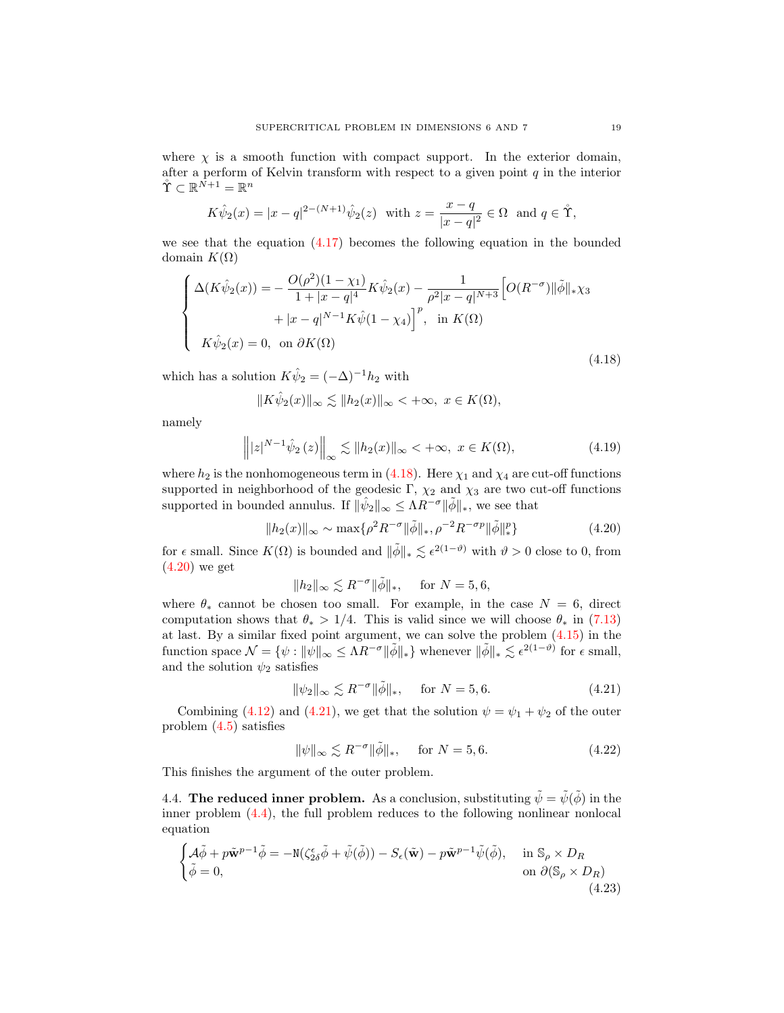where  $\chi$  is a smooth function with compact support. In the exterior domain, after a perform of Kelvin transform with respect to a given point  $q$  in the interior  $\mathring{\Upsilon} \subset \mathbb{R}^{\bar{N}+1} = \mathbb{R}^n$ 

$$
K\hat{\psi}_2(x) = |x - q|^{2 - (N+1)}\hat{\psi}_2(z)
$$
 with  $z = \frac{x - q}{|x - q|^2} \in \Omega$  and  $q \in \mathring{\Upsilon}$ ,

we see that the equation [\(4.17\)](#page-17-3) becomes the following equation in the bounded domain  $K(\Omega)$ 

<span id="page-18-0"></span>
$$
\begin{cases}\n\Delta(K\hat{\psi}_2(x)) = -\frac{O(\rho^2)(1-\chi_1)}{1+|x-q|^4} K \hat{\psi}_2(x) - \frac{1}{\rho^2 |x-q|^{N+3}} \Big[ O(R^{-\sigma}) \|\tilde{\phi}\|_{*} \chi_3 \\
+ |x-q|^{N-1} K \hat{\psi}_1(x) - \chi_4 \Big]^p, & \text{in } K(\Omega) \\
K\hat{\psi}_2(x) = 0, & \text{on } \partial K(\Omega)\n\end{cases}
$$
\n(4.18)

which has a solution  $K\hat{\psi}_2 = (-\Delta)^{-1}h_2$  with

$$
||K\hat{\psi}_2(x)||_{\infty} \lesssim ||h_2(x)||_{\infty} < +\infty, \ x \in K(\Omega),
$$

namely

$$
\left\| |z|^{N-1} \hat{\psi}_2 \left( z \right) \right\|_{\infty} \lesssim \| h_2(x) \|_{\infty} < +\infty, \ x \in K(\Omega), \tag{4.19}
$$

where  $h_2$  is the nonhomogeneous term in [\(4.18\)](#page-18-0). Here  $\chi_1$  and  $\chi_4$  are cut-off functions supported in neighborhood of the geodesic Γ,  $\chi_2$  and  $\chi_3$  are two cut-off functions supported in bounded annulus. If  $\|\hat{\psi}_2\|_{\infty} \leq \Lambda R^{-\sigma} \|\tilde{\phi}\|_{*}$ , we see that

<span id="page-18-1"></span>
$$
||h_2(x)||_{\infty} \sim \max\{\rho^2 R^{-\sigma} ||\tilde{\phi}||_{*,\rho}^{-2} R^{-\sigma p} ||\tilde{\phi}||_*^p\}
$$
\n(4.20)

for  $\epsilon$  small. Since  $K(\Omega)$  is bounded and  $\|\tilde{\phi}\|_{*} \lesssim \epsilon^{2(1-\vartheta)}$  with  $\vartheta > 0$  close to 0, from  $(4.20)$  we get

$$
||h_2||_{\infty} \lesssim R^{-\sigma} ||\tilde{\phi}||_*, \quad \text{ for } N = 5, 6,
$$

where  $\theta_*$  cannot be chosen too small. For example, in the case  $N = 6$ , direct computation shows that  $\theta_* > 1/4$ . This is valid since we will choose  $\theta_*$  in [\(7.13\)](#page-26-0) at last. By a similar fixed point argument, we can solve the problem [\(4.15\)](#page-17-2) in the function space  $\mathcal{N} = \{ \psi : ||\psi||_{\infty} \leq \Lambda R^{-\sigma} ||\tilde{\phi}||_* \}$  whenever  $||\tilde{\phi}||_* \lesssim \epsilon^{2(1-\vartheta)}$  for  $\epsilon$  small, and the solution  $\psi_2$  satisfies

<span id="page-18-2"></span>
$$
\|\psi_2\|_{\infty} \lesssim R^{-\sigma} \|\tilde{\phi}\|_{*}, \quad \text{for } N = 5, 6. \tag{4.21}
$$

Combining [\(4.12\)](#page-16-4) and [\(4.21\)](#page-18-2), we get that the solution  $\psi = \psi_1 + \psi_2$  of the outer problem [\(4.5\)](#page-15-1) satisfies

$$
\|\psi\|_{\infty} \lesssim R^{-\sigma} \|\tilde{\phi}\|_{*}, \quad \text{for } N = 5, 6. \tag{4.22}
$$

This finishes the argument of the outer problem.

4.4. The reduced inner problem. As a conclusion, substituting  $\tilde{\psi} = \tilde{\psi}(\tilde{\phi})$  in the inner problem [\(4.4\)](#page-15-2), the full problem reduces to the following nonlinear nonlocal equation

<span id="page-18-3"></span>
$$
\begin{cases}\n\mathcal{A}\tilde{\phi} + p\tilde{\mathbf{w}}^{p-1}\tilde{\phi} = -\mathbb{N}(\zeta_{2\delta}^{\epsilon}\tilde{\phi} + \tilde{\psi}(\tilde{\phi})) - S_{\epsilon}(\tilde{\mathbf{w}}) - p\tilde{\mathbf{w}}^{p-1}\tilde{\psi}(\tilde{\phi}), & \text{in } \mathbb{S}_{\rho} \times D_R \\
\tilde{\phi} = 0, & \text{on } \partial(\mathbb{S}_{\rho} \times D_R)\n\end{cases}
$$
\n(4.23)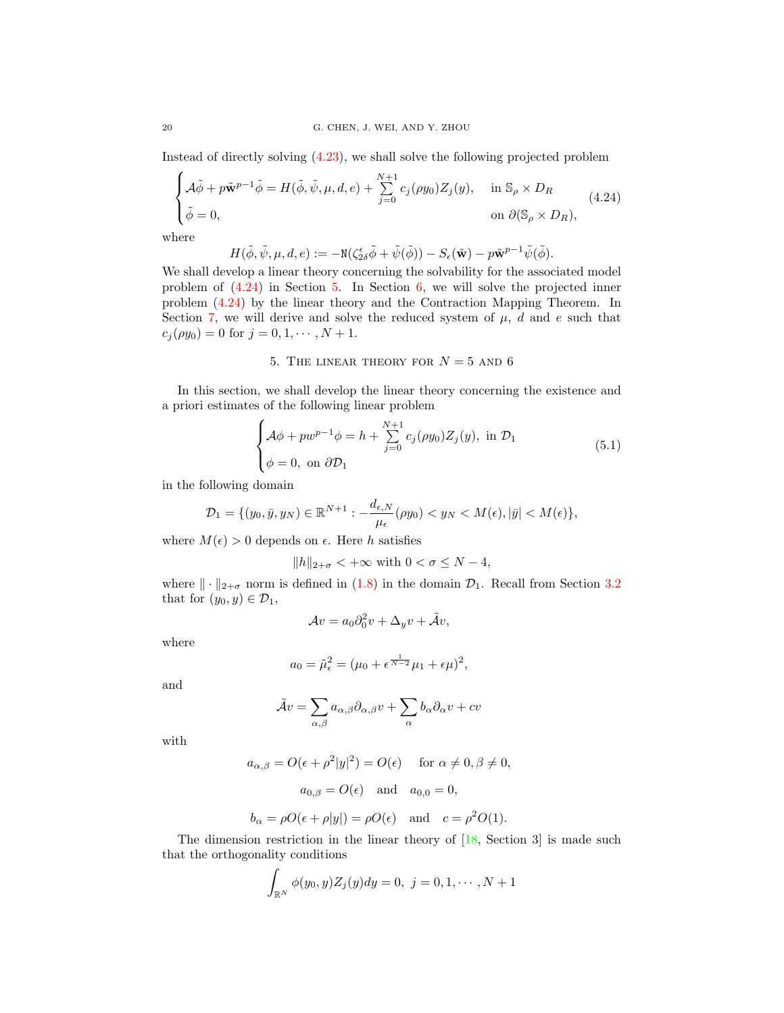Instead of directly solving [\(4.23\)](#page-18-3), we shall solve the following projected problem

<span id="page-19-1"></span>
$$
\begin{cases}\n\mathcal{A}\tilde{\phi} + p\tilde{\mathbf{w}}^{p-1}\tilde{\phi} = H(\tilde{\phi}, \tilde{\psi}, \mu, d, e) + \sum_{j=0}^{N+1} c_j(\rho y_0) Z_j(y), & \text{in } \mathbb{S}_{\rho} \times D_R \\
\tilde{\phi} = 0, & \text{on } \partial(\mathbb{S}_{\rho} \times D_R),\n\end{cases} (4.24)
$$
\nhere

w

$$
H(\tilde{\phi}, \tilde{\psi}, \mu, d, e) := -\mathrm{N}(\zeta_{2\delta}^{\epsilon} \tilde{\phi} + \tilde{\psi}(\tilde{\phi})) - S_{\epsilon}(\tilde{\mathbf{w}}) - p\tilde{\mathbf{w}}^{p-1} \tilde{\psi}(\tilde{\phi}).
$$

We shall develop a linear theory concerning the solvability for the associated model problem of [\(4.24\)](#page-19-1) in Section [5.](#page-19-0) In Section [6,](#page-21-0) we will solve the projected inner problem [\(4.24\)](#page-19-1) by the linear theory and the Contraction Mapping Theorem. In Section [7,](#page-24-0) we will derive and solve the reduced system of  $\mu$ ,  $d$  and  $e$  such that  $c_j(\rho y_0) = 0$  for  $j = 0, 1, \dots, N + 1$ .

## 5. THE LINEAR THEORY FOR  $N = 5$  and 6

<span id="page-19-0"></span>In this section, we shall develop the linear theory concerning the existence and a priori estimates of the following linear problem

<span id="page-19-2"></span>
$$
\begin{cases}\n\mathcal{A}\phi + pw^{p-1}\phi = h + \sum_{j=0}^{N+1} c_j(\rho y_0) Z_j(y), \text{ in } \mathcal{D}_1 \\
\phi = 0, \text{ on } \partial \mathcal{D}_1\n\end{cases}
$$
\n(5.1)

in the following domain

$$
\mathcal{D}_1 = \{ (y_0, \bar{y}, y_N) \in \mathbb{R}^{N+1} : -\frac{d_{\epsilon, N}}{\mu_{\epsilon}} (\rho y_0) < y_N < M(\epsilon), |\bar{y}| < M(\epsilon) \},
$$

where  $M(\epsilon) > 0$  depends on  $\epsilon$ . Here h satisfies

$$
\|h\|_{2+\sigma}<+\infty\hbox{ with }0<\sigma\leq N-4,
$$

where  $\|\cdot\|_{2+\sigma}$  norm is defined in [\(1.8\)](#page-3-2) in the domain  $\mathcal{D}_1$ . Recall from Section [3.2](#page-8-2) that for  $(y_0, y) \in \mathcal{D}_1$ ,

$$
\mathcal{A}v = a_0 \partial_0^2 v + \Delta_y v + \tilde{\mathcal{A}}v,
$$

where

$$
a_0 = \tilde{\mu}_\epsilon^2 = (\mu_0 + \epsilon^{\frac{1}{N-2}} \mu_1 + \epsilon \mu)^2,
$$

and

$$
\tilde{\mathcal{A}}v = \sum_{\alpha,\beta} a_{\alpha,\beta} \partial_{\alpha,\beta} v + \sum_{\alpha} b_{\alpha} \partial_{\alpha} v + cv
$$

with

 $a_{\alpha,\beta} = O(\epsilon + \rho^2 |y|^2) = O(\epsilon) \quad \text{ for } \alpha \neq 0, \beta \neq 0,$ 

$$
a_{0,\beta} = O(\epsilon)
$$
 and  $a_{0,0} = 0$ ,

$$
b_{\alpha} = \rho O(\epsilon + \rho |y|) = \rho O(\epsilon)
$$
 and  $c = \rho^2 O(1)$ .

The dimension restriction in the linear theory of  $[18, Section 3]$  is made such that the orthogonality conditions

$$
\int_{\mathbb{R}^N} \phi(y_0, y) Z_j(y) dy = 0, \ j = 0, 1, \cdots, N + 1
$$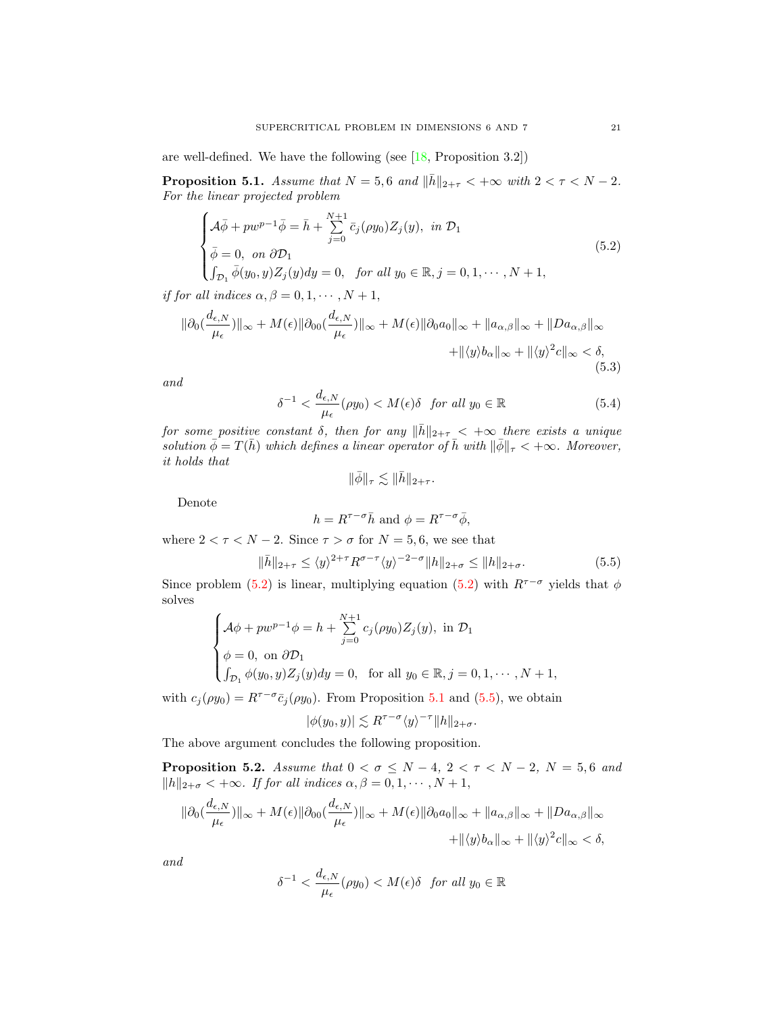are well-defined. We have the following (see [\[18,](#page-30-8) Proposition 3.2])

<span id="page-20-1"></span>**Proposition 5.1.** Assume that  $N = 5, 6$  and  $\|\bar{h}\|_{2+\tau} < +\infty$  with  $2 < \tau < N - 2$ . For the linear projected problem

<span id="page-20-4"></span>
$$
\begin{cases}\n\mathcal{A}\overline{\phi} + pw^{p-1}\overline{\phi} = \overline{h} + \sum_{j=0}^{N+1} \overline{c}_j(\rho y_0) Z_j(y), \text{ in } \mathcal{D}_1 \\
\overline{\phi} = 0, \text{ on } \partial \mathcal{D}_1 \\
\int_{\mathcal{D}_1} \overline{\phi}(y_0, y) Z_j(y) dy = 0, \text{ for all } y_0 \in \mathbb{R}, j = 0, 1, \cdots, N+1,\n\end{cases}
$$
\n(5.2)

if for all indices  $\alpha, \beta = 0, 1, \cdots, N + 1$ ,

<span id="page-20-2"></span>
$$
\|\partial_0(\frac{d_{\epsilon,N}}{\mu_{\epsilon}})\|_{\infty} + M(\epsilon)\|\partial_{00}(\frac{d_{\epsilon,N}}{\mu_{\epsilon}})\|_{\infty} + M(\epsilon)\|\partial_0 a_0\|_{\infty} + \|a_{\alpha,\beta}\|_{\infty} + \|Da_{\alpha,\beta}\|_{\infty} \n+ \|\langle y \rangle b_{\alpha}\|_{\infty} + \|\langle y \rangle^2 c\|_{\infty} < \delta,
$$
\n(5.3)

and

<span id="page-20-3"></span>
$$
\delta^{-1} < \frac{d_{\epsilon, N}}{\mu_{\epsilon}} (\rho y_0) < M(\epsilon) \delta \quad \text{for all } y_0 \in \mathbb{R} \tag{5.4}
$$

for some positive constant  $\delta$ , then for any  $\|\bar{h}\|_{2+\tau} < +\infty$  there exists a unique solution  $\bar{\phi} = T(\bar{h})$  which defines a linear operator of  $\bar{h}$  with  $\|\bar{\phi}\|_{\tau} < +\infty$ . Moreover, it holds that

$$
\|\bar{\phi}\|_{\tau} \lesssim \|\bar{h}\|_{2+\tau}.
$$

Denote

$$
h = R^{\tau - \sigma} \bar{h}
$$
 and  $\phi = R^{\tau - \sigma} \bar{\phi}$ ,

where  $2 < \tau < N - 2$ . Since  $\tau > \sigma$  for  $N = 5, 6$ , we see that

<span id="page-20-5"></span>
$$
\|\bar{h}\|_{2+\tau} \le \langle y \rangle^{2+\tau} R^{\sigma-\tau} \langle y \rangle^{-2-\sigma} \|h\|_{2+\sigma} \le \|h\|_{2+\sigma}.
$$
 (5.5)

Since problem [\(5.2\)](#page-20-4) is linear, multiplying equation (5.2) with  $R^{\tau-\sigma}$  yields that  $\phi$ solves

$$
\begin{cases}\n\mathcal{A}\phi + pw^{p-1}\phi = h + \sum_{j=0}^{N+1} c_j(\rho y_0) Z_j(y), \text{ in } \mathcal{D}_1 \\
\phi = 0, \text{ on } \partial \mathcal{D}_1 \\
\int_{\mathcal{D}_1} \phi(y_0, y) Z_j(y) dy = 0, \text{ for all } y_0 \in \mathbb{R}, j = 0, 1, \cdots, N+1,\n\end{cases}
$$

with  $c_j(\rho y_0) = R^{\tau-\sigma}\bar{c}_j(\rho y_0)$ . From Proposition [5.1](#page-20-1) and [\(5.5\)](#page-20-5), we obtain

$$
|\phi(y_0, y)| \lesssim R^{\tau - \sigma} \langle y \rangle^{-\tau} ||h||_{2+\sigma}.
$$

The above argument concludes the following proposition.

<span id="page-20-0"></span>**Proposition 5.2.** Assume that  $0 < \sigma \leq N-4$ ,  $2 < \tau < N-2$ ,  $N = 5, 6$  and  $||h||_{2+\sigma} < +\infty$ . If for all indices  $\alpha, \beta = 0, 1, \cdots, N+1$ ,

$$
\|\partial_0(\frac{d_{\epsilon,N}}{\mu_{\epsilon}})\|_{\infty} + M(\epsilon)\|\partial_{00}(\frac{d_{\epsilon,N}}{\mu_{\epsilon}})\|_{\infty} + M(\epsilon)\|\partial_0 a_0\|_{\infty} + \|a_{\alpha,\beta}\|_{\infty} + \|Da_{\alpha,\beta}\|_{\infty} + \|a_{\alpha,\beta}\|_{\infty} + \|\langle y \rangle^2 c\|_{\infty} < \delta,
$$

and

$$
\delta^{-1} < \frac{d_{\epsilon,N}}{\mu_{\epsilon}}(\rho y_0) < M(\epsilon)\delta \quad \text{for all } y_0 \in \mathbb{R}
$$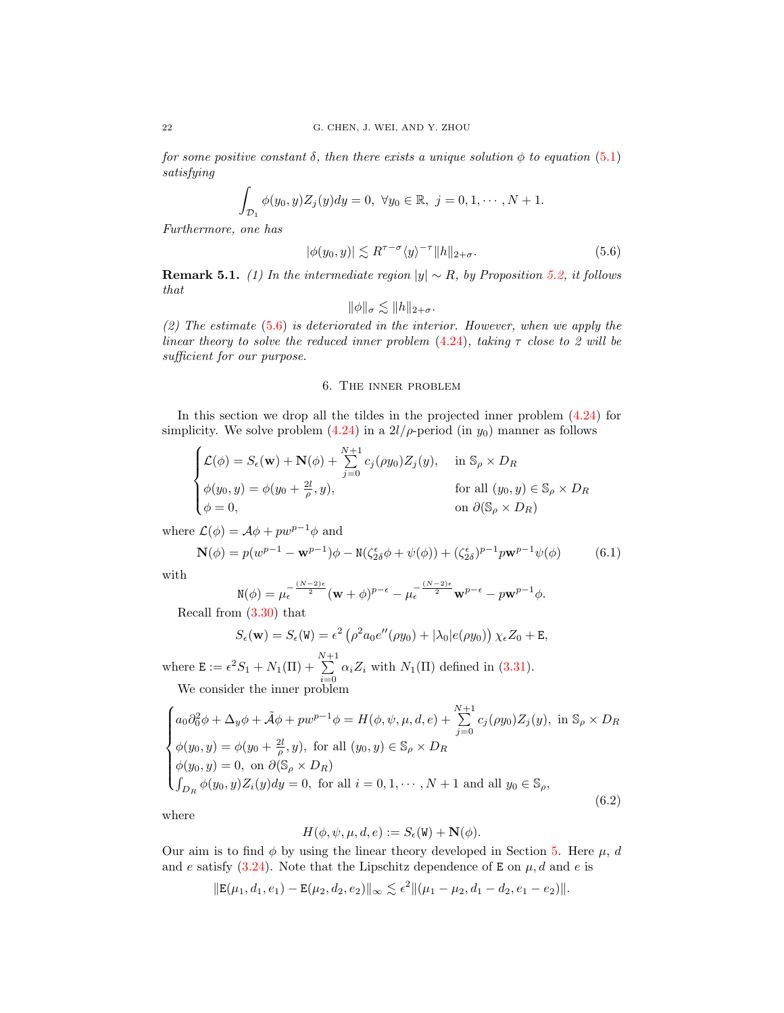for some positive constant  $\delta$ , then there exists a unique solution  $\phi$  to equation [\(5.1\)](#page-19-2) satisfying

$$
\int_{\mathcal{D}_1} \phi(y_0, y) Z_j(y) dy = 0, \ \forall y_0 \in \mathbb{R}, \ j = 0, 1, \cdots, N + 1.
$$

Furthermore, one has

<span id="page-21-1"></span>
$$
|\phi(y_0, y)| \lesssim R^{\tau - \sigma} \langle y \rangle^{-\tau} ||h||_{2+\sigma}.
$$
\n(5.6)

**Remark 5.1.** (1) In the intermediate region  $|y| \sim R$ , by Proposition [5.2,](#page-20-0) it follows that

$$
\|\phi\|_{\sigma} \lesssim \|h\|_{2+\sigma}.
$$

(2) The estimate [\(5.6\)](#page-21-1) is deteriorated in the interior. However, when we apply the linear theory to solve the reduced inner problem  $(4.24)$ , taking  $\tau$  close to 2 will be sufficient for our purpose.

# 6. The inner problem

<span id="page-21-0"></span>In this section we drop all the tildes in the projected inner problem [\(4.24\)](#page-19-1) for simplicity. We solve problem  $(4.24)$  in a  $2l/\rho$ -period (in  $y_0$ ) manner as follows

$$
\begin{cases}\n\mathcal{L}(\phi) = S_{\epsilon}(\mathbf{w}) + \mathbf{N}(\phi) + \sum_{j=0}^{N+1} c_j(\rho y_0) Z_j(y), & \text{in } \mathbb{S}_{\rho} \times D_R \\
\phi(y_0, y) = \phi(y_0 + \frac{2l}{\rho}, y), & \text{for all } (y_0, y) \in \mathbb{S}_{\rho} \times D_R \\
\phi = 0, & \text{on } \partial(\mathbb{S}_{\rho} \times D_R)\n\end{cases}
$$

where  $\mathcal{L}(\phi) = \mathcal{A}\phi + pw^{p-1}\phi$  and

<span id="page-21-3"></span>
$$
\mathbf{N}(\phi) = p(w^{p-1} - \mathbf{w}^{p-1})\phi - \mathbf{N}(\zeta_{2\delta}^{\epsilon}\phi + \psi(\phi)) + (\zeta_{2\delta}^{\epsilon})^{p-1}p\mathbf{w}^{p-1}\psi(\phi)
$$
(6.1)

with

$$
\mathbf{N}(\phi) = \mu_{\epsilon}^{-\frac{(N-2)\epsilon}{2}} (\mathbf{w} + \phi)^{p-\epsilon} - \mu_{\epsilon}^{-\frac{(N-2)\epsilon}{2}} \mathbf{w}^{p-\epsilon} - p\mathbf{w}^{p-1}\phi.
$$

Recall from [\(3.30\)](#page-13-1) that

$$
S_{\epsilon}(\mathbf{w}) = S_{\epsilon}(\mathbf{W}) = \epsilon^2 \left( \rho^2 a_0 e''(\rho y_0) + |\lambda_0| e(\rho y_0) \right) \chi_{\epsilon} Z_0 + \mathbf{E},
$$

where  $\mathbf{E} := \epsilon^2 S_1 + N_1(\Pi) + \sum_{n=1}^{N+1}$  $\sum_{i=0} \alpha_i Z_i$  with  $N_1(\Pi)$  defined in [\(3.31\)](#page-13-2). We consider the inner problem

<span id="page-21-2"></span>
$$
\begin{cases}\na_0 \partial_0^2 \phi + \Delta_y \phi + \tilde{\mathcal{A}} \phi + p w^{p-1} \phi = H(\phi, \psi, \mu, d, e) + \sum_{j=0}^{N+1} c_j (\rho y_0) Z_j(y), \text{ in } \mathbb{S}_\rho \times D_R \\
\phi(y_0, y) = \phi(y_0 + \frac{2l}{\rho}, y), \text{ for all } (y_0, y) \in \mathbb{S}_\rho \times D_R \\
\phi(y_0, y) = 0, \text{ on } \partial(\mathbb{S}_\rho \times D_R) \\
\int_{D_R} \phi(y_0, y) Z_i(y) dy = 0, \text{ for all } i = 0, 1, \dots, N+1 \text{ and all } y_0 \in \mathbb{S}_\rho,\n\end{cases}
$$
\n(6.2)

where

$$
H(\phi, \psi, \mu, d, e) := S_{\epsilon}(\mathbf{W}) + \mathbf{N}(\phi).
$$

Our aim is to find  $\phi$  by using the linear theory developed in Section [5.](#page-19-0) Here  $\mu$ , d and e satisfy  $(3.24)$ . Note that the Lipschitz dependence of **E** on  $\mu$ , d and e is

$$
\|\mathbf{E}(\mu_1, d_1, e_1) - \mathbf{E}(\mu_2, d_2, e_2)\|_{\infty} \lesssim \epsilon^2 \|(\mu_1 - \mu_2, d_1 - d_2, e_1 - e_2)\|.
$$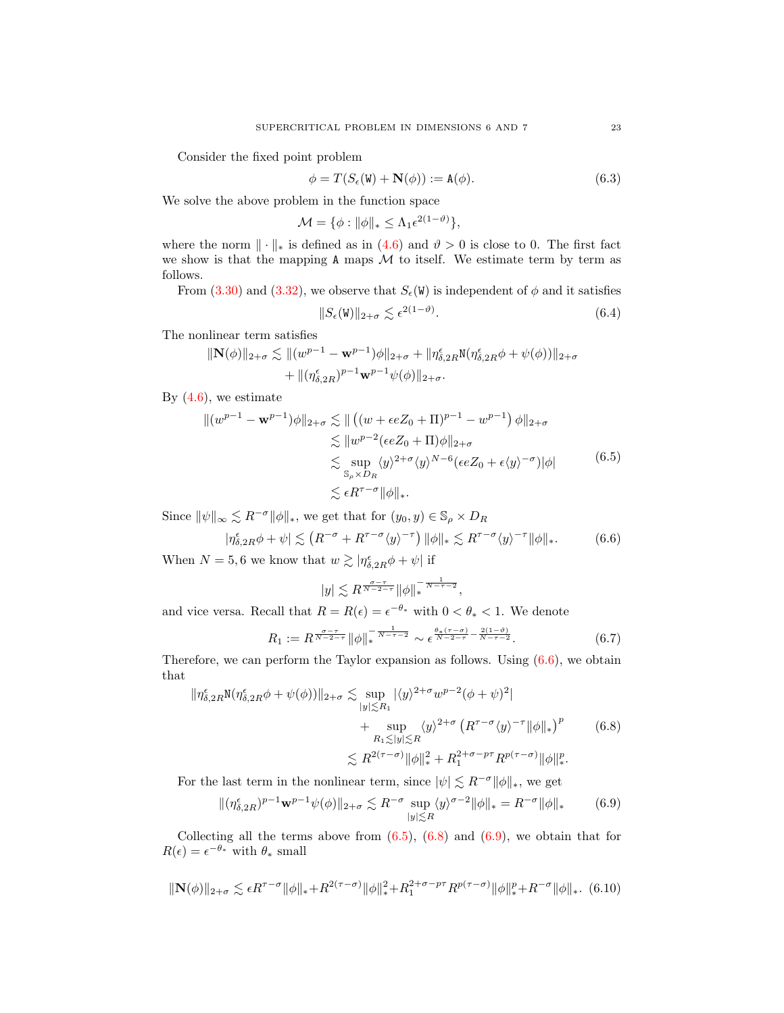Consider the fixed point problem

<span id="page-22-6"></span>
$$
\phi = T(S_{\epsilon}(\mathbf{W}) + \mathbf{N}(\phi)) := \mathbf{A}(\phi). \tag{6.3}
$$

We solve the above problem in the function space

 $\mathcal{M} = \{\phi: \|\phi\|_* \leq \Lambda_1 \epsilon^{2(1-\vartheta)}\},$ 

where the norm  $\|\cdot\|_*$  is defined as in  $(4.6)$  and  $\vartheta > 0$  is close to 0. The first fact we show is that the mapping  $A$  maps  $M$  to itself. We estimate term by term as follows.

From [\(3.30\)](#page-13-1) and [\(3.32\)](#page-14-1), we observe that  $S_{\epsilon}(\mathbf{W})$  is independent of  $\phi$  and it satisfies

<span id="page-22-4"></span>
$$
||S_{\epsilon}(\mathbf{W})||_{2+\sigma} \lesssim \epsilon^{2(1-\vartheta)}.
$$
\n(6.4)

The nonlinear term satisfies

$$
\|\mathbf{N}(\phi)\|_{2+\sigma} \lesssim \| (w^{p-1} - \mathbf{w}^{p-1})\phi\|_{2+\sigma} + \|\eta^{\epsilon}_{\delta,2R}\mathbf{N}(\eta^{\epsilon}_{\delta,2R}\phi + \psi(\phi))\|_{2+\sigma} + \| (\eta^{\epsilon}_{\delta,2R})^{p-1}\mathbf{w}^{p-1}\psi(\phi)\|_{2+\sigma}.
$$

By  $(4.6)$ , we estimate

<span id="page-22-1"></span>
$$
\| (w^{p-1} - \mathbf{w}^{p-1})\phi \|_{2+\sigma} \lesssim \| \left( (w + \epsilon e Z_0 + \Pi)^{p-1} - w^{p-1} \right) \phi \|_{2+\sigma}
$$
  
\n
$$
\lesssim \| w^{p-2} (\epsilon e Z_0 + \Pi) \phi \|_{2+\sigma}
$$
  
\n
$$
\lesssim \sup_{\mathbb{S}_\rho \times D_R} \langle y \rangle^{2+\sigma} \langle y \rangle^{N-6} (\epsilon e Z_0 + \epsilon \langle y \rangle^{-\sigma}) |\phi|
$$
  
\n
$$
\lesssim \epsilon R^{\tau-\sigma} \|\phi\|_*. \tag{6.5}
$$

Since  $\|\psi\|_{\infty} \lesssim R^{-\sigma} \|\phi\|_{*}$ , we get that for  $(y_0, y) \in \mathbb{S}_{\rho} \times D_R$ 

<span id="page-22-0"></span>
$$
|\eta_{\delta,2R}^{\epsilon}\phi + \psi| \lesssim \left( R^{-\sigma} + R^{\tau-\sigma} \langle y \rangle^{-\tau} \right) \|\phi\|_{*} \lesssim R^{\tau-\sigma} \langle y \rangle^{-\tau} \|\phi\|_{*}.
$$
 (6.6)

When  $N = 5, 6$  we know that  $w \gtrsim |\eta_{\delta, 2R}^{\epsilon}\phi + \psi|$  if

$$
|y| \lesssim R^{\frac{\sigma-\tau}{N-2-\tau}} \|\phi\|_{*}^{-\frac{1}{N-\tau-2}},
$$

and vice versa. Recall that  $R = R(\epsilon) = \epsilon^{-\theta_*}$  with  $0 < \theta_* < 1$ . We denote

<span id="page-22-7"></span>
$$
R_1 := R^{\frac{\sigma - \tau}{N - 2 - \tau}} \|\phi\|_{*}^{\frac{1}{N - \tau - 2}} \sim \epsilon^{\frac{\theta_{*}(\tau - \sigma)}{N - 2 - \tau} - \frac{2(1 - \theta)}{N - \tau - 2}}.
$$
(6.7)

Therefore, we can perform the Taylor expansion as follows. Using [\(6.6\)](#page-22-0), we obtain that

<span id="page-22-2"></span>
$$
\begin{split} \|\eta_{\delta,2R}^{\epsilon} \mathbf{N}(\eta_{\delta,2R}^{\epsilon}\phi + \psi(\phi))\|_{2+\sigma} &\lesssim \sup_{|y|\lesssim R_1} |\langle y \rangle^{2+\sigma} w^{p-2} (\phi + \psi)^2| \\ &+ \sup_{R_1 \lesssim |y| \lesssim R} \langle y \rangle^{2+\sigma} \left( R^{\tau-\sigma} \langle y \rangle^{-\tau} \|\phi\|_{*} \right)^p \\ &\lesssim R^{2(\tau-\sigma)} \|\phi\|_{*}^2 + R_1^{2+\sigma-p\tau} R^{p(\tau-\sigma)} \|\phi\|_{*}^p. \end{split} \tag{6.8}
$$

For the last term in the nonlinear term, since  $|\psi| \lesssim R^{-\sigma} ||\phi||_*$ , we get

<span id="page-22-3"></span>
$$
\|(\eta_{\delta,2R}^{\epsilon})^{p-1}\mathbf{w}^{p-1}\psi(\phi)\|_{2+\sigma} \lesssim R^{-\sigma} \sup_{|y|\lesssim R} \langle y \rangle^{\sigma-2} \|\phi\|_{*} = R^{-\sigma} \|\phi\|_{*} \tag{6.9}
$$

Collecting all the terms above from  $(6.5)$ ,  $(6.8)$  and  $(6.9)$ , we obtain that for  $R(\epsilon) = \epsilon^{-\theta_*}$  with  $\theta_*$  small

<span id="page-22-5"></span>
$$
\|\mathbf{N}(\phi)\|_{2+\sigma} \lesssim \epsilon R^{\tau-\sigma} \|\phi\|_{*} + R^{2(\tau-\sigma)} \|\phi\|_{*}^{2} + R_{1}^{2+\sigma-p\tau} R^{p(\tau-\sigma)} \|\phi\|_{*}^{p} + R^{-\sigma} \|\phi\|_{*}.
$$
 (6.10)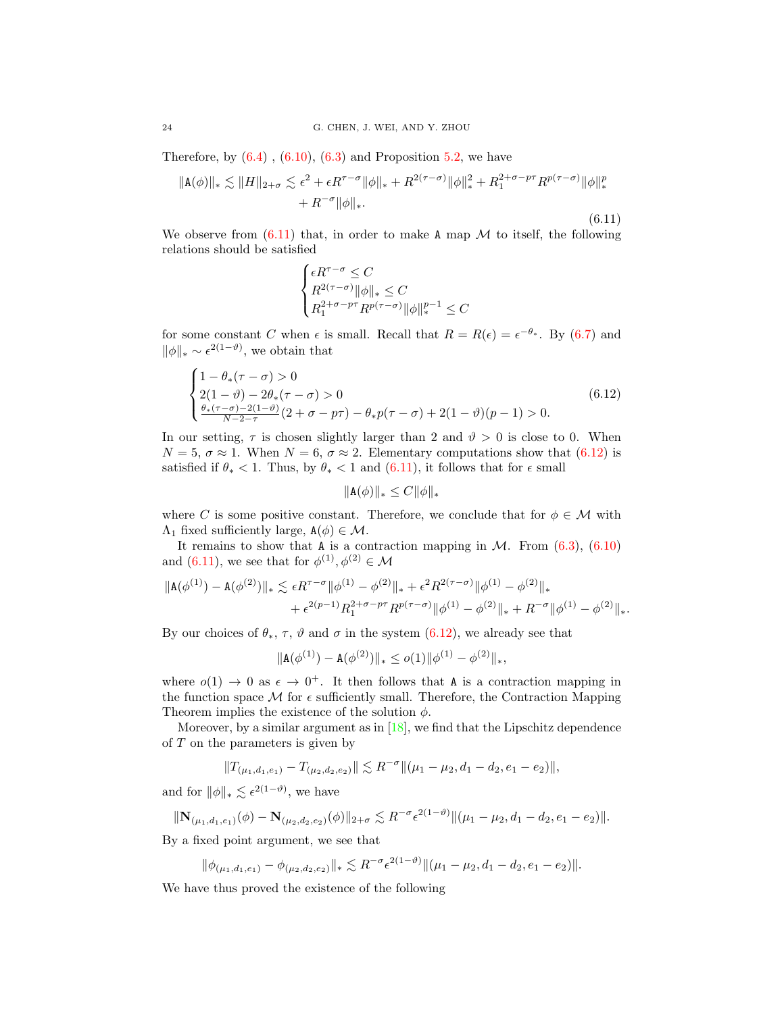Therefore, by  $(6.4)$ ,  $(6.10)$ ,  $(6.3)$  and Proposition [5.2,](#page-20-0) we have

<span id="page-23-0"></span>
$$
\|A(\phi)\|_{*} \lesssim \|H\|_{2+\sigma} \lesssim \epsilon^{2} + \epsilon R^{\tau-\sigma} \|\phi\|_{*} + R^{2(\tau-\sigma)} \|\phi\|_{*}^{2} + R_{1}^{2+\sigma-p\tau} R^{p(\tau-\sigma)} \|\phi\|_{*}^{p}
$$

$$
+ R^{-\sigma} \|\phi\|_{*}.
$$
\n(6.11)

We observe from  $(6.11)$  that, in order to make A map M to itself, the following relations should be satisfied

$$
\begin{cases} \epsilon R^{\tau-\sigma}\leq C \\ R^{2(\tau-\sigma)}\|\phi\|_{*}\leq C \\ R_{1}^{2+\sigma-p\tau}R^{p(\tau-\sigma)}\|\phi\|_{*}^{p-1}\leq C \end{cases}
$$

for some constant C when  $\epsilon$  is small. Recall that  $R = R(\epsilon) = \epsilon^{-\theta_*}$ . By [\(6.7\)](#page-22-7) and  $\|\phi\|_{*} \sim \epsilon^{2(1-\vartheta)}$ , we obtain that

<span id="page-23-1"></span>
$$
\begin{cases}\n1 - \theta_*(\tau - \sigma) > 0 \\
2(1 - \vartheta) - 2\theta_*(\tau - \sigma) > 0 \\
\frac{\theta_*(\tau - \sigma) - 2(1 - \vartheta)}{N - 2 - \tau}(2 + \sigma - p\tau) - \theta_* p(\tau - \sigma) + 2(1 - \vartheta)(p - 1) > 0.\n\end{cases} \tag{6.12}
$$

In our setting,  $\tau$  is chosen slightly larger than 2 and  $\vartheta > 0$  is close to 0. When  $N = 5$ ,  $\sigma \approx 1$ . When  $N = 6$ ,  $\sigma \approx 2$ . Elementary computations show that [\(6.12\)](#page-23-1) is satisfied if  $\theta_* < 1$ . Thus, by  $\theta_* < 1$  and  $(6.11)$ , it follows that for  $\epsilon$  small

$$
\|\mathbf{A}(\phi)\|_* \le C \|\phi\|_*
$$

where C is some positive constant. Therefore, we conclude that for  $\phi \in \mathcal{M}$  with  $Λ_1$  fixed sufficiently large,  $A(φ) \in M$ .

It remains to show that A is a contraction mapping in  $M$ . From  $(6.3)$ ,  $(6.10)$ and [\(6.11\)](#page-23-0), we see that for  $\phi^{(1)}, \phi^{(2)} \in \mathcal{M}$ 

$$
\begin{aligned} \|\mathtt{A}(\phi^{(1)})-\mathtt{A}(\phi^{(2)})\|_{*}\lesssim \epsilon R^{\tau-\sigma}\|\phi^{(1)}-\phi^{(2)}\|_{*}+\epsilon^{2}R^{2(\tau-\sigma)}\|\phi^{(1)}-\phi^{(2)}\|_{*}\\+\epsilon^{2(p-1)}R_{1}^{2+\sigma-p\tau}R^{p(\tau-\sigma)}\|\phi^{(1)}-\phi^{(2)}\|_{*}+R^{-\sigma}\|\phi^{(1)}-\phi^{(2)}\|_{*}. \end{aligned}
$$

By our choices of  $\theta_*$ ,  $\tau$ ,  $\vartheta$  and  $\sigma$  in the system [\(6.12\)](#page-23-1), we already see that

$$
\|\mathbf{A}(\phi^{(1)}) - \mathbf{A}(\phi^{(2)})\|_{*} \leq o(1) \|\phi^{(1)} - \phi^{(2)}\|_{*},
$$

where  $o(1) \rightarrow 0$  as  $\epsilon \rightarrow 0^+$ . It then follows that A is a contraction mapping in the function space  $M$  for  $\epsilon$  sufficiently small. Therefore, the Contraction Mapping Theorem implies the existence of the solution  $\phi$ .

Moreover, by a similar argument as in  $[18]$ , we find that the Lipschitz dependence of  $T$  on the parameters is given by

$$
||T_{(\mu_1,d_1,e_1)} - T_{(\mu_2,d_2,e_2)}|| \lesssim R^{-\sigma} ||(\mu_1 - \mu_2, d_1 - d_2, e_1 - e_2)||,
$$

and for  $\|\phi\|_{*} \lesssim \epsilon^{2(1-\vartheta)}$ , we have

$$
\|\mathbf{N}_{(\mu_1,d_1,e_1)}(\phi) - \mathbf{N}_{(\mu_2,d_2,e_2)}(\phi)\|_{2+\sigma} \lesssim R^{-\sigma} \epsilon^{2(1-\vartheta)} \|(\mu_1 - \mu_2, d_1 - d_2, e_1 - e_2)\|.
$$

By a fixed point argument, we see that

$$
\|\phi_{(\mu_1,d_1,e_1)} - \phi_{(\mu_2,d_2,e_2)}\|_{*} \lesssim R^{-\sigma} \epsilon^{2(1-\vartheta)} \|(\mu_1 - \mu_2, d_1 - d_2, e_1 - e_2)\|.
$$

We have thus proved the existence of the following

 $\overline{ }$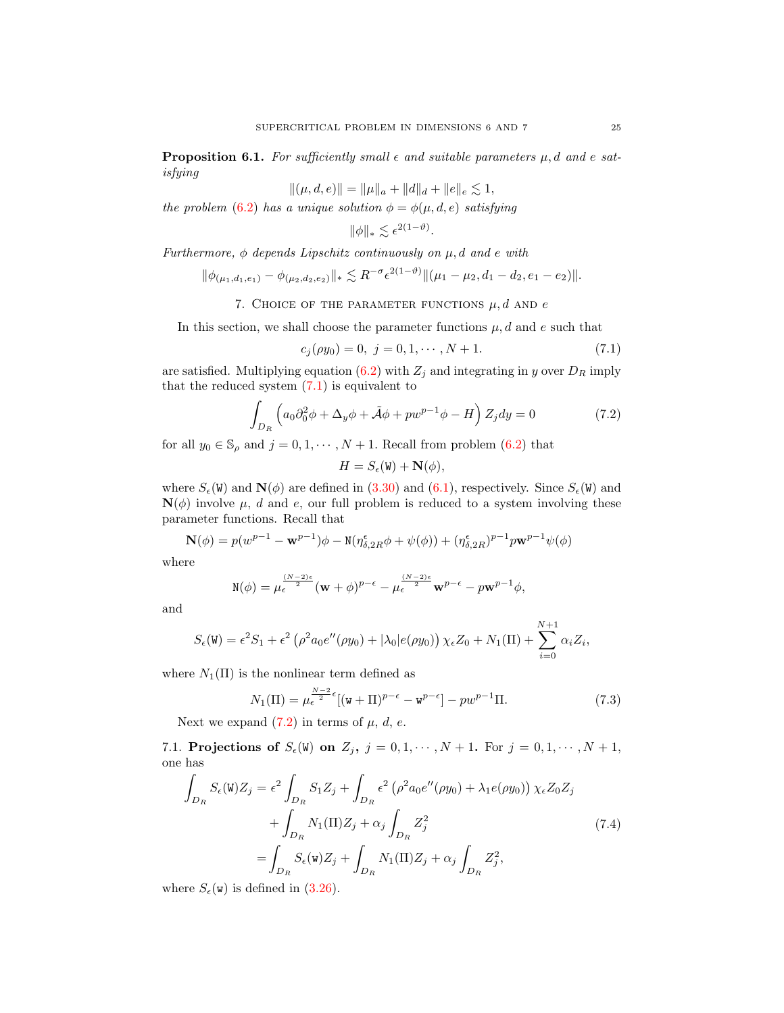**Proposition 6.1.** For sufficiently small  $\epsilon$  and suitable parameters  $\mu$ , d and e satisfying

$$
\|(\mu,d,e)\|=\|\mu\|_a+\|d\|_d+\|e\|_e\lesssim 1,
$$

the problem [\(6.2\)](#page-21-2) has a unique solution  $\phi = \phi(\mu, d, e)$  satisfying

$$
\|\phi\|_{*} \lesssim \epsilon^{2(1-\vartheta)}
$$

Furthermore,  $\phi$  depends Lipschitz continuously on  $\mu$ , d and e with

$$
\|\phi_{(\mu_1,d_1,e_1)} - \phi_{(\mu_2,d_2,e_2)}\|_{*} \lesssim R^{-\sigma} \epsilon^{2(1-\vartheta)} \|(\mu_1 - \mu_2, d_1 - d_2, e_1 - e_2)\|.
$$

7. CHOICE OF THE PARAMETER FUNCTIONS 
$$
\mu
$$
, d AND e

<span id="page-24-0"></span>In this section, we shall choose the parameter functions  $\mu$ , d and e such that

<span id="page-24-1"></span>
$$
c_j(\rho y_0) = 0, \ j = 0, 1, \cdots, N + 1. \tag{7.1}
$$

are satisfied. Multiplying equation [\(6.2\)](#page-21-2) with  $Z_j$  and integrating in y over  $D_R$  imply that the reduced system  $(7.1)$  is equivalent to

<span id="page-24-2"></span>
$$
\int_{D_R} \left( a_0 \partial_0^2 \phi + \Delta_y \phi + \tilde{\mathcal{A}} \phi + p w^{p-1} \phi - H \right) Z_j dy = 0 \tag{7.2}
$$

.

for all  $y_0 \in \mathbb{S}_\rho$  and  $j=0,1,\cdots,N+1.$  Recall from problem [\(6.2\)](#page-21-2) that

$$
H = S_{\epsilon}(\mathbf{W}) + \mathbf{N}(\phi),
$$

where  $S_{\epsilon}(\mathbf{W})$  and  $\mathbf{N}(\phi)$  are defined in [\(3.30\)](#page-13-1) and [\(6.1\)](#page-21-3), respectively. Since  $S_{\epsilon}(\mathbf{W})$  and  $\mathbf{N}(\phi)$  involve  $\mu$ , d and e, our full problem is reduced to a system involving these parameter functions. Recall that

$$
\mathbf{N}(\phi) = p(w^{p-1} - \mathbf{w}^{p-1})\phi - \mathbf{N}(\eta_{\delta, 2R}^{\epsilon}\phi + \psi(\phi)) + (\eta_{\delta, 2R}^{\epsilon})^{p-1}p\mathbf{w}^{p-1}\psi(\phi)
$$

where

$$
\mathbf{N}(\phi) = \mu_{\epsilon}^{\frac{(N-2)\epsilon}{2}} (\mathbf{w} + \phi)^{p-\epsilon} - \mu_{\epsilon}^{\frac{(N-2)\epsilon}{2}} \mathbf{w}^{p-\epsilon} - p\mathbf{w}^{p-1} \phi,
$$

and

$$
S_{\epsilon}(\mathbf{W}) = \epsilon^2 S_1 + \epsilon^2 \left( \rho^2 a_0 e''(\rho y_0) + |\lambda_0| e(\rho y_0) \right) \chi_{\epsilon} Z_0 + N_1(\Pi) + \sum_{i=0}^{N+1} \alpha_i Z_i,
$$

where  $N_1(\Pi)$  is the nonlinear term defined as

<span id="page-24-3"></span>
$$
N_1(\Pi) = \mu_{\epsilon}^{\frac{N-2}{2}\epsilon}[(\mathbf{w} + \Pi)^{p-\epsilon} - \mathbf{w}^{p-\epsilon}] - pw^{p-1}\Pi.
$$
 (7.3)

Next we expand  $(7.2)$  in terms of  $\mu$ , d, e.

7.1. Projections of  $S_{\epsilon}(W)$  on  $Z_j$ ,  $j = 0, 1, \cdots, N + 1$ . For  $j = 0, 1, \cdots, N + 1$ , one has

<span id="page-24-4"></span>
$$
\int_{D_R} S_{\epsilon}(\mathbf{W}) Z_j = \epsilon^2 \int_{D_R} S_1 Z_j + \int_{D_R} \epsilon^2 \left( \rho^2 a_0 e''(\rho y_0) + \lambda_1 e(\rho y_0) \right) \chi_{\epsilon} Z_0 Z_j
$$
\n
$$
+ \int_{D_R} N_1(\Pi) Z_j + \alpha_j \int_{D_R} Z_j^2
$$
\n
$$
= \int_{D_R} S_{\epsilon}(\mathbf{W}) Z_j + \int_{D_R} N_1(\Pi) Z_j + \alpha_j \int_{D_R} Z_j^2,
$$
\n(7.4)

where  $S_{\epsilon}(\mathbf{w})$  is defined in [\(3.26\)](#page-11-1).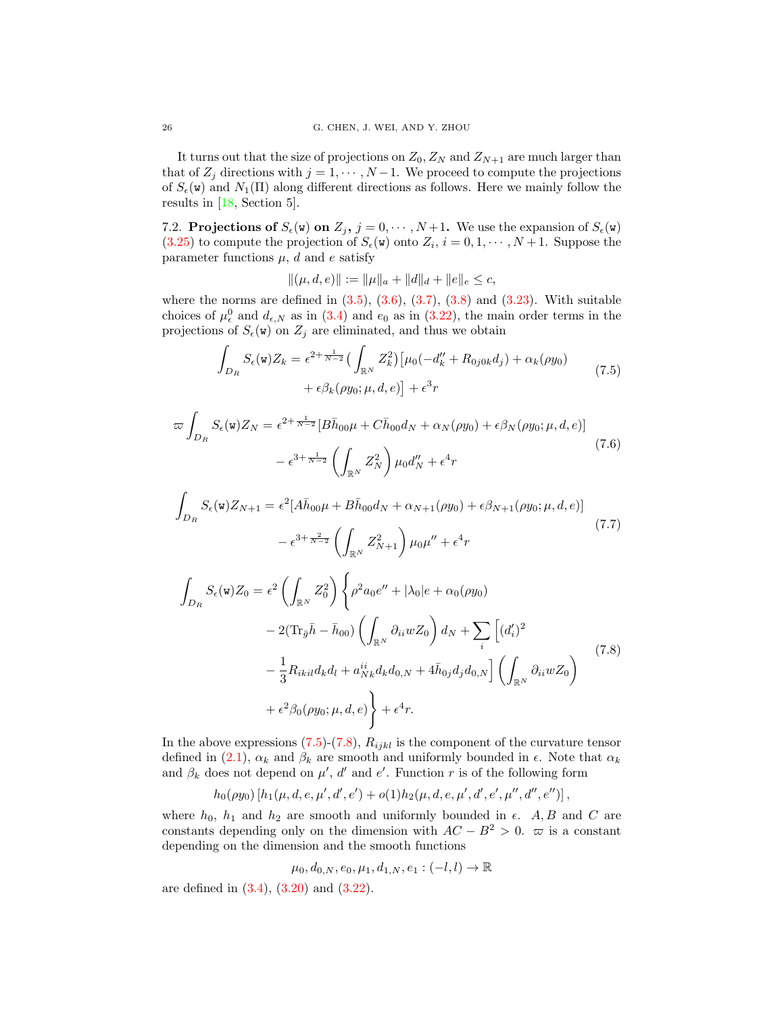It turns out that the size of projections on  $Z_0$ ,  $Z_N$  and  $Z_{N+1}$  are much larger than that of  $Z_j$  directions with  $j = 1, \dots, N-1$ . We proceed to compute the projections of  $S_{\epsilon}(\mathbf{w})$  and  $N_1(\Pi)$  along different directions as follows. Here we mainly follow the results in [\[18,](#page-30-8) Section 5].

7.2. **Projections of**  $S_{\epsilon}(\mathbf{w})$  on  $Z_j$ ,  $j = 0, \cdots, N+1$ . We use the expansion of  $S_{\epsilon}(\mathbf{w})$  $(3.25)$  to compute the projection of  $S_{\epsilon}(\mathbf{w})$  onto  $Z_i$ ,  $i = 0, 1, \cdots, N+1$ . Suppose the parameter functions  $\mu$ , d and e satisfy

 $\|(\mu, d, e)\| := \|\mu\|_a + \|d\|_d + \|e\|_e \leq c,$ 

where the norms are defined in  $(3.5)$ ,  $(3.6)$ ,  $(3.7)$ ,  $(3.8)$  and  $(3.23)$ . With suitable choices of  $\mu_{\epsilon}^{0}$  and  $d_{\epsilon,N}$  as in [\(3.4\)](#page-7-1) and  $e_0$  as in [\(3.22\)](#page-10-2), the main order terms in the projections of  $S_{\epsilon}(\mathbf{w})$  on  $Z_j$  are eliminated, and thus we obtain

<span id="page-25-0"></span>
$$
\int_{D_R} S_{\epsilon}(\mathbf{w}) Z_k = \epsilon^{2+\frac{1}{N-2}} \left( \int_{\mathbb{R}^N} Z_k^2 \right) \left[ \mu_0(-d_k'' + R_{0j0k}d_j) + \alpha_k(\rho y_0) + \epsilon \beta_k(\rho y_0; \mu, d, e) \right] + \epsilon^3 r \tag{7.5}
$$

<span id="page-25-2"></span>
$$
\varpi \int_{D_R} S_{\epsilon}(\mathbf{w}) Z_N = \epsilon^{2 + \frac{1}{N-2}} [B\bar{h}_{00}\mu + C\bar{h}_{00}d_N + \alpha_N(\rho y_0) + \epsilon \beta_N(\rho y_0; \mu, d, e)]
$$
  

$$
- \epsilon^{3 + \frac{1}{N-2}} \left( \int_{\mathbb{R}^N} Z_N^2 \right) \mu_0 d_N'' + \epsilon^4 r
$$
 (7.6)

<span id="page-25-3"></span>
$$
\int_{D_R} S_{\epsilon}(\mathbf{w}) Z_{N+1} = \epsilon^2 [A\bar{h}_{00}\mu + B\bar{h}_{00}d_N + \alpha_{N+1}(\rho y_0) + \epsilon \beta_{N+1}(\rho y_0; \mu, d, e)] \n- \epsilon^{3+\frac{2}{N-2}} \left( \int_{\mathbb{R}^N} Z_{N+1}^2 \right) \mu_0 \mu'' + \epsilon^4 r \n\int_{D_R} S_{\epsilon}(\mathbf{w}) Z_0 = \epsilon^2 \left( \int_{\mathbb{R}^N} Z_0^2 \right) \left\{ \rho^2 a_0 e'' + |\lambda_0| e + \alpha_0(\rho y_0) \right. \n- 2(\text{Tr}_{\bar{g}}\bar{h} - \bar{h}_{00}) \left( \int_{\mathbb{R}^N} \partial_{ii} w Z_0 \right) d_N + \sum_i \left[ (d'_i)^2 \right. \n- \frac{1}{3} R_{ikil} d_k d_l + a_{Nk}^{ii} d_k d_{0,N} + 4 \bar{h}_{0j} d_j d_{0,N} \right] \left( \int_{\mathbb{R}^N} \partial_{ii} w Z_0 \right) \n+ \epsilon^2 \beta_0(\rho y_0; \mu, d, e) \right\} + \epsilon^4 r.
$$
\n(7.8)

<span id="page-25-1"></span>In the above expressions  $(7.5)-(7.8)$  $(7.5)-(7.8)$ ,  $R_{ijkl}$  is the component of the curvature tensor defined in [\(2.1\)](#page-5-1),  $\alpha_k$  and  $\beta_k$  are smooth and uniformly bounded in  $\epsilon$ . Note that  $\alpha_k$ and  $\beta_k$  does not depend on  $\mu'$ , d' and e'. Function r is of the following form

$$
h_0(\rho y_0)\left[h_1(\mu, d, e, \mu', d', e') + o(1)h_2(\mu, d, e, \mu', d', e', \mu'', d'', e'')\right],
$$

where  $h_0$ ,  $h_1$  and  $h_2$  are smooth and uniformly bounded in  $\epsilon$ . A, B and C are constants depending only on the dimension with  $AC - B^2 > 0$ .  $\varpi$  is a constant depending on the dimension and the smooth functions

$$
\mu_0, d_{0,N}, e_0, \mu_1, d_{1,N}, e_1: (-l, l) \to \mathbb{R}
$$

are defined in [\(3.4\)](#page-7-1), [\(3.20\)](#page-10-4) and [\(3.22\)](#page-10-2).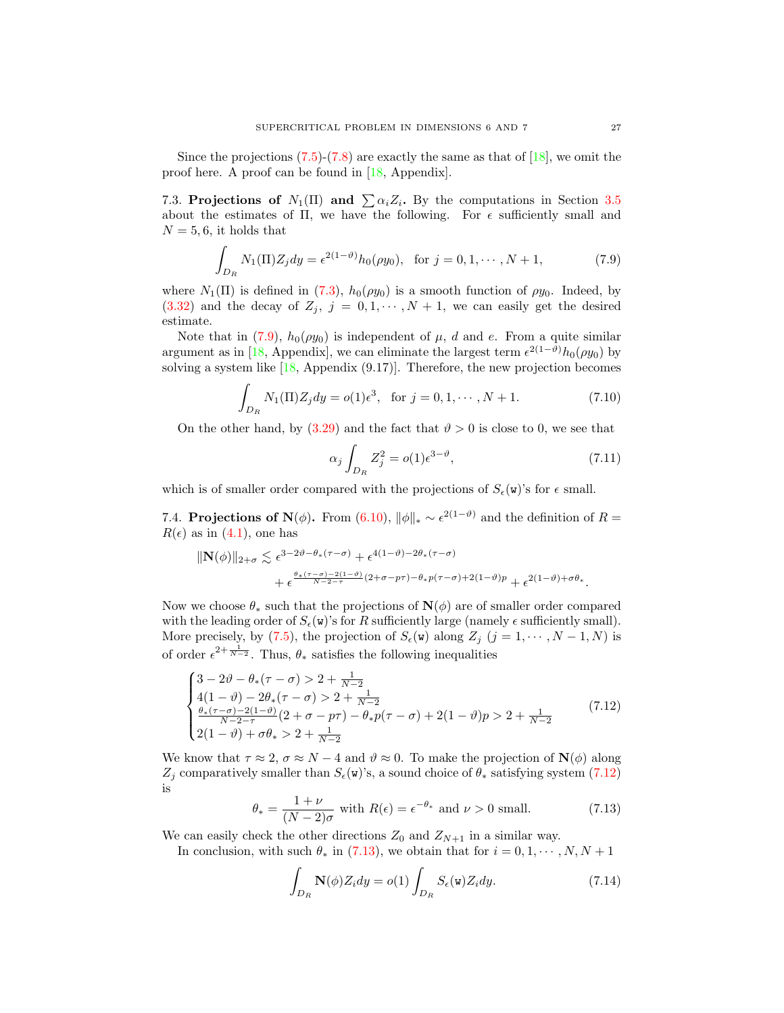Since the projections  $(7.5)-(7.8)$  $(7.5)-(7.8)$  are exactly the same as that of  $[18]$ , we omit the proof here. A proof can be found in [\[18,](#page-30-8) Appendix].

7.3. Projections of  $N_1(\Pi)$  and  $\sum \alpha_i Z_i$ . By the computations in Section [3.5](#page-12-1) about the estimates of  $\Pi$ , we have the following. For  $\epsilon$  sufficiently small and  $N = 5, 6$ , it holds that

<span id="page-26-1"></span>
$$
\int_{D_R} N_1(\Pi) Z_j dy = \epsilon^{2(1-\vartheta)} h_0(\rho y_0), \text{ for } j = 0, 1, \cdots, N+1,
$$
\n(7.9)

where  $N_1(\Pi)$  is defined in [\(7.3\)](#page-24-3),  $h_0(\rho y_0)$  is a smooth function of  $\rho y_0$ . Indeed, by  $(3.32)$  and the decay of  $Z_j$ ,  $j = 0, 1, \dots, N + 1$ , we can easily get the desired estimate.

Note that in [\(7.9\)](#page-26-1),  $h_0(\rho y_0)$  is independent of  $\mu$ , d and e. From a quite similar argument as in [\[18,](#page-30-8) Appendix], we can eliminate the largest term  $\epsilon^{2(1-\vartheta)}h_0(\rho y_0)$  by solving a system like [\[18,](#page-30-8) Appendix (9.17)]. Therefore, the new projection becomes

<span id="page-26-3"></span>
$$
\int_{D_R} N_1(\Pi) Z_j dy = o(1)\epsilon^3, \text{ for } j = 0, 1, \cdots, N+1.
$$
 (7.10)

On the other hand, by  $(3.29)$  and the fact that  $\vartheta > 0$  is close to 0, we see that

<span id="page-26-4"></span>
$$
\alpha_j \int_{D_R} Z_j^2 = o(1) \epsilon^{3-\vartheta},\tag{7.11}
$$

which is of smaller order compared with the projections of  $S_{\epsilon}(\mathbf{w})$ 's for  $\epsilon$  small.

7.4. **Projections of N**( $\phi$ ). From [\(6.10\)](#page-22-5),  $\|\phi\|_{*} \sim \epsilon^{2(1-\vartheta)}$  and the definition of  $R =$  $R(\epsilon)$  as in [\(4.1\)](#page-15-5), one has

$$
\begin{aligned} \|\mathbf{N}(\phi)\|_{2+\sigma} &\lesssim \epsilon^{3-2\vartheta-\theta_*(\tau-\sigma)} + \epsilon^{4(1-\vartheta)-2\theta_*(\tau-\sigma)} \\ &+ \epsilon^{\frac{\theta_*(\tau-\sigma)-2(1-\vartheta)}{N-2-\tau}(2+\sigma-p\tau)-\theta_*p(\tau-\sigma)+2(1-\vartheta)p} + \epsilon^{2(1-\vartheta)+\sigma\theta_*}. \end{aligned}
$$

Now we choose  $\theta_*$  such that the projections of  $\mathbf{N}(\phi)$  are of smaller order compared with the leading order of  $S_{\epsilon}(\mathbf{w})$ 's for R sufficiently large (namely  $\epsilon$  sufficiently small). More precisely, by [\(7.5\)](#page-25-0), the projection of  $S_{\epsilon}(\mathbf{w})$  along  $Z_j$  ( $j = 1, \dots, N-1, N$ ) is of order  $\epsilon^{2+\frac{1}{N-2}}$ . Thus,  $\theta_*$  satisfies the following inequalities

<span id="page-26-2"></span>
$$
\begin{cases}\n3 - 2\vartheta - \theta_*(\tau - \sigma) > 2 + \frac{1}{N-2} \\
4(1 - \vartheta) - 2\theta_*(\tau - \sigma) > 2 + \frac{1}{N-2} \\
\frac{\theta_*(\tau - \sigma) - 2(1 - \vartheta)}{N - 2 - \tau}(2 + \sigma - p\tau) - \theta_* p(\tau - \sigma) + 2(1 - \vartheta)p > 2 + \frac{1}{N-2} \\
2(1 - \vartheta) + \sigma\theta_* > 2 + \frac{1}{N-2}\n\end{cases}\n\tag{7.12}
$$

We know that  $\tau \approx 2$ ,  $\sigma \approx N-4$  and  $\vartheta \approx 0$ . To make the projection of  $\mathbf{N}(\phi)$  along  $Z_j$  comparatively smaller than  $S_{\epsilon}(\mathbf{w})$ 's, a sound choice of  $\theta_*$  satisfying system [\(7.12\)](#page-26-2) is

<span id="page-26-0"></span>
$$
\theta_* = \frac{1+\nu}{(N-2)\sigma} \text{ with } R(\epsilon) = \epsilon^{-\theta_*} \text{ and } \nu > 0 \text{ small.} \tag{7.13}
$$

We can easily check the other directions  $Z_0$  and  $Z_{N+1}$  in a similar way.

In conclusion, with such  $\theta_*$  in [\(7.13\)](#page-26-0), we obtain that for  $i = 0, 1, \dots, N, N + 1$ 

<span id="page-26-5"></span>
$$
\int_{D_R} \mathbf{N}(\phi) Z_i dy = o(1) \int_{D_R} S_{\epsilon}(\mathbf{w}) Z_i dy.
$$
\n(7.14)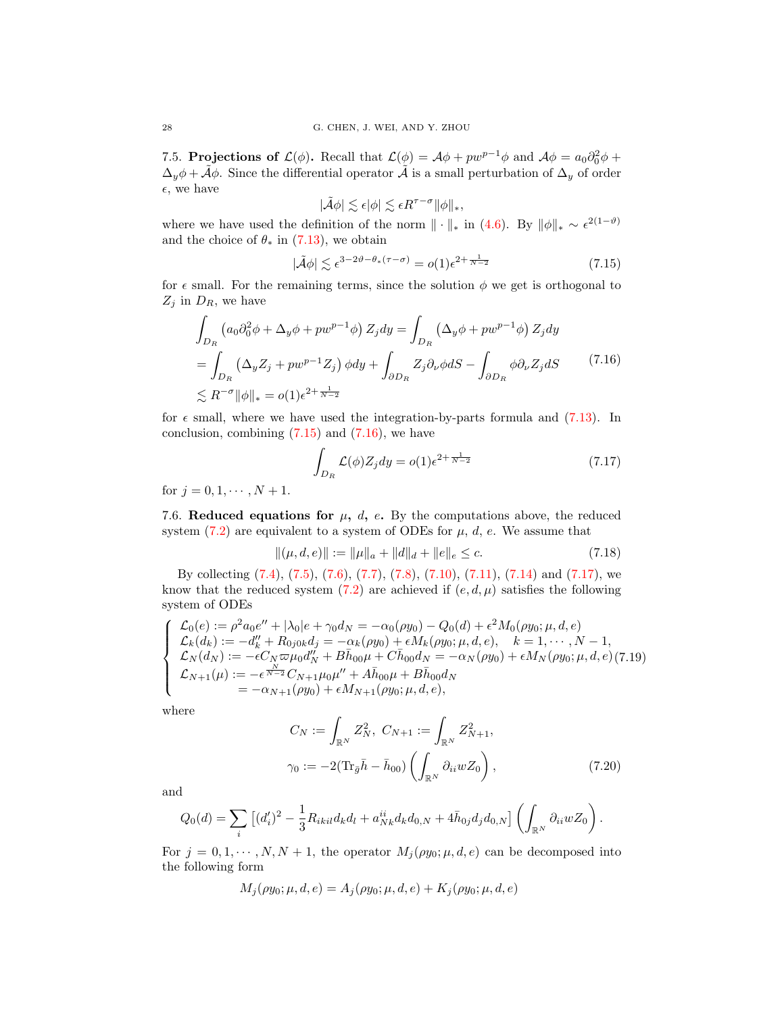7.5. Projections of  $\mathcal{L}(\phi)$ . Recall that  $\mathcal{L}(\phi) = \mathcal{A}\phi + pw^{p-1}\phi$  and  $\mathcal{A}\phi = a_0 \partial_0^2 \phi +$  $\Delta_y \phi + \tilde{A} \phi$ . Since the differential operator  $\tilde{A}$  is a small perturbation of  $\Delta_y$  of order  $\epsilon$ , we have

$$
|\tilde{\mathcal{A}}\phi|\lesssim \epsilon|\phi|\lesssim \epsilon R^{\tau-\sigma} \|\phi\|_*,
$$

where we have used the definition of the norm  $\|\cdot\|_*$  in [\(4.6\)](#page-15-3). By  $\|\phi\|_* \sim \epsilon^{2(1-\vartheta)}$ and the choice of  $\theta_*$  in [\(7.13\)](#page-26-0), we obtain

<span id="page-27-0"></span>
$$
|\tilde{\mathcal{A}}\phi| \lesssim \epsilon^{3-2\vartheta - \theta_*(\tau - \sigma)} = o(1)\epsilon^{2 + \frac{1}{N-2}} \tag{7.15}
$$

for  $\epsilon$  small. For the remaining terms, since the solution  $\phi$  we get is orthogonal to  $Z_j$  in  $D_R$ , we have

<span id="page-27-1"></span>
$$
\int_{D_R} \left( a_0 \partial_0^2 \phi + \Delta_y \phi + p w^{p-1} \phi \right) Z_j dy = \int_{D_R} \left( \Delta_y \phi + p w^{p-1} \phi \right) Z_j dy
$$
  
= 
$$
\int_{D_R} \left( \Delta_y Z_j + p w^{p-1} Z_j \right) \phi dy + \int_{\partial D_R} Z_j \partial_\nu \phi dS - \int_{\partial D_R} \phi \partial_\nu Z_j dS \qquad (7.16)
$$
  

$$
\lesssim R^{-\sigma} ||\phi||_* = o(1) \epsilon^{2 + \frac{1}{N-2}}
$$

for  $\epsilon$  small, where we have used the integration-by-parts formula and [\(7.13\)](#page-26-0). In conclusion, combining  $(7.15)$  and  $(7.16)$ , we have

<span id="page-27-2"></span>
$$
\int_{D_R} \mathcal{L}(\phi) Z_j dy = o(1) \epsilon^{2 + \frac{1}{N-2}} \tag{7.17}
$$

for  $j = 0, 1, \dots, N + 1$ .

7.6. Reduced equations for  $\mu$ , d, e. By the computations above, the reduced system  $(7.2)$  are equivalent to a system of ODEs for  $\mu$ , d, e. We assume that

<span id="page-27-3"></span>
$$
\|(\mu, d, e)\| := \|\mu\|_a + \|d\|_d + \|e\|_e \le c. \tag{7.18}
$$

By collecting [\(7.4\)](#page-24-4), [\(7.5\)](#page-25-0), [\(7.6\)](#page-25-2), [\(7.7\)](#page-25-3), [\(7.8\)](#page-25-1), [\(7.10\)](#page-26-3), [\(7.11\)](#page-26-4), [\(7.14\)](#page-26-5) and [\(7.17\)](#page-27-2), we know that the reduced system [\(7.2\)](#page-24-2) are achieved if  $(e, d, \mu)$  satisfies the following system of ODEs

<span id="page-27-4"></span>
$$
\begin{cases}\n\mathcal{L}_0(e) := \rho^2 a_0 e'' + |\lambda_0| e + \gamma_0 d_N = -\alpha_0(\rho y_0) - Q_0(d) + \epsilon^2 M_0(\rho y_0; \mu, d, e) \\
\mathcal{L}_k(d_k) := -d''_k + R_{0j0k} d_j = -\alpha_k(\rho y_0) + \epsilon M_k(\rho y_0; \mu, d, e), \quad k = 1, \cdots, N - 1, \\
\mathcal{L}_N(d_N) := -\epsilon C_N \varpi \mu_0 d''_N + B \bar{h}_{00} \mu + C \bar{h}_{00} d_N = -\alpha_N(\rho y_0) + \epsilon M_N(\rho y_0; \mu, d, e) (7.19) \\
\mathcal{L}_{N+1}(\mu) := -\epsilon^{\frac{N}{N-2}} C_{N+1} \mu_0 \mu'' + A \bar{h}_{00} \mu + B \bar{h}_{00} d_N \\
= -\alpha_{N+1}(\rho y_0) + \epsilon M_{N+1}(\rho y_0; \mu, d, e),\n\end{cases}
$$

where

<span id="page-27-5"></span>
$$
C_N := \int_{\mathbb{R}^N} Z_N^2, \ C_{N+1} := \int_{\mathbb{R}^N} Z_{N+1}^2,
$$
  

$$
\gamma_0 := -2(\text{Tr}_{\bar{g}} \bar{h} - \bar{h}_{00}) \left( \int_{\mathbb{R}^N} \partial_{ii} w Z_0 \right), \tag{7.20}
$$

and

$$
Q_0(d) = \sum_i \left[ (d'_i)^2 - \frac{1}{3} R_{ikil} d_k d_l + a_{Nk}^{ii} d_k d_{0,N} + 4 \bar{h}_{0j} d_j d_{0,N} \right] \left( \int_{\mathbb{R}^N} \partial_{ii} w Z_0 \right).
$$

For  $j = 0, 1, \dots, N, N + 1$ , the operator  $M_j(\rho y_0; \mu, d, e)$  can be decomposed into the following form

$$
M_j(\rho y_0; \mu, d, e) = A_j(\rho y_0; \mu, d, e) + K_j(\rho y_0; \mu, d, e)
$$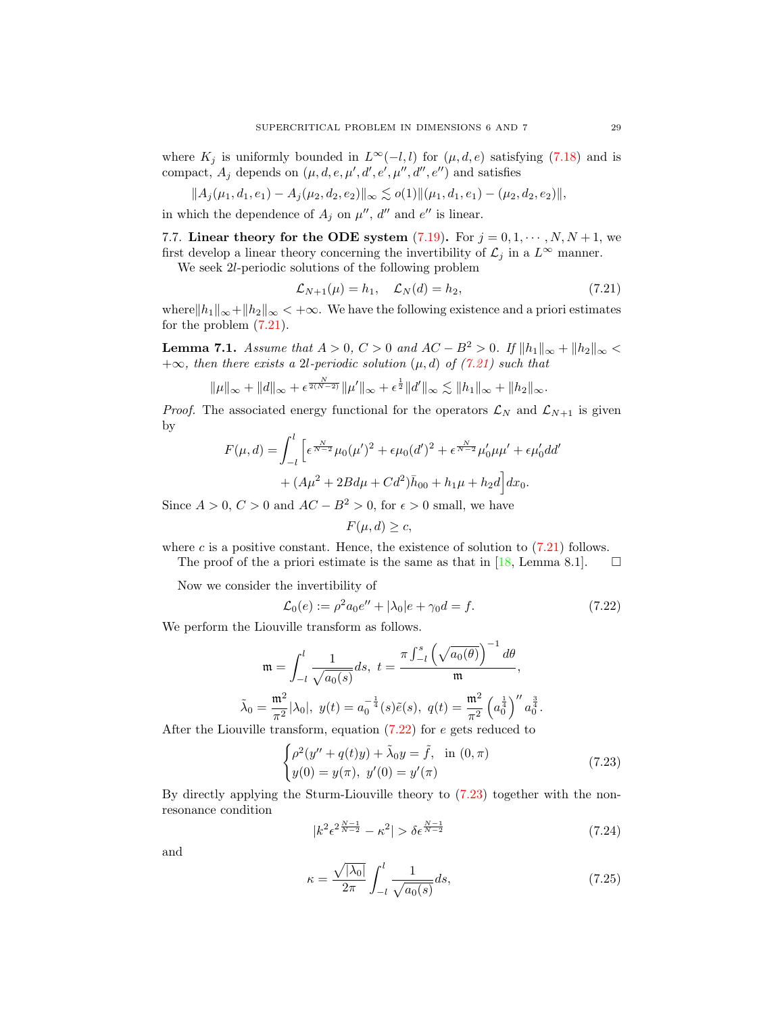where  $K_j$  is uniformly bounded in  $L^{\infty}(-l, l)$  for  $(\mu, d, e)$  satisfying [\(7.18\)](#page-27-3) and is compact,  $A_j$  depends on  $(\mu, d, e, \mu', d', e', \mu'', d'', e'')$  and satisfies

$$
||A_j(\mu_1,d_1,e_1)-A_j(\mu_2,d_2,e_2)||_{\infty}\lesssim o(1)||(\mu_1,d_1,e_1)-(\mu_2,d_2,e_2)||,
$$

in which the dependence of  $A_j$  on  $\mu''$ , d'' and e'' is linear.

7.7. Linear theory for the ODE system  $(7.19)$ . For  $j = 0, 1, \dots, N, N + 1$ , we first develop a linear theory concerning the invertibility of  $\mathcal{L}_j$  in a  $L^{\infty}$  manner.

We seek 2l-periodic solutions of the following problem

<span id="page-28-1"></span>
$$
\mathcal{L}_{N+1}(\mu) = h_1, \quad \mathcal{L}_N(d) = h_2,\tag{7.21}
$$

where $\|h_1\|_{\infty}+\|h_2\|_{\infty}<+\infty$ . We have the following existence and a priori estimates for the problem  $(7.21)$ .

<span id="page-28-5"></span>**Lemma 7.1.** Assume that  $A > 0$ ,  $C > 0$  and  $AC - B^2 > 0$ . If  $||h_1||_{\infty} + ||h_2||_{\infty} <$  $+\infty$ , then there exists a 2l-periodic solution  $(\mu, d)$  of  $(7.21)$  such that

 $\|\mu\|_{\infty} + \|d\|_{\infty} + \epsilon^{\frac{N}{2(N-2)}} \|\mu'\|_{\infty} + \epsilon^{\frac{1}{2}} \|d'\|_{\infty} \lesssim \|h_1\|_{\infty} + \|h_2\|_{\infty}.$ 

*Proof.* The associated energy functional for the operators  $\mathcal{L}_N$  and  $\mathcal{L}_{N+1}$  is given by

$$
F(\mu, d) = \int_{-l}^{l} \left[ \epsilon^{\frac{N}{N-2}} \mu_0(\mu')^2 + \epsilon \mu_0(d')^2 + \epsilon^{\frac{N}{N-2}} \mu'_0 \mu \mu' + \epsilon \mu'_0 dd' \right. \\ + (A\mu^2 + 2Bd\mu + Cd^2)\bar{h}_{00} + h_1\mu + h_2d \right] dx_0.
$$

Since  $A > 0$ ,  $C > 0$  and  $AC - B^2 > 0$ , for  $\epsilon > 0$  small, we have

$$
F(\mu, d) \ge c
$$

where c is a positive constant. Hence, the existence of solution to  $(7.21)$  follows.

The proof of the a priori estimate is the same as that in [\[18,](#page-30-8) Lemma 8.1].  $\Box$ 

Now we consider the invertibility of

<span id="page-28-2"></span>
$$
\mathcal{L}_0(e) := \rho^2 a_0 e'' + |\lambda_0| e + \gamma_0 d = f. \tag{7.22}
$$

We perform the Liouville transform as follows.

$$
\mathfrak{m} = \int_{-l}^{l} \frac{1}{\sqrt{a_0(s)}} ds, \ t = \frac{\pi \int_{-l}^{s} \left(\sqrt{a_0(\theta)}\right)^{-1} d\theta}{\mathfrak{m}},
$$

$$
\tilde{\lambda}_0 = \frac{\mathfrak{m}^2}{\pi^2} |\lambda_0|, \ y(t) = a_0^{-\frac{1}{4}}(s) \tilde{e}(s), \ q(t) = \frac{\mathfrak{m}^2}{\pi^2} \left(a_0^{\frac{1}{4}}\right)^{\prime\prime} a_0^{\frac{3}{4}}.
$$

After the Liouville transform, equation  $(7.22)$  for e gets reduced to

<span id="page-28-3"></span>
$$
\begin{cases}\n\rho^2(y'' + q(t)y) + \tilde{\lambda}_0 y = \tilde{f}, & \text{in } (0, \pi) \\
y(0) = y(\pi), \ y'(0) = y'(\pi)\n\end{cases}
$$
\n(7.23)

By directly applying the Sturm-Liouville theory to [\(7.23\)](#page-28-3) together with the nonresonance condition

<span id="page-28-4"></span>
$$
|k^2 \epsilon^{2\frac{N-1}{N-2}} - \kappa^2| > \delta \epsilon^{\frac{N-1}{N-2}} \tag{7.24}
$$

and

<span id="page-28-0"></span>
$$
\kappa = \frac{\sqrt{|\lambda_0|}}{2\pi} \int_{-l}^{l} \frac{1}{\sqrt{a_0(s)}} ds,\tag{7.25}
$$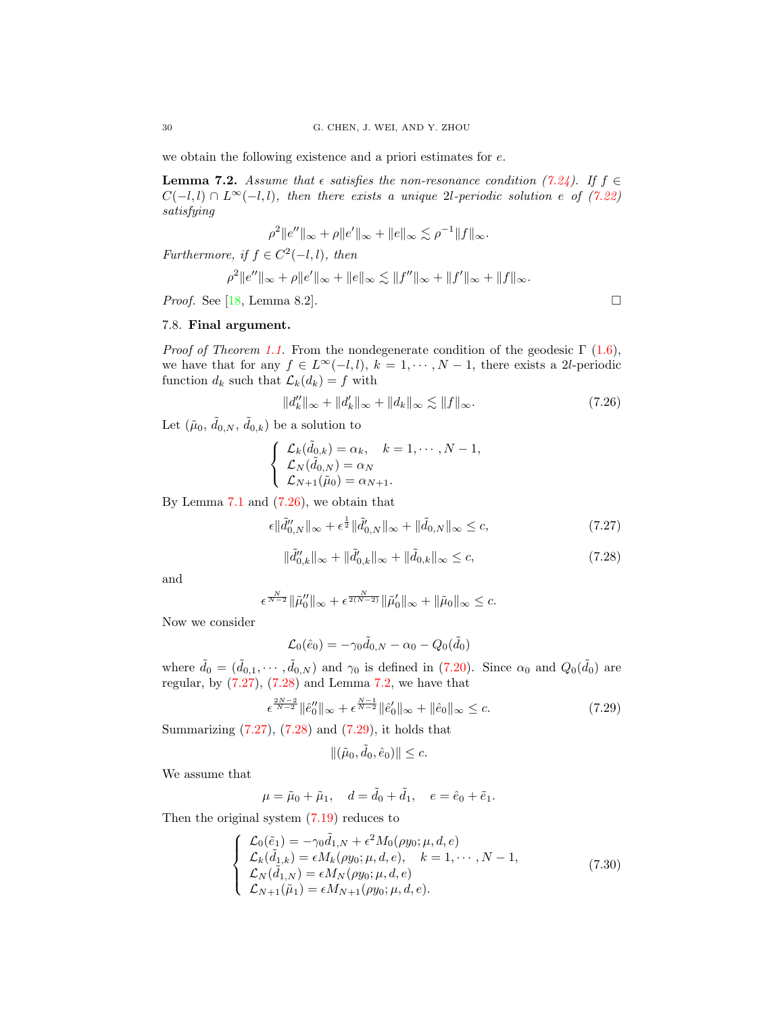we obtain the following existence and a priori estimates for e.

<span id="page-29-3"></span>**Lemma 7.2.** Assume that  $\epsilon$  satisfies the non-resonance condition [\(7.24\)](#page-28-4). If  $f \in$  $C(-l, l) \cap L^{\infty}(-l, l)$ , then there exists a unique 2l-periodic solution e of [\(7.22\)](#page-28-2) satisfying

$$
\rho^{2}||e''||_{\infty} + \rho||e'||_{\infty} + ||e||_{\infty} \lesssim \rho^{-1}||f||_{\infty}.
$$

Furthermore, if  $f \in C^2(-l, l)$ , then

$$
\rho^2 \|e''\|_{\infty} + \rho \|e'\|_{\infty} + \|e\|_{\infty} \lesssim \|f''\|_{\infty} + \|f'\|_{\infty} + \|f\|_{\infty}.
$$

Proof. See [\[18,](#page-30-8) Lemma 8.2].

7.8. Final argument.

*Proof of Theorem [1.1.](#page-3-1)* From the nondegenerate condition of the geodesic  $\Gamma$  [\(1.6\)](#page-2-2), we have that for any  $f \in L^{\infty}(-l, l)$ ,  $k = 1, \dots, N - 1$ , there exists a 2l-periodic function  $d_k$  such that  $\mathcal{L}_k(d_k) = f$  with

<span id="page-29-0"></span>
$$
||d_k''||_{\infty} + ||d_k'||_{\infty} + ||d_k||_{\infty} \lesssim ||f||_{\infty}.
$$
 (7.26)

Let  $(\tilde{\mu}_0, \tilde{d}_{0,N}, \tilde{d}_{0,k})$  be a solution to

$$
\begin{cases}\n\mathcal{L}_k(\tilde{d}_{0,k}) = \alpha_k, & k = 1, \cdots, N-1, \\
\mathcal{L}_N(\tilde{d}_{0,N}) = \alpha_N \\
\mathcal{L}_{N+1}(\tilde{\mu}_0) = \alpha_{N+1}.\n\end{cases}
$$

By Lemma  $7.1$  and  $(7.26)$ , we obtain that

<span id="page-29-1"></span>
$$
\epsilon \|\tilde{d}_{0,N}''\|_{\infty} + \epsilon^{\frac{1}{2}} \|\tilde{d}_{0,N}'\|_{\infty} + \|\tilde{d}_{0,N}\|_{\infty} \leq c,\tag{7.27}
$$

<span id="page-29-2"></span>
$$
\|\tilde{d}_{0,k}''\|_{\infty} + \|\tilde{d}_{0,k}'\|_{\infty} + \|\tilde{d}_{0,k}\|_{\infty} \le c,
$$
\n(7.28)

and

$$
\epsilon^{\frac{N}{N-2}} \|\tilde{\mu}_0''\|_{\infty} + \epsilon^{\frac{N}{2(N-2)}} \|\tilde{\mu}_0'\|_{\infty} + \|\tilde{\mu}_0\|_{\infty} \leq c.
$$

Now we consider

$$
\mathcal{L}_0(\hat{e}_0) = -\gamma_0 \tilde{d}_{0,N} - \alpha_0 - Q_0(\tilde{d}_0)
$$

where  $\tilde{d}_0 = (\tilde{d}_{0,1}, \cdots, \tilde{d}_{0,N})$  and  $\gamma_0$  is defined in [\(7.20\)](#page-27-5). Since  $\alpha_0$  and  $Q_0(\tilde{d}_0)$  are regular, by  $(7.27)$ ,  $(7.28)$  and Lemma [7.2,](#page-29-3) we have that

<span id="page-29-4"></span>
$$
\epsilon^{\frac{2N-2}{N-2}} \|\hat{e}_0''\|_{\infty} + \epsilon^{\frac{N-1}{N-2}} \|\hat{e}_0'\|_{\infty} + \|\hat{e}_0\|_{\infty} \le c. \tag{7.29}
$$

Summarizing [\(7.27\)](#page-29-1), [\(7.28\)](#page-29-2) and [\(7.29\)](#page-29-4), it holds that

$$
\|(\tilde{\mu}_0, \tilde{d}_0, \hat{e}_0)\| \leq c.
$$

We assume that

$$
\mu = \tilde{\mu}_0 + \tilde{\mu}_1, \quad d = \tilde{d}_0 + \tilde{d}_1, \quad e = \hat{e}_0 + \tilde{e}_1.
$$

Then the original system [\(7.19\)](#page-27-4) reduces to

<span id="page-29-5"></span>
$$
\begin{cases}\n\mathcal{L}_0(\tilde{e}_1) = -\gamma_0 \tilde{d}_{1,N} + \epsilon^2 M_0(\rho y_0; \mu, d, e) \\
\mathcal{L}_k(\tilde{d}_{1,k}) = \epsilon M_k(\rho y_0; \mu, d, e), \quad k = 1, \cdots, N - 1, \\
\mathcal{L}_N(\tilde{d}_{1,N}) = \epsilon M_N(\rho y_0; \mu, d, e) \\
\mathcal{L}_{N+1}(\tilde{\mu}_1) = \epsilon M_{N+1}(\rho y_0; \mu, d, e).\n\end{cases}
$$
\n(7.30)

$$
\Box
$$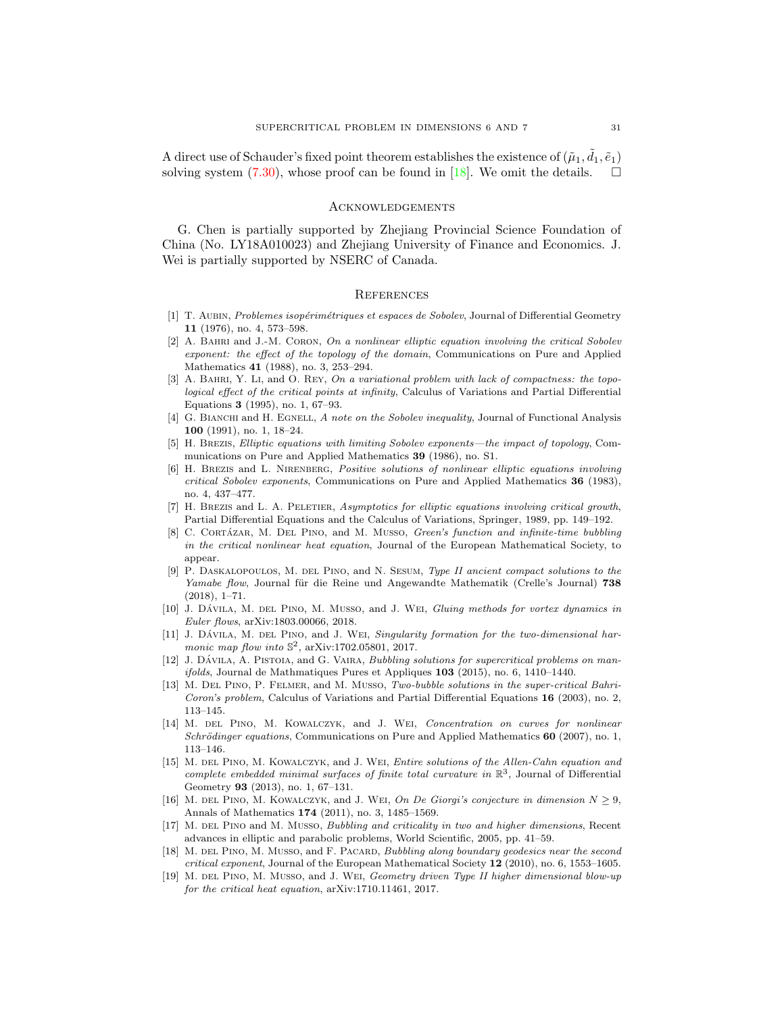A direct use of Schauder's fixed point theorem establishes the existence of  $(\tilde{\mu}_1, \tilde{d}_1, \tilde{e}_1)$ solving system  $(7.30)$ , whose proof can be found in  $[18]$ . We omit the details.

#### **ACKNOWLEDGEMENTS**

G. Chen is partially supported by Zhejiang Provincial Science Foundation of China (No. LY18A010023) and Zhejiang University of Finance and Economics. J. Wei is partially supported by NSERC of Canada.

#### **REFERENCES**

- <span id="page-30-0"></span>[1] T. AUBIN, Problemes isopérimétriques et espaces de Sobolev, Journal of Differential Geometry 11 (1976), no. 4, 573–598.
- <span id="page-30-5"></span> $[2]$  A. BAHRI and J.-M. CORON, On a nonlinear elliptic equation involving the critical Sobolev exponent: the effect of the topology of the domain, Communications on Pure and Applied Mathematics 41 (1988), no. 3, 253–294.
- <span id="page-30-1"></span>[3] A. BAHRI, Y. LI, and O. REY, On a variational problem with lack of compactness: the topological effect of the critical points at infinity, Calculus of Variations and Partial Differential Equations 3 (1995), no. 1, 67–93.
- <span id="page-30-15"></span>[4] G. BIANCHI and H. EGNELL, A note on the Sobolev inequality, Journal of Functional Analysis 100 (1991), no. 1, 18–24.
- <span id="page-30-7"></span>[5] H. Brezis, Elliptic equations with limiting Sobolev exponents—the impact of topology, Communications on Pure and Applied Mathematics 39 (1986), no. S1.
- <span id="page-30-6"></span>[6] H. Brezis and L. Nirenberg, Positive solutions of nonlinear elliptic equations involving critical Sobolev exponents, Communications on Pure and Applied Mathematics 36 (1983), no. 4, 437–477.
- <span id="page-30-2"></span>[7] H. BREZIS and L. A. PELETIER, Asymptotics for elliptic equations involving critical growth, Partial Differential Equations and the Calculus of Variations, Springer, 1989, pp. 149–192.
- <span id="page-30-12"></span>[8] C. CORTÁZAR, M. DEL PINO, and M. MUSSO, Green's function and infinite-time bubbling in the critical nonlinear heat equation, Journal of the European Mathematical Society, to appear.
- [9] P. DASKALOPOULOS, M. DEL PINO, and N. SESUM, Type II ancient compact solutions to the Yamabe flow, Journal für die Reine und Angewandte Mathematik (Crelle's Journal) 738 (2018), 1–71.
- [10] J. DÁVILA, M. DEL PINO, M. MUSSO, and J. WEI, Gluing methods for vortex dynamics in Euler flows, arXiv:1803.00066, 2018.
- <span id="page-30-13"></span>[11] J. DÁVILA, M. DEL PINO, and J. WEI, Singularity formation for the two-dimensional harmonic map flow into  $\mathbb{S}^2$ , arXiv:1702.05801, 2017.
- <span id="page-30-9"></span>[12] J. DÁVILA, A. PISTOIA, and G. VAIRA, Bubbling solutions for supercritical problems on man $ifolds, Journal de Mathmatiques Pures et Applications 103 (2015), no. 6, 1410-1440.$
- <span id="page-30-3"></span>[13] M. Del Pino, P. Felmer, and M. Musso, Two-bubble solutions in the super-critical Bahri-Coron's problem, Calculus of Variations and Partial Differential Equations 16 (2003), no. 2, 113–145.
- <span id="page-30-10"></span>[14] M. DEL PINO, M. KOWALCZYK, and J. WEI, Concentration on curves for nonlinear Schrödinger equations, Communications on Pure and Applied Mathematics  $60$  (2007), no. 1, 113–146.
- [15] M. DEL PINO, M. KOWALCZYK, and J. WEI, *Entire solutions of the Allen-Cahn equation and* complete embedded minimal surfaces of finite total curvature in  $\mathbb{R}^3$ , Journal of Differential Geometry 93 (2013), no. 1, 67–131.
- <span id="page-30-11"></span>[16] M. DEL PINO, M. KOWALCZYK, and J. WEI, On De Giorgi's conjecture in dimension  $N \geq 9$ , Annals of Mathematics 174 (2011), no. 3, 1485–1569.
- <span id="page-30-4"></span>[17] M. DEL PINO and M. MUSSO, Bubbling and criticality in two and higher dimensions, Recent advances in elliptic and parabolic problems, World Scientific, 2005, pp. 41–59.
- <span id="page-30-8"></span>[18] M. DEL PINO, M. MUSSO, and F. PACARD, Bubbling along boundary geodesics near the second critical exponent, Journal of the European Mathematical Society  $12$  (2010), no. 6, 1553–1605.
- <span id="page-30-14"></span>[19] M. DEL PINO, M. MUSSO, and J. WEI, Geometry driven Type II higher dimensional blow-up for the critical heat equation, arXiv:1710.11461, 2017.